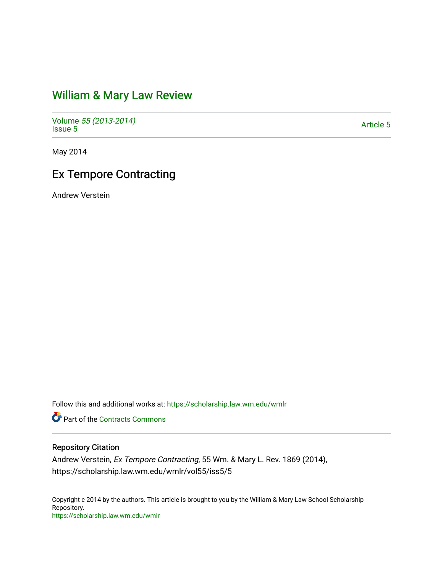# [William & Mary Law Review](https://scholarship.law.wm.edu/wmlr)

Volume [55 \(2013-2014\)](https://scholarship.law.wm.edu/wmlr/vol55)  Polarité 33 (2013-2014)<br>[Issue 5](https://scholarship.law.wm.edu/wmlr/vol55/iss5)

May 2014

# Ex Tempore Contracting

Andrew Verstein

Follow this and additional works at: [https://scholarship.law.wm.edu/wmlr](https://scholarship.law.wm.edu/wmlr?utm_source=scholarship.law.wm.edu%2Fwmlr%2Fvol55%2Fiss5%2F5&utm_medium=PDF&utm_campaign=PDFCoverPages)

**P** Part of the [Contracts Commons](http://network.bepress.com/hgg/discipline/591?utm_source=scholarship.law.wm.edu%2Fwmlr%2Fvol55%2Fiss5%2F5&utm_medium=PDF&utm_campaign=PDFCoverPages)

## Repository Citation

Andrew Verstein, Ex Tempore Contracting, 55 Wm. & Mary L. Rev. 1869 (2014), https://scholarship.law.wm.edu/wmlr/vol55/iss5/5

Copyright c 2014 by the authors. This article is brought to you by the William & Mary Law School Scholarship Repository. <https://scholarship.law.wm.edu/wmlr>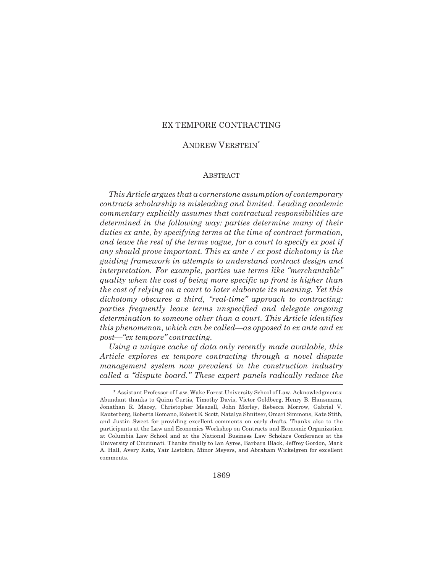### EX TEMPORE CONTRACTING

#### ANDREW VERSTEIN\*

#### ABSTRACT

*This Article argues that a cornerstone assumption of contemporary contracts scholarship is misleading and limited. Leading academic commentary explicitly assumes that contractual responsibilities are determined in the following way: parties determine many of their duties ex ante, by specifying terms at the time of contract formation, and leave the rest of the terms vague, for a court to specify ex post if any should prove important. This ex ante / ex post dichotomy is the guiding framework in attempts to understand contract design and interpretation. For example, parties use terms like "merchantable" quality when the cost of being more specific up front is higher than the cost of relying on a court to later elaborate its meaning. Yet this dichotomy obscures a third, "real-time" approach to contracting: parties frequently leave terms unspecified and delegate ongoing determination to someone other than a court. This Article identifies this phenomenon, which can be called—as opposed to ex ante and ex post—"ex tempore" contracting.* 

*Using a unique cache of data only recently made available, this Article explores ex tempore contracting through a novel dispute management system now prevalent in the construction industry called a "dispute board." These expert panels radically reduce the*

<sup>\*</sup> Assistant Professor of Law, Wake Forest University School of Law. Acknowledgments: Abundant thanks to Quinn Curtis, Timothy Davis, Victor Goldberg, Henry B. Hansmann, Jonathan R. Macey, Christopher Meazell, John Morley, Rebecca Morrow, Gabriel V. Rauterberg, Roberta Romano, Robert E. Scott, Natalya Shnitser, Omari Simmons, Kate Stith, and Justin Sweet for providing excellent comments on early drafts. Thanks also to the participants at the Law and Economics Workshop on Contracts and Economic Organization at Columbia Law School and at the National Business Law Scholars Conference at the University of Cincinnati. Thanks finally to Ian Ayres, Barbara Black, Jeffrey Gordon, Mark A. Hall, Avery Katz, Yair Listokin, Minor Meyers, and Abraham Wickelgren for excellent comments.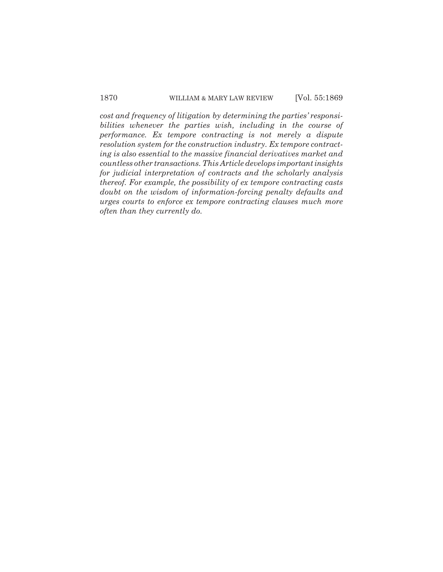*cost and frequency of litigation by determining the parties' responsibilities whenever the parties wish, including in the course of performance. Ex tempore contracting is not merely a dispute resolution system for the construction industry. Ex tempore contracting is also essential to the massive financial derivatives market and countless other transactions. This Article develops important insights for judicial interpretation of contracts and the scholarly analysis thereof. For example, the possibility of ex tempore contracting casts doubt on the wisdom of information-forcing penalty defaults and urges courts to enforce ex tempore contracting clauses much more often than they currently do.*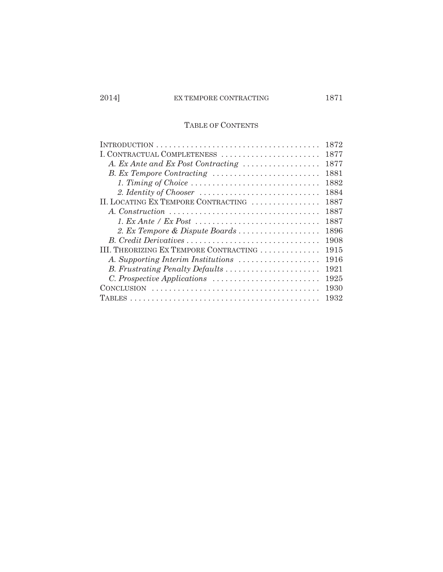# TABLE OF CONTENTS

|                                        | 1872 |
|----------------------------------------|------|
| I. CONTRACTUAL COMPLETENESS            | 1877 |
| A. Ex Ante and Ex Post Contracting     | 1877 |
| B. Ex Tempore Contracting              | 1881 |
| 1. Timing of Choice                    | 1882 |
|                                        | 1884 |
| II. LOCATING EX TEMPORE CONTRACTING    | 1887 |
|                                        | 1887 |
|                                        | 1887 |
| 2. Ex Tempore & Dispute Boards         | 1896 |
|                                        | 1908 |
| III. THEORIZING EX TEMPORE CONTRACTING | 1915 |
| A. Supporting Interim Institutions     | 1916 |
| B. Frustrating Penalty Defaults        | 1921 |
|                                        | 1925 |
|                                        | 1930 |
|                                        | 1932 |
|                                        |      |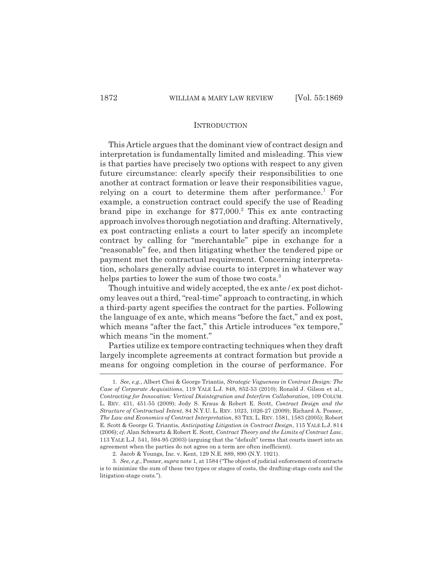#### INTRODUCTION

This Article argues that the dominant view of contract design and interpretation is fundamentally limited and misleading. This view is that parties have precisely two options with respect to any given future circumstance: clearly specify their responsibilities to one another at contract formation or leave their responsibilities vague, relying on a court to determine them after performance.<sup>1</sup> For example, a construction contract could specify the use of Reading brand pipe in exchange for \$77,000.<sup>2</sup> This ex ante contracting approach involves thorough negotiation and drafting. Alternatively, ex post contracting enlists a court to later specify an incomplete contract by calling for "merchantable" pipe in exchange for a "reasonable" fee, and then litigating whether the tendered pipe or payment met the contractual requirement. Concerning interpretation, scholars generally advise courts to interpret in whatever way helps parties to lower the sum of those two costs.<sup>3</sup>

Though intuitive and widely accepted, the ex ante / ex post dichotomy leaves out a third, "real-time" approach to contracting, in which a third-party agent specifies the contract for the parties. Following the language of ex ante, which means "before the fact," and ex post, which means "after the fact," this Article introduces "ex tempore," which means "in the moment."

Parties utilize ex tempore contracting techniques when they draft largely incomplete agreements at contract formation but provide a means for ongoing completion in the course of performance. For

<sup>1.</sup> *See, e.g.*, Albert Choi & George Triantis, *Strategic Vagueness in Contract Design: The Case of Corporate Acquisitions*, 119 YALE L.J. 848, 852-53 (2010); Ronald J. Gilson et al., *Contracting for Innovation: Vertical Disintegration and Interfirm Collaboration*, 109 COLUM. L. REV. 431, 451-55 (2009); Jody S. Kraus & Robert E. Scott, *Contract Design and the Structure of Contractual Intent*, 84 N.Y.U. L. REV. 1023, 1026-27 (2009); Richard A. Posner, *The Law and Economics of Contract Interpretation*, 83 TEX. L. REV. 1581, 1583 (2005); Robert E. Scott & George G. Triantis, *Anticipating Litigation in Contract Design*, 115 YALE L.J. 814 (2006); *cf.* Alan Schwartz & Robert E. Scott, *Contract Theory and the Limits of Contract Law*, 113 YALE L.J. 541, 594-95 (2003) (arguing that the "default" terms that courts insert into an agreement when the parties do not agree on a term are often inefficient).

<sup>2.</sup> Jacob & Youngs, Inc. v. Kent, 129 N.E. 889, 890 (N.Y. 1921).

<sup>3.</sup> *See, e.g.*, Posner, *supra* note 1, at 1584 ("The object of judicial enforcement of contracts is to minimize the sum of these two types or stages of costs, the drafting-stage costs and the litigation-stage costs.").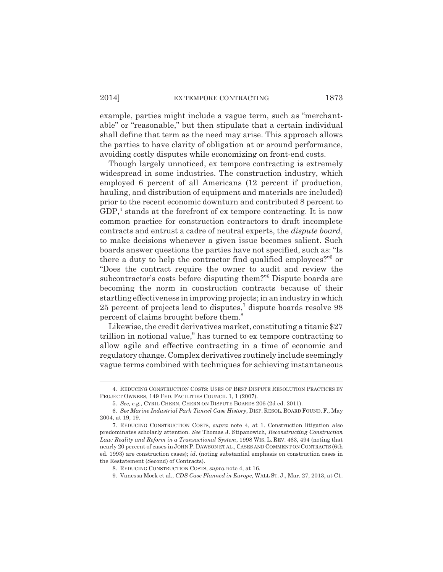example, parties might include a vague term, such as "merchantable" or "reasonable," but then stipulate that a certain individual shall define that term as the need may arise. This approach allows the parties to have clarity of obligation at or around performance, avoiding costly disputes while economizing on front-end costs.

Though largely unnoticed, ex tempore contracting is extremely widespread in some industries. The construction industry, which employed 6 percent of all Americans (12 percent if production, hauling, and distribution of equipment and materials are included) prior to the recent economic downturn and contributed 8 percent to GDP,<sup>4</sup> stands at the forefront of ex tempore contracting. It is now common practice for construction contractors to draft incomplete contracts and entrust a cadre of neutral experts, the *dispute board*, to make decisions whenever a given issue becomes salient. Such boards answer questions the parties have not specified, such as: "Is there a duty to help the contractor find qualified employees?"<sup>5</sup> or "Does the contract require the owner to audit and review the subcontractor's costs before disputing them?"6 Dispute boards are becoming the norm in construction contracts because of their startling effectiveness in improving projects; in an industry in which 25 percent of projects lead to disputes,<sup>7</sup> dispute boards resolve 98 percent of claims brought before them.8

Likewise, the credit derivatives market, constituting a titanic \$27 trillion in notional value,<sup>9</sup> has turned to ex tempore contracting to allow agile and effective contracting in a time of economic and regulatory change. Complex derivatives routinely include seemingly vague terms combined with techniques for achieving instantaneous

<sup>4.</sup> REDUCING CONSTRUCTION COSTS: USES OF BEST DISPUTE RESOLUTION PRACTICES BY PROJECT OWNERS, 149 FED. FACILITIES COUNCIL 1, 1 (2007).

<sup>5.</sup> *See, e.g.*, CYRIL CHERN, CHERN ON DISPUTE BOARDS 206 (2d ed. 2011).

<sup>6.</sup> *See Marine Industrial Park Tunnel Case History*, DISP. RESOL. BOARD FOUND.F., May 2004, at 19, 19.

<sup>7.</sup> REDUCING CONSTRUCTION COSTS, *supra* note 4, at 1. Construction litigation also predominates scholarly attention. *See* Thomas J. Stipanowich, *Reconstructing Construction Law: Reality and Reform in a Transactional System*, 1998 WIS. L. REV. 463, 494 (noting that nearly 20 percent of cases in JOHN P. DAWSON ET AL., CASES AND COMMENT ON CONTRACTS (6th ed. 1993) are construction cases); *id*. (noting substantial emphasis on construction cases in the Restatement (Second) of Contracts).

<sup>8.</sup> REDUCING CONSTRUCTION COSTS, *supra* note 4, at 16.

<sup>9.</sup> Vanessa Mock et al., *CDS Case Planned in Europe*, WALL ST. J., Mar. 27, 2013, at C1.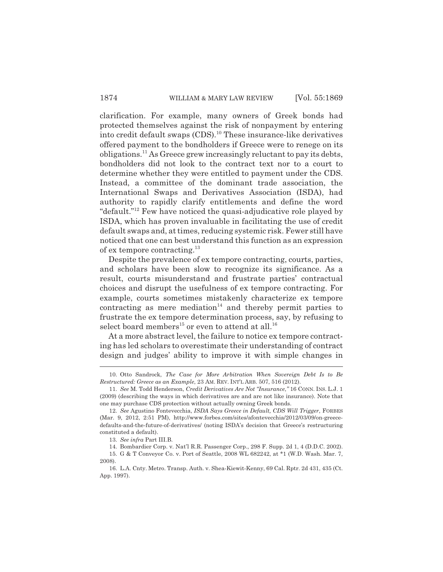clarification. For example, many owners of Greek bonds had protected themselves against the risk of nonpayment by entering into credit default swaps (CDS).10 These insurance-like derivatives offered payment to the bondholders if Greece were to renege on its obligations.11 As Greece grew increasingly reluctant to pay its debts, bondholders did not look to the contract text nor to a court to determine whether they were entitled to payment under the CDS. Instead, a committee of the dominant trade association, the International Swaps and Derivatives Association (ISDA), had authority to rapidly clarify entitlements and define the word "default."12 Few have noticed the quasi-adjudicative role played by ISDA, which has proven invaluable in facilitating the use of credit default swaps and, at times, reducing systemic risk. Fewer still have noticed that one can best understand this function as an expression of ex tempore contracting.13

Despite the prevalence of ex tempore contracting, courts, parties, and scholars have been slow to recognize its significance. As a result, courts misunderstand and frustrate parties' contractual choices and disrupt the usefulness of ex tempore contracting. For example, courts sometimes mistakenly characterize ex tempore contracting as mere mediation<sup>14</sup> and thereby permit parties to frustrate the ex tempore determination process, say, by refusing to select board members<sup>15</sup> or even to attend at all.<sup>16</sup>

At a more abstract level, the failure to notice ex tempore contracting has led scholars to overestimate their understanding of contract design and judges' ability to improve it with simple changes in

<sup>10.</sup> Otto Sandrock, *The Case for More Arbitration When Sovereign Debt Is to Be Restructured: Greece as an Example*, 23 AM. REV. INT'L ARB. 507, 516 (2012).

<sup>11.</sup> *See* M. Todd Henderson, *Credit Derivatives Are Not "Insurance*,*"* 16 CONN. INS. L.J. 1 (2009) (describing the ways in which derivatives are and are not like insurance). Note that one may purchase CDS protection without actually owning Greek bonds.

<sup>12.</sup> *See* Agustino Fontevecchia, *ISDA Says Greece in Default, CDS Will Trigger*, FORBES (Mar. 9, 2012, 2:51 PM), http://www.forbes.com/sites/afontevecchia/2012/03/09/on-greecedefaults-and-the-future-of-derivatives/ (noting ISDA's decision that Greece's restructuring constituted a default).

<sup>13.</sup> *See infra* Part III.B.

<sup>14.</sup> Bombardier Corp. v. Nat'l R.R. Passenger Corp., 298 F. Supp. 2d 1, 4 (D.D.C. 2002). 15. G & T Conveyor Co. v. Port of Seattle, 2008 WL 682242, at \*1 (W.D. Wash. Mar. 7, 2008).

<sup>16.</sup> L.A. Cnty. Metro. Transp. Auth. v. Shea-Kiewit-Kenny, 69 Cal. Rptr. 2d 431, 435 (Ct. App. 1997).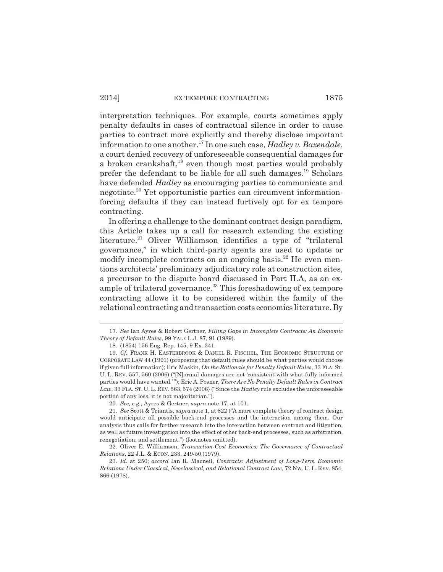#### 2014] EX TEMPORE CONTRACTING 1875

interpretation techniques. For example, courts sometimes apply penalty defaults in cases of contractual silence in order to cause parties to contract more explicitly and thereby disclose important information to one another.17 In one such case, *Hadley v. Baxendale*, a court denied recovery of unforeseeable consequential damages for a broken crankshaft,<sup>18</sup> even though most parties would probably prefer the defendant to be liable for all such damages.19 Scholars have defended *Hadley* as encouraging parties to communicate and negotiate.20 Yet opportunistic parties can circumvent informationforcing defaults if they can instead furtively opt for ex tempore contracting.

In offering a challenge to the dominant contract design paradigm, this Article takes up a call for research extending the existing literature.<sup>21</sup> Oliver Williamson identifies a type of "trilateral" governance," in which third-party agents are used to update or modify incomplete contracts on an ongoing basis.<sup>22</sup> He even mentions architects' preliminary adjudicatory role at construction sites, a precursor to the dispute board discussed in Part II.A, as an example of trilateral governance.<sup>23</sup> This foreshadowing of ex tempore contracting allows it to be considered within the family of the relational contracting and transaction costs economics literature. By

<sup>17.</sup> *See* Ian Ayres & Robert Gertner, *Filling Gaps in Incomplete Contracts: An Economic Theory of Default Rules*, 99 YALE L.J. 87, 91 (1989).

<sup>18. (1854) 156</sup> Eng. Rep. 145, 9 Ex. 341.

<sup>19.</sup> *Cf.* FRANK H. EASTERBROOK & DANIEL R. FISCHEL, THE ECONOMIC STRUCTURE OF CORPORATE LAW 44 (1991) (proposing that default rules should be what parties would choose if given full information); Eric Maskin, *On the Rationale for Penalty Default Rules*, 33 FLA. ST. U. L. REV. 557, 560 (2006) ("[N]ormal damages are not 'consistent with what fully informed parties would have wanted.' "); Eric A. Posner, *There Are No Penalty Default Rules in Contract Law*, 33 FLA. ST. U.L. REV. 563, 574 (2006) ("Since the *Hadley* rule excludes the unforeseeable portion of any loss, it is not majoritarian.").

<sup>20.</sup> *See, e.g.*, Ayres & Gertner, *supra* note 17, at 101.

<sup>21.</sup> *See* Scott & Triantis, *supra* note 1, at 822 ("A more complete theory of contract design would anticipate all possible back-end processes and the interaction among them. Our analysis thus calls for further research into the interaction between contract and litigation, as well as future investigation into the effect of other back-end processes, such as arbitration, renegotiation, and settlement.") (footnotes omitted).

<sup>22.</sup> Oliver E. Williamson, *Transaction-Cost Economics: The Governance of Contractual Relations*, 22 J.L. & ECON. 233, 249-50 (1979).

<sup>23.</sup> *Id*. at 250; *accord* Ian R. Macneil, *Contracts: Adjustment of Long-Term Economic Relations Under Classical, Neoclassical, and Relational Contract Law*, 72 NW. U. L. REV. 854, 866 (1978).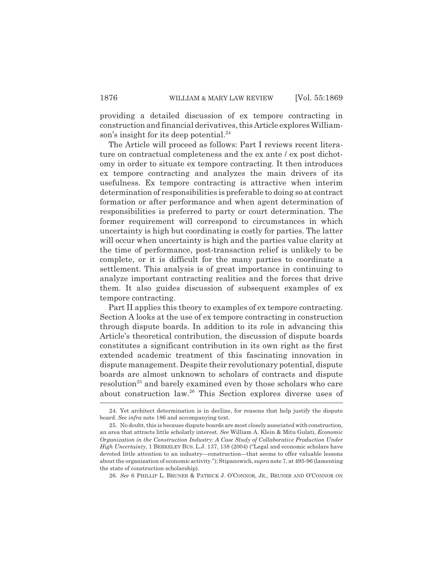providing a detailed discussion of ex tempore contracting in construction and financial derivatives, this Article explores Williamson's insight for its deep potential.<sup>24</sup>

The Article will proceed as follows: Part I reviews recent literature on contractual completeness and the ex ante / ex post dichotomy in order to situate ex tempore contracting. It then introduces ex tempore contracting and analyzes the main drivers of its usefulness. Ex tempore contracting is attractive when interim determination of responsibilities is preferable to doing so at contract formation or after performance and when agent determination of responsibilities is preferred to party or court determination. The former requirement will correspond to circumstances in which uncertainty is high but coordinating is costly for parties. The latter will occur when uncertainty is high and the parties value clarity at the time of performance, post-transaction relief is unlikely to be complete, or it is difficult for the many parties to coordinate a settlement. This analysis is of great importance in continuing to analyze important contracting realities and the forces that drive them. It also guides discussion of subsequent examples of ex tempore contracting.

Part II applies this theory to examples of ex tempore contracting. Section A looks at the use of ex tempore contracting in construction through dispute boards. In addition to its role in advancing this Article's theoretical contribution, the discussion of dispute boards constitutes a significant contribution in its own right as the first extended academic treatment of this fascinating innovation in dispute management. Despite their revolutionary potential, dispute boards are almost unknown to scholars of contracts and dispute resolution<sup>25</sup> and barely examined even by those scholars who care about construction law.26 This Section explores diverse uses of

26. *See* 6 PHILLIP L. BRUNER & PATRICK J. O'CONNOR, JR., BRUNER AND O'CONNOR ON

<sup>24.</sup> Yet architect determination is in decline, for reasons that help justify the dispute board. *See infra* note 186 and accompanying text.

<sup>25.</sup> No doubt, this is because dispute boards are most closely associated with construction, an area that attracts little scholarly interest. *See* William A. Klein & Mitu Gulati, *Economic Organization in the Construction Industry: A Case Study of Collaborative Production Under High Uncertainty*, 1 BERKELEY BUS. L.J. 137, 138 (2004) ("Legal and economic scholars have devoted little attention to an industry—construction—that seems to offer valuable lessons about the organization of economic activity."); Stipanowich, *supra* note 7, at 495-96 (lamenting the state of construction scholarship).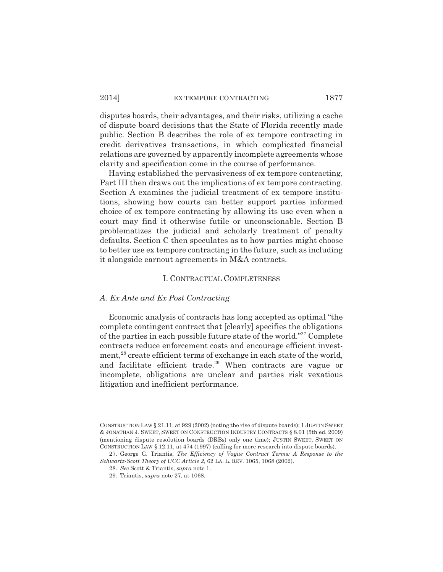disputes boards, their advantages, and their risks, utilizing a cache of dispute board decisions that the State of Florida recently made public. Section B describes the role of ex tempore contracting in credit derivatives transactions, in which complicated financial relations are governed by apparently incomplete agreements whose clarity and specification come in the course of performance.

Having established the pervasiveness of ex tempore contracting, Part III then draws out the implications of ex tempore contracting. Section A examines the judicial treatment of ex tempore institutions, showing how courts can better support parties informed choice of ex tempore contracting by allowing its use even when a court may find it otherwise futile or unconscionable. Section B problematizes the judicial and scholarly treatment of penalty defaults. Section C then speculates as to how parties might choose to better use ex tempore contracting in the future, such as including it alongside earnout agreements in M&A contracts.

#### I. CONTRACTUAL COMPLETENESS

#### *A. Ex Ante and Ex Post Contracting*

Economic analysis of contracts has long accepted as optimal "the complete contingent contract that [clearly] specifies the obligations of the parties in each possible future state of the world."27 Complete contracts reduce enforcement costs and encourage efficient investment.<sup>28</sup> create efficient terms of exchange in each state of the world, and facilitate efficient trade.<sup>29</sup> When contracts are vague or incomplete, obligations are unclear and parties risk vexatious litigation and inefficient performance.

CONSTRUCTION LAW § 21.11, at 929 (2002) (noting the rise of dispute boards); 1 JUSTIN SWEET & JONATHAN J. SWEET, SWEET ON CONSTRUCTION INDUSTRY CONTRACTS § 8.01 (5th ed. 2009) (mentioning dispute resolution boards (DRBs) only one time); JUSTIN SWEET, SWEET ON CONSTRUCTION LAW § 12.11, at 474 (1997) (calling for more research into dispute boards).

<sup>27.</sup> George G. Triantis, *The Efficiency of Vague Contract Terms: A Response to the Schwartz-Scott Theory of UCC Article 2*, 62 LA. L. REV. 1065, 1068 (2002).

<sup>28.</sup> *See* Scott & Triantis, *supra* note 1.

<sup>29.</sup> Triantis, *supra* note 27, at 1068.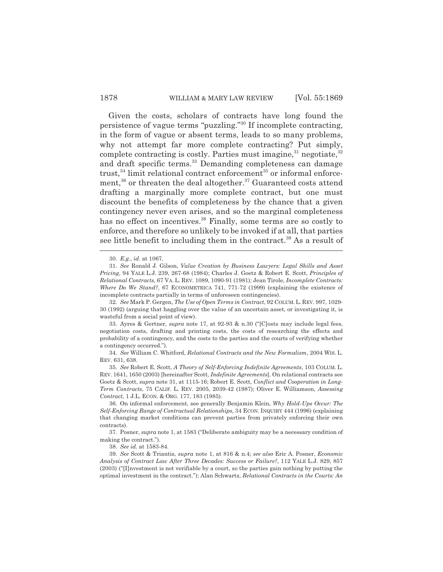Given the costs, scholars of contracts have long found the persistence of vague terms "puzzling."30 If incomplete contracting, in the form of vague or absent terms, leads to so many problems, why not attempt far more complete contracting? Put simply, complete contracting is costly. Parties must imagine, $31$  negotiate, $32$ and draft specific terms.33 Demanding completeness can damage trust, $34$  limit relational contract enforcement $35$  or informal enforcement, $36$  or threaten the deal altogether. $37$  Guaranteed costs attend drafting a marginally more complete contract, but one must discount the benefits of completeness by the chance that a given contingency never even arises, and so the marginal completeness has no effect on incentives.<sup>38</sup> Finally, some terms are so costly to enforce, and therefore so unlikely to be invoked if at all, that parties see little benefit to including them in the contract.<sup>39</sup> As a result of

32. *See* Mark P. Gergen, *The Use of Open Terms in Contract*, 92 COLUM.L. REV. 997, 1029- 30 (1992) (arguing that haggling over the value of an uncertain asset, or investigating it, is wasteful from a social point of view).

33. Ayres & Gertner, *supra* note 17, at 92-93 & n.30 ("[C]osts may include legal fees, negotiation costs, drafting and printing costs, the costs of researching the effects and probability of a contingency, and the costs to the parties and the courts of verifying whether a contingency occurred.").

34. *See* William C. Whitford, *Relational Contracts and the New Formalism*, 2004 WIS. L. REV. 631, 638.

35. *See* Robert E. Scott, *A Theory of Self-Enforcing Indefinite Agreements*, 103 COLUM. L. REV. 1641, 1650 (2003) [hereinafter Scott, *Indefinite Agreements*]. On relational contracts see Goetz & Scott, *supra* note 31, at 1115-16; Robert E. Scott, *Conflict and Cooperation in Long-Term Contracts*, 75 CALIF. L. REV. 2005, 2039-42 (1987); Oliver E. Williamson, *Assessing Contract*, 1 J.L. ECON. & ORG. 177, 183 (1985).

36. On informal enforcement, see generally Benjamin Klein, *Why Hold-Ups Occur: The Self-Enforcing Range of Contractual Relationships*, 34 ECON. INQUIRY 444 (1996) (explaining that changing market conditions can prevent parties from privately enforcing their own contracts).

37. Posner, *supra* note 1, at 1583 ("Deliberate ambiguity may be a necessary condition of making the contract.").

38. *See id.* at 1583-84.

39. *See* Scott & Triantis, *supra* note 1, at 816 & n.4; *see also* Eric A. Posner, *Economic Analysis of Contract Law After Three Decades: Success or Failure?*, 112 YALE L.J. 829, 857 (2003) ("[I]nvestment is not verifiable by a court, so the parties gain nothing by putting the optimal investment in the contract."); Alan Schwartz, *Relational Contracts in the Courts: An*

<sup>30.</sup> *E.g.*, *id*. at 1067.

<sup>31.</sup> *See* Ronald J. Gilson, *Value Creation by Business Lawyers: Legal Skills and Asset Pricing*, 94 YALE L.J. 239, 267-68 (1984); Charles J. Goetz & Robert E. Scott, *Principles of Relational Contracts*, 67 VA. L. REV. 1089, 1090-91 (1981); Jean Tirole, *Incomplete Contracts: Where Do We Stand?*, 67 ECONOMETRICA 741, 771-72 (1999) (explaining the existence of incomplete contracts partially in terms of unforeseen contingencies).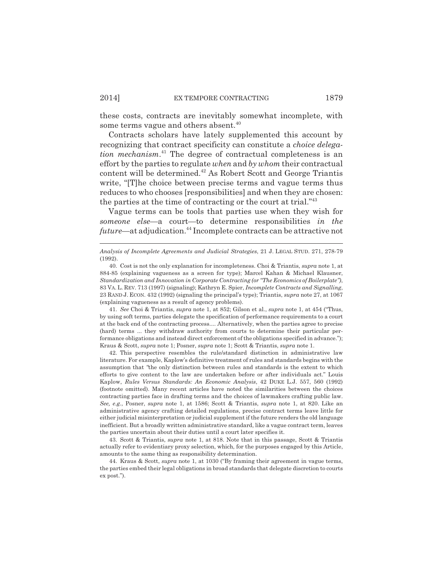these costs, contracts are inevitably somewhat incomplete, with some terms vague and others absent.<sup>40</sup>

Contracts scholars have lately supplemented this account by recognizing that contract specificity can constitute a *choice delegation mechanism*. 41 The degree of contractual completeness is an effort by the parties to regulate *when* and *by whom* their contractual content will be determined.42 As Robert Scott and George Triantis write, "[T]he choice between precise terms and vague terms thus reduces to who chooses [responsibilities] and when they are chosen: the parties at the time of contracting or the court at trial."43

Vague terms can be tools that parties use when they wish for *someone else*—a court—to determine responsibilities *in the future*—at adjudication.44 Incomplete contracts can be attractive not

41. *See* Choi & Triantis, *supra* note 1, at 852; Gilson et al., *supra* note 1, at 454 ("Thus, by using soft terms, parties delegate the specification of performance requirements to a court at the back end of the contracting process.... Alternatively, when the parties agree to precise (hard) terms ... they withdraw authority from courts to determine their particular performance obligations and instead direct enforcement of the obligations specified in advance."); Kraus & Scott, *supra* note 1; Posner, *supra* note 1; Scott & Triantis, *supra* note 1.

42. This perspective resembles the rule/standard distinction in administrative law literature. For example, Kaplow's definitive treatment of rules and standards begins with the assumption that *"*the only distinction between rules and standards is the extent to which efforts to give content to the law are undertaken before or after individuals act." Louis Kaplow, *Rules Versus Standards: An Economic Analysis*, 42 DUKE L.J. 557, 560 (1992) (footnote omitted). Many recent articles have noted the similarities between the choices contracting parties face in drafting terms and the choices of lawmakers crafting public law. *See, e.g.*, Posner, *supra* note 1, at 1586; Scott & Triantis, *supra* note 1, at 820. Like an administrative agency crafting detailed regulations, precise contract terms leave little for either judicial misinterpretation or judicial supplement if the future renders the old language inefficient. But a broadly written administrative standard, like a vague contract term, leaves the parties uncertain about their duties until a court later specifies it.

43. Scott & Triantis, *supra* note 1, at 818. Note that in this passage, Scott & Triantis actually refer to evidentiary proxy selection, which, for the purposes engaged by this Article, amounts to the same thing as responsibility determination.

44. Kraus & Scott, *supra* note 1, at 1030 ("By framing their agreement in vague terms, the parties embed their legal obligations in broad standards that delegate discretion to courts ex post.").

*Analysis of Incomplete Agreements and Judicial Strategies*, 21 J. LEGAL STUD. 271, 278-79 (1992).

<sup>40.</sup> Cost is not the only explanation for incompleteness. Choi & Triantis, *supra* note 1, at 884-85 (explaining vagueness as a screen for type); Marcel Kahan & Michael Klausner, *Standardization and Innovation in Corporate Contracting (or "The Economics of Boilerplate")*, 83 VA. L. REV. 713 (1997) (signaling); Kathryn E. Spier, *Incomplete Contracts and Signalling*, 23 RAND J. ECON. 432 (1992) (signaling the principal's type); Triantis, *supra* note 27, at 1067 (explaining vagueness as a result of agency problems).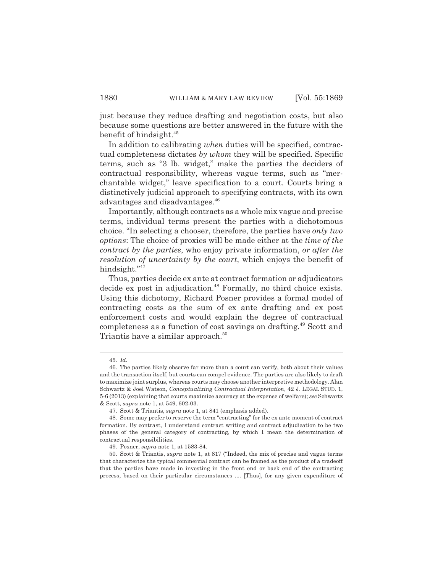just because they reduce drafting and negotiation costs, but also because some questions are better answered in the future with the benefit of hindsight.45

In addition to calibrating *when* duties will be specified, contractual completeness dictates *by whom* they will be specified. Specific terms, such as "3 lb. widget," make the parties the deciders of contractual responsibility, whereas vague terms, such as "merchantable widget," leave specification to a court. Courts bring a distinctively judicial approach to specifying contracts, with its own advantages and disadvantages.<sup>46</sup>

Importantly, although contracts as a whole mix vague and precise terms, individual terms present the parties with a dichotomous choice. "In selecting a chooser, therefore, the parties have *only two options*: The choice of proxies will be made either at the *time of the contract by the parties*, who enjoy private information, *or after the resolution of uncertainty by the court*, which enjoys the benefit of hindsight."47

Thus, parties decide ex ante at contract formation or adjudicators decide ex post in adjudication.<sup>48</sup> Formally, no third choice exists. Using this dichotomy, Richard Posner provides a formal model of contracting costs as the sum of ex ante drafting and ex post enforcement costs and would explain the degree of contractual completeness as a function of cost savings on drafting.<sup>49</sup> Scott and Triantis have a similar approach.<sup>50</sup>

<sup>45.</sup> *Id.*

<sup>46.</sup> The parties likely observe far more than a court can verify, both about their values and the transaction itself, but courts can compel evidence. The parties are also likely to draft to maximize joint surplus, whereas courts may choose another interpretive methodology. Alan Schwartz & Joel Watson, *Conceptualizing Contractual Interpretation*, 42 J. LEGAL STUD. 1, 5-6 (2013) (explaining that courts maximize accuracy at the expense of welfare); *see* Schwartz & Scott, *supra* note 1, at 549, 602-03.

<sup>47.</sup> Scott & Triantis, *supra* note 1, at 841 (emphasis added).

<sup>48.</sup> Some may prefer to reserve the term "contracting" for the ex ante moment of contract formation. By contrast, I understand contract writing and contract adjudication to be two phases of the general category of contracting, by which I mean the determination of contractual responsibilities.

<sup>49.</sup> Posner, *supra* note 1, at 1583-84.

<sup>50.</sup> Scott & Triantis, *supra* note 1, at 817 ("Indeed, the mix of precise and vague terms that characterize the typical commercial contract can be framed as the product of a tradeoff that the parties have made in investing in the front end or back end of the contracting process, based on their particular circumstances .... [Thus], for any given expenditure of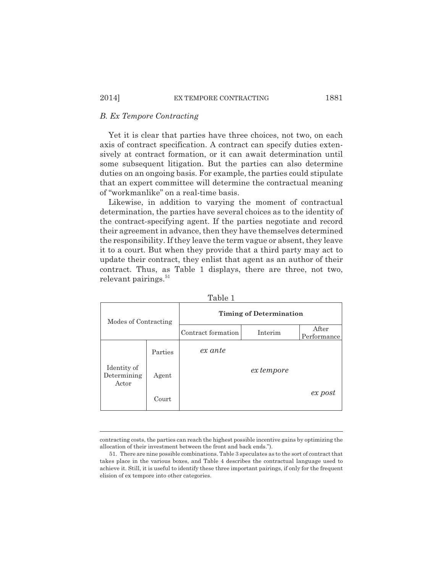#### *B. Ex Tempore Contracting*

Yet it is clear that parties have three choices, not two, on each axis of contract specification. A contract can specify duties extensively at contract formation, or it can await determination until some subsequent litigation. But the parties can also determine duties on an ongoing basis. For example, the parties could stipulate that an expert committee will determine the contractual meaning of "workmanlike" on a real-time basis.

Likewise, in addition to varying the moment of contractual determination, the parties have several choices as to the identity of the contract-specifying agent. If the parties negotiate and record their agreement in advance, then they have themselves determined the responsibility. If they leave the term vague or absent, they leave it to a court. But when they provide that a third party may act to update their contract, they enlist that agent as an author of their contract. Thus, as Table 1 displays, there are three, not two, relevant pairings. $51$ 

| Modes of Contracting                |         | <b>Timing of Determination</b> |            |                      |
|-------------------------------------|---------|--------------------------------|------------|----------------------|
|                                     |         | Contract formation             | Interim    | After<br>Performance |
|                                     | Parties | ex ante                        |            |                      |
| Identity of<br>Determining<br>Actor | Agent   |                                | ex tempore |                      |
|                                     | Court   |                                |            | $ex$ post            |

| r r |      |  |
|-----|------|--|
|     | anie |  |
|     |      |  |
|     |      |  |

contracting costs, the parties can reach the highest possible incentive gains by optimizing the allocation of their investment between the front and back ends.").

<sup>51.</sup> There are nine possible combinations. Table 3 speculates as to the sort of contract that takes place in the various boxes, and Table 4 describes the contractual language used to achieve it. Still, it is useful to identify these three important pairings, if only for the frequent elision of ex tempore into other categories.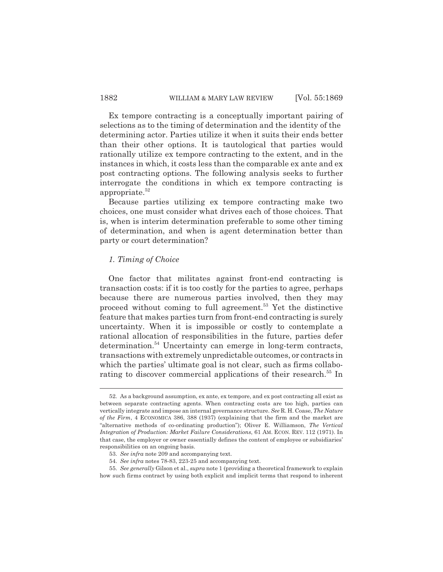Ex tempore contracting is a conceptually important pairing of selections as to the timing of determination and the identity of the determining actor. Parties utilize it when it suits their ends better than their other options. It is tautological that parties would rationally utilize ex tempore contracting to the extent, and in the instances in which, it costs less than the comparable ex ante and ex post contracting options. The following analysis seeks to further interrogate the conditions in which ex tempore contracting is appropriate. $52$ 

Because parties utilizing ex tempore contracting make two choices, one must consider what drives each of those choices. That is, when is interim determination preferable to some other timing of determination, and when is agent determination better than party or court determination?

#### *1. Timing of Choice*

One factor that militates against front-end contracting is transaction costs: if it is too costly for the parties to agree, perhaps because there are numerous parties involved, then they may proceed without coming to full agreement.53 Yet the distinctive feature that makes parties turn from front-end contracting is surely uncertainty. When it is impossible or costly to contemplate a rational allocation of responsibilities in the future, parties defer determination.<sup>54</sup> Uncertainty can emerge in long-term contracts, transactions with extremely unpredictable outcomes, or contracts in which the parties' ultimate goal is not clear, such as firms collaborating to discover commercial applications of their research.<sup>55</sup> In

<sup>52.</sup> As a background assumption, ex ante, ex tempore, and ex post contracting all exist as between separate contracting agents. When contracting costs are too high, parties can vertically integrate and impose an internal governance structure. *See* R. H. Coase, *The Nature of the Firm*, 4 ECONOMICA 386, 388 (1937) (explaining that the firm and the market are "alternative methods of co-ordinating production"); Oliver E. Williamson, *The Vertical Integration of Production: Market Failure Considerations*, 61 AM. ECON. REV. 112 (1971). In that case, the employer or owner essentially defines the content of employee or subsidiaries' responsibilities on an ongoing basis.

<sup>53.</sup> *See infra* note 209 and accompanying text.

<sup>54.</sup> *See infra* notes 78-83, 223-25 and accompanying text.

<sup>55.</sup> *See generally* Gilson et al., *supra* note 1 (providing a theoretical framework to explain how such firms contract by using both explicit and implicit terms that respond to inherent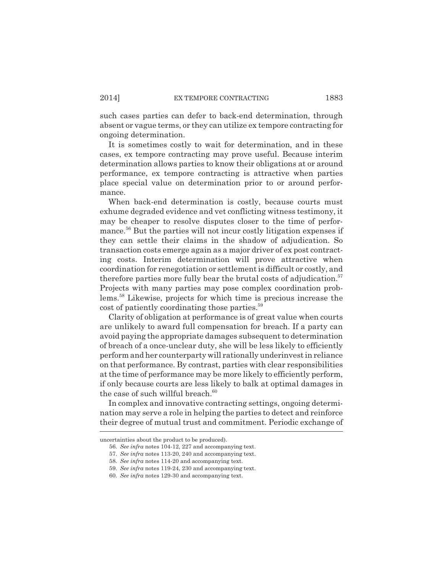such cases parties can defer to back-end determination, through absent or vague terms, or they can utilize ex tempore contracting for ongoing determination.

It is sometimes costly to wait for determination, and in these cases, ex tempore contracting may prove useful. Because interim determination allows parties to know their obligations at or around performance, ex tempore contracting is attractive when parties place special value on determination prior to or around performance.

When back-end determination is costly, because courts must exhume degraded evidence and vet conflicting witness testimony, it may be cheaper to resolve disputes closer to the time of performance.<sup>56</sup> But the parties will not incur costly litigation expenses if they can settle their claims in the shadow of adjudication. So transaction costs emerge again as a major driver of ex post contracting costs. Interim determination will prove attractive when coordination for renegotiation or settlement is difficult or costly, and therefore parties more fully bear the brutal costs of adjudication.<sup>57</sup> Projects with many parties may pose complex coordination problems.58 Likewise, projects for which time is precious increase the cost of patiently coordinating those parties.<sup>59</sup>

Clarity of obligation at performance is of great value when courts are unlikely to award full compensation for breach. If a party can avoid paying the appropriate damages subsequent to determination of breach of a once-unclear duty, she will be less likely to efficiently perform and her counterparty will rationally underinvest in reliance on that performance. By contrast, parties with clear responsibilities at the time of performance may be more likely to efficiently perform, if only because courts are less likely to balk at optimal damages in the case of such willful breach.<sup>60</sup>

In complex and innovative contracting settings, ongoing determination may serve a role in helping the parties to detect and reinforce their degree of mutual trust and commitment. Periodic exchange of

uncertainties about the product to be produced).

<sup>56.</sup> *See infra* notes 104-12, 227 and accompanying text.

<sup>57.</sup> *See infra* notes 113-20, 240 and accompanying text.

<sup>58.</sup> *See infra* notes 114-20 and accompanying text.

<sup>59.</sup> *See infra* notes 119-24, 230 and accompanying text.

<sup>60.</sup> *See infra* notes 129-30 and accompanying text.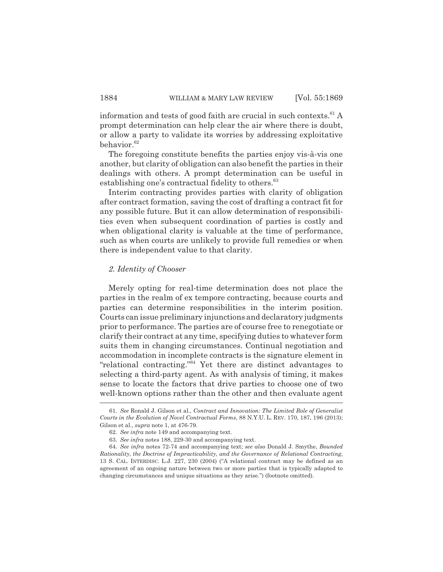information and tests of good faith are crucial in such contexts. $61$  A prompt determination can help clear the air where there is doubt, or allow a party to validate its worries by addressing exploitative behavior. $62$ 

The foregoing constitute benefits the parties enjoy vis-à-vis one another, but clarity of obligation can also benefit the parties in their dealings with others. A prompt determination can be useful in establishing one's contractual fidelity to others.<sup>63</sup>

Interim contracting provides parties with clarity of obligation after contract formation, saving the cost of drafting a contract fit for any possible future. But it can allow determination of responsibilities even when subsequent coordination of parties is costly and when obligational clarity is valuable at the time of performance, such as when courts are unlikely to provide full remedies or when there is independent value to that clarity.

#### *2. Identity of Chooser*

Merely opting for real-time determination does not place the parties in the realm of ex tempore contracting, because courts and parties can determine responsibilities in the interim position. Courts can issue preliminary injunctions and declaratory judgments prior to performance. The parties are of course free to renegotiate or clarify their contract at any time, specifying duties to whatever form suits them in changing circumstances. Continual negotiation and accommodation in incomplete contracts is the signature element in "relational contracting."64 Yet there are distinct advantages to selecting a third-party agent. As with analysis of timing, it makes sense to locate the factors that drive parties to choose one of two well-known options rather than the other and then evaluate agent

<sup>61.</sup> *See* Ronald J. Gilson et al., *Contract and Innovation: The Limited Role of Generalist Courts in the Evolution of Novel Contractual Forms*, 88 N.Y.U. L. REV. 170, 187, 196 (2013); Gilson et al., *supra* note 1, at 476-79.

<sup>62.</sup> *See infra* note 149 and accompanying text.

<sup>63.</sup> *See infra* notes 188, 229-30 and accompanying text.

<sup>64.</sup> *See infra* notes 72-74 and accompanying text; *see also* Donald J. Smythe, *Bounded Rationality, the Doctrine of Impracticability, and the Governance of Relational Contracting*, 13 S. CAL. INTERDISC. L.J. 227, 230 (2004) ("A relational contract may be defined as an agreement of an ongoing nature between two or more parties that is typically adapted to changing circumstances and unique situations as they arise.") (footnote omitted).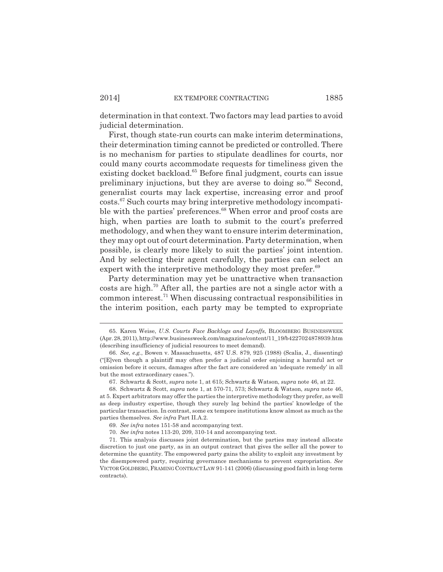determination in that context. Two factors may lead parties to avoid judicial determination.

First, though state-run courts can make interim determinations, their determination timing cannot be predicted or controlled. There is no mechanism for parties to stipulate deadlines for courts, nor could many courts accommodate requests for timeliness given the existing docket backload.<sup>65</sup> Before final judgment, courts can issue preliminary injuctions, but they are averse to doing so.<sup>66</sup> Second, generalist courts may lack expertise, increasing error and proof costs.67 Such courts may bring interpretive methodology incompatible with the parties' preferences.<sup>68</sup> When error and proof costs are high, when parties are loath to submit to the court's preferred methodology, and when they want to ensure interim determination, they may opt out of court determination. Party determination, when possible, is clearly more likely to suit the parties' joint intention. And by selecting their agent carefully, the parties can select an expert with the interpretive methodology they most prefer.<sup>69</sup>

Party determination may yet be unattractive when transaction costs are high.<sup>70</sup> After all, the parties are not a single actor with a common interest.71 When discussing contractual responsibilities in the interim position, each party may be tempted to expropriate

<sup>65.</sup> Karen Weise, *U.S. Courts Face Backlogs and Layoffs*, BLOOMBERG BUSINESSWEEK (Apr. 28, 2011), http://www.businessweek.com/magazine/content/11\_19/b4227024878939.htm (describing insufficiency of judicial resources to meet demand).

<sup>66.</sup> *See, e.g.*, Bowen v. Massachusetts, 487 U.S. 879, 925 (1988) (Scalia, J., dissenting) ("[E]ven though a plaintiff may often prefer a judicial order enjoining a harmful act or omission before it occurs, damages after the fact are considered an 'adequate remedy' in all but the most extraordinary cases.").

<sup>67.</sup> Schwartz & Scott, *supra* note 1, at 615; Schwartz & Watson, *supra* note 46, at 22.

<sup>68.</sup> Schwartz & Scott, *supra* note 1, at 570-71, 573; Schwartz & Watson, *supra* note 46, at 5. Expert arbitrators may offer the parties the interpretive methodology they prefer, as well as deep industry expertise, though they surely lag behind the parties' knowledge of the particular transaction. In contrast, some ex tempore institutions know almost as much as the parties themselves. *See infra* Part II.A.2.

<sup>69.</sup> *See infra* notes 151-58 and accompanying text.

<sup>70.</sup> *See infra* notes 113-20, 209, 310-14 and accompanying text.

<sup>71.</sup> This analysis discusses joint determination, but the parties may instead allocate discretion to just one party, as in an output contract that gives the seller all the power to determine the quantity. The empowered party gains the ability to exploit any investment by the disempowered party, requiring governance mechanisms to prevent expropriation. *See* VICTOR GOLDBERG,FRAMING CONTRACT LAW 91-141 (2006) (discussing good faith in long-term contracts).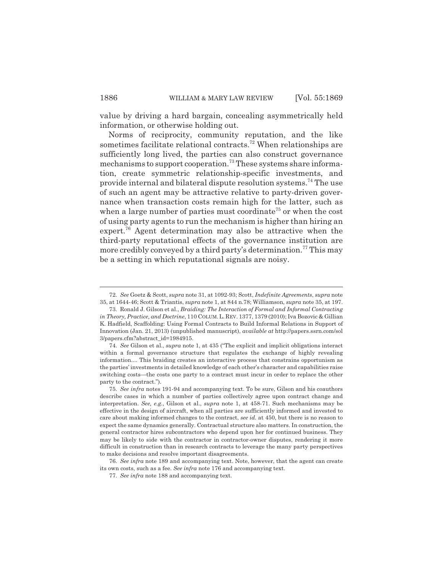value by driving a hard bargain, concealing asymmetrically held information, or otherwise holding out.

Norms of reciprocity, community reputation, and the like sometimes facilitate relational contracts.<sup>72</sup> When relationships are sufficiently long lived, the parties can also construct governance mechanisms to support cooperation.73 These systems share information, create symmetric relationship-specific investments, and provide internal and bilateral dispute resolution systems.74 The use of such an agent may be attractive relative to party-driven governance when transaction costs remain high for the latter, such as when a large number of parties must coordinate<sup>75</sup> or when the cost of using party agents to run the mechanism is higher than hiring an expert.<sup>76</sup> Agent determination may also be attractive when the third-party reputational effects of the governance institution are more credibly conveyed by a third party's determination.<sup>77</sup> This may be a setting in which reputational signals are noisy.

<sup>72.</sup> *See* Goetz & Scott, *supra* note 31, at 1092-93; Scott, *Indefinite Agreements*, *supra* note 35, at 1644-46; Scott & Triantis, *supra* note 1, at 844 n.78; Williamson, *supra* note 35, at 197.

<sup>73.</sup> Ronald J. Gilson et al., *Braiding: The Interaction of Formal and Informal Contracting in Theory, Practice, and Doctrine*, 110 COLUM.L. REV. 1377, 1379 (2010); Iva Bozovic & Gillian K. Hadfield, Scaffolding: Using Formal Contracts to Build Informal Relations in Support of Innovation (Jan. 21, 2013) (unpublished manuscript), *available at* http://papers.ssrn.com/sol 3/papers.cfm?abstract\_id=1984915.

<sup>74.</sup> *See* Gilson et al., *supra* note 1, at 435 ("The explicit and implicit obligations interact within a formal governance structure that regulates the exchange of highly revealing information.... This braiding creates an interactive process that constrains opportunism as the parties' investments in detailed knowledge of each other's character and capabilities raise switching costs—the costs one party to a contract must incur in order to replace the other party to the contract.").

<sup>75.</sup> *See infra* notes 191-94 and accompanying text. To be sure, Gilson and his coauthors describe cases in which a number of parties collectively agree upon contract change and interpretation. *See, e.g.*, Gilson et al., *supra* note 1, at 458-71. Such mechanisms may be effective in the design of aircraft, when all parties are sufficiently informed and invested to care about making informed changes to the contract, *see id.* at 450, but there is no reason to expect the same dynamics generally. Contractual structure also matters. In construction, the general contractor hires subcontractors who depend upon her for continued business. They may be likely to side with the contractor in contractor-owner disputes, rendering it more difficult in construction than in research contracts to leverage the many party perspectives to make decisions and resolve important disagreements.

<sup>76.</sup> *See infra* note 189 and accompanying text. Note, however, that the agent can create its own costs, such as a fee. *See infra* note 176 and accompanying text.

<sup>77.</sup> *See infra* note 188 and accompanying text.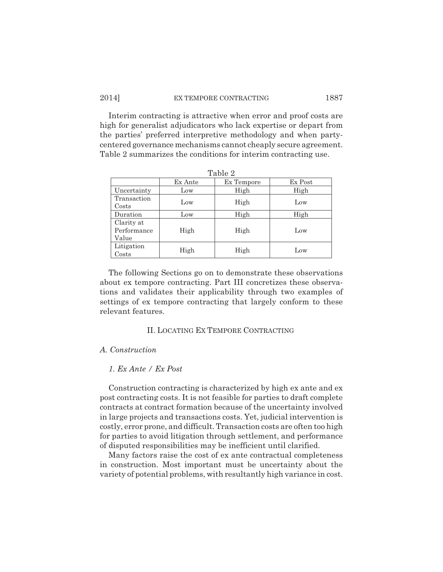#### 2014] EX TEMPORE CONTRACTING 1887

Interim contracting is attractive when error and proof costs are high for generalist adjudicators who lack expertise or depart from the parties' preferred interpretive methodology and when partycentered governance mechanisms cannot cheaply secure agreement. Table 2 summarizes the conditions for interim contracting use.

| 10010H                             |         |            |         |  |
|------------------------------------|---------|------------|---------|--|
|                                    | Ex Ante | Ex Tempore | Ex Post |  |
| Uncertainty                        | Low     | High       | High    |  |
| Transaction<br>Costs               | Low     | High       | Low     |  |
| Duration                           | Low     | High       | High    |  |
| Clarity at<br>Performance<br>Value | High    | High       | Low     |  |
| Litigation<br>Costs                | High    | High       | Low     |  |

Table 2

The following Sections go on to demonstrate these observations about ex tempore contracting. Part III concretizes these observations and validates their applicability through two examples of settings of ex tempore contracting that largely conform to these relevant features.

#### II. LOCATING EX TEMPORE CONTRACTING

#### *A. Construction*

#### *1. Ex Ante / Ex Post*

Construction contracting is characterized by high ex ante and ex post contracting costs. It is not feasible for parties to draft complete contracts at contract formation because of the uncertainty involved in large projects and transactions costs. Yet, judicial intervention is costly, error prone, and difficult. Transaction costs are often too high for parties to avoid litigation through settlement, and performance of disputed responsibilities may be inefficient until clarified.

Many factors raise the cost of ex ante contractual completeness in construction. Most important must be uncertainty about the variety of potential problems, with resultantly high variance in cost.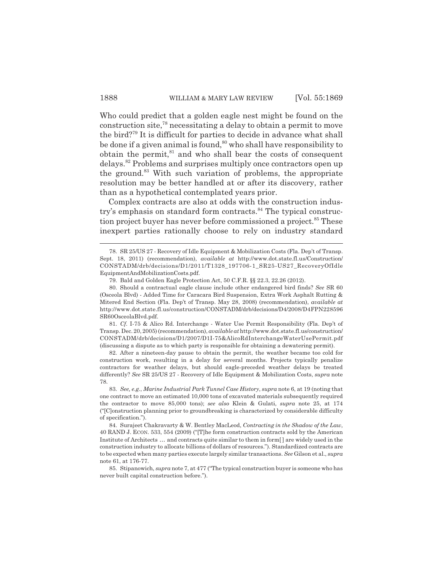Who could predict that a golden eagle nest might be found on the construction site,78 necessitating a delay to obtain a permit to move the bird?79 It is difficult for parties to decide in advance what shall be done if a given animal is found,<sup>80</sup> who shall have responsibility to obtain the permit, ${}^{81}$  and who shall bear the costs of consequent delays.82 Problems and surprises multiply once contractors open up the ground.<sup>83</sup> With such variation of problems, the appropriate resolution may be better handled at or after its discovery, rather than as a hypothetical contemplated years prior.

Complex contracts are also at odds with the construction industry's emphasis on standard form contracts.<sup>84</sup> The typical construction project buyer has never before commissioned a project.<sup>85</sup> These inexpert parties rationally choose to rely on industry standard

82. After a nineteen-day pause to obtain the permit, the weather became too cold for construction work, resulting in a delay for several months. Projects typically penalize contractors for weather delays, but should eagle-preceded weather delays be treated differently? *See* SR 25/US 27 - Recovery of Idle Equipment & Mobilization Costs, *supra* note 78.

<sup>78.</sup> SR 25/US 27 - Recovery of Idle Equipment & Mobilization Costs (Fla. Dep't of Transp. Sept. 18, 2011) (recommendation), *available at* http://www.dot.state.fl.us/Construction/ CONSTADM/drb/decisions/D1/2011/T1328\_197706-1\_SR25-US27\_RecoveryOfIdle EquipmentAndMobilizationCosts.pdf.

<sup>79.</sup> Bald and Golden Eagle Protection Act, 50 C.F.R. §§ 22.3, 22.26 (2012).

<sup>80.</sup> Should a contractual eagle clause include other endangered bird finds? *See* SR 60 (Osceola Blvd) - Added Time for Caracara Bird Suspension, Extra Work Asphalt Rutting & Mitered End Section (Fla. Dep't of Transp. May 28, 2008) (recommendation), *available at* http://www.dot.state.fl.us/construction/CONSTADM/drb/decisions/D4/2008/D4FPN228596 SR60OsceolaBlvd.pdf.

<sup>81.</sup> *Cf.* I-75 & Alico Rd. Interchange - Water Use Permit Responsibility (Fla. Dep't of Transp. Dec. 20, 2005) (recommendation), *available at* http://www.dot.state.fl.us/construction/ CONSTADM/drb/decisions/D1/2007/D1I-75&AlicoRdInterchangeWaterUsePermit.pdf (discussing a dispute as to which party is responsible for obtaining a dewatering permit).

<sup>83.</sup> *See, e.g.*, *Marine Industrial Park Tunnel Case History*, *supra* note 6, at 19 (noting that one contract to move an estimated 10,000 tons of excavated materials subsequently required the contractor to move 85,000 tons); *see also* Klein & Gulati, *supra* note 25, at 174 ("[C]onstruction planning prior to groundbreaking is characterized by considerable difficulty of specification.").

<sup>84.</sup> Surajeet Chakravarty & W. Bentley MacLeod, *Contracting in the Shadow of the Law*, 40 RAND J. ECON. 533, 554 (2009) ("[T]he form construction contracts sold by the American Institute of Architects … and contracts quite similar to them in form[ ] are widely used in the construction industry to allocate billions of dollars of resources."). Standardized contracts are to be expected when many parties execute largely similar transactions. *See* Gilson et al., *supra* note 61, at 176-77.

<sup>85.</sup> Stipanowich, *supra* note 7, at 477 ("The typical construction buyer is someone who has never built capital construction before.").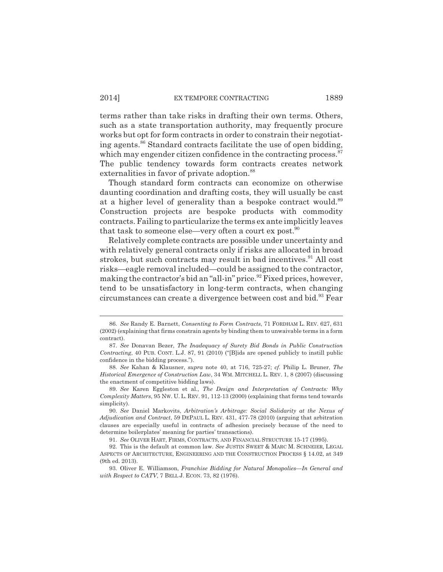terms rather than take risks in drafting their own terms. Others, such as a state transportation authority, may frequently procure works but opt for form contracts in order to constrain their negotiating agents.<sup>86</sup> Standard contracts facilitate the use of open bidding, which may engender citizen confidence in the contracting process. $87$ The public tendency towards form contracts creates network externalities in favor of private adoption.<sup>88</sup>

Though standard form contracts can economize on otherwise daunting coordination and drafting costs, they will usually be cast at a higher level of generality than a bespoke contract would.<sup>89</sup> Construction projects are bespoke products with commodity contracts. Failing to particularize the terms ex ante implicitly leaves that task to someone else—very often a court ex post.<sup>90</sup>

Relatively complete contracts are possible under uncertainty and with relatively general contracts only if risks are allocated in broad strokes, but such contracts may result in bad incentives.<sup>91</sup> All cost risks—eagle removal included—could be assigned to the contractor, making the contractor's bid an "all-in" price.<sup>92</sup> Fixed prices, however, tend to be unsatisfactory in long-term contracts, when changing circumstances can create a divergence between cost and bid.<sup>93</sup> Fear

<sup>86.</sup> *See* Randy E. Barnett, *Consenting to Form Contracts*, 71 FORDHAM L. REV. 627, 631 (2002) (explaining that firms constrain agents by binding them to unwaivable terms in a form contract).

<sup>87.</sup> *See* Donavan Bezer, *The Inadequacy of Surety Bid Bonds in Public Construction Contracting*, 40 PUB. CONT. L.J. 87, 91 (2010) ("[B]ids are opened publicly to instill public confidence in the bidding process.").

<sup>88.</sup> *See* Kahan & Klausner, *supra* note 40, at 716, 725-27; *cf.* Philip L. Bruner, *The Historical Emergence of Construction Law*, 34 WM. MITCHELL L. REV. 1, 8 (2007) (discussing the enactment of competitive bidding laws).

<sup>89.</sup> *See* Karen Eggleston et al., *The Design and Interpretation of Contracts: Why Complexity Matters*, 95 NW. U. L. REV. 91, 112-13 (2000) (explaining that forms tend towards simplicity).

<sup>90.</sup> *See* Daniel Markovits, *Arbitration's Arbitrage: Social Solidarity at the Nexus of Adjudication and Contract*, 59 DEPAUL L. REV. 431, 477-78 (2010) (arguing that arbitration clauses are especially useful in contracts of adhesion precisely because of the need to determine boilerplates' meaning for parties' transactions).

<sup>91.</sup> *See* OLIVER HART, FIRMS, CONTRACTS, AND FINANCIAL STRUCTURE 15-17 (1995).

<sup>92.</sup> This is the default at common law. *See* JUSTIN SWEET & MARC M. SCHNEIER, LEGAL ASPECTS OF ARCHITECTURE, ENGINEERING AND THE CONSTRUCTION PROCESS § 14.02, at 349 (9th ed. 2013).

<sup>93.</sup> Oliver E. Williamson, *Franchise Bidding for Natural Monopolies—In General and with Respect to CATV*, 7 BELL J. ECON. 73, 82 (1976).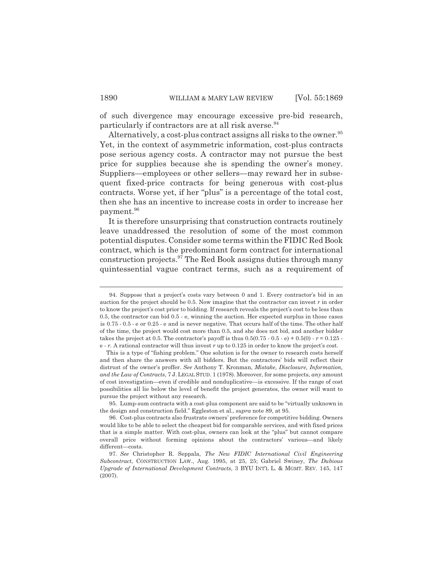of such divergence may encourage excessive pre-bid research, particularly if contractors are at all risk averse.<sup>94</sup>

Alternatively, a cost-plus contract assigns all risks to the owner.<sup>95</sup> Yet, in the context of asymmetric information, cost-plus contracts pose serious agency costs. A contractor may not pursue the best price for supplies because she is spending the owner's money. Suppliers—employees or other sellers—may reward her in subsequent fixed-price contracts for being generous with cost-plus contracts. Worse yet, if her "plus" is a percentage of the total cost, then she has an incentive to increase costs in order to increase her payment.<sup>96</sup>

It is therefore unsurprising that construction contracts routinely leave unaddressed the resolution of some of the most common potential disputes. Consider some terms within the FIDIC Red Book contract, which is the predominant form contract for international construction projects.97 The Red Book assigns duties through many quintessential vague contract terms, such as a requirement of

<sup>94.</sup> Suppose that a project's costs vary between 0 and 1. Every contractor's bid in an auction for the project should be 0.5. Now imagine that the contractor can invest *r* in order to know the project's cost prior to bidding. If research reveals the project's cost to be less than 0.5, the contractor can bid 0.5 - e, winning the auction. Her expected surplus in those cases is 0.75 - 0.5 - e or 0.25 - e and is never negative. That occurs half of the time. The other half of the time, the project would cost more than 0.5, and she does not bid, and another bidder takes the project at 0.5. The contractor's payoff is thus  $0.5(0.75 \cdot 0.5 \cdot e) + 0.5(0) \cdot r = 0.125$ . e - *r.* A rational contractor will thus invest *r* up to 0.125 in order to know the project's cost.

This is a type of "fishing problem." One solution is for the owner to research costs herself and then share the answers with all bidders. But the contractors' bids will reflect their distrust of the owner's proffer. *See* Anthony T. Kronman, *Mistake, Disclosure, Information, and the Law of Contracts*, 7 J.LEGAL STUD. 1 (1978). Moreover, for some projects, *any* amount of cost investigation—even if credible and nonduplicative—is excessive. If the range of cost possibilities all lie below the level of benefit the project generates, the owner will want to pursue the project without any research.

<sup>95.</sup> Lump-sum contracts with a cost-plus component are said to be "virtually unknown in the design and construction field." Eggleston et al., *supra* note 89, at 95.

<sup>96.</sup> Cost-plus contracts also frustrate owners' preference for competitive bidding. Owners would like to be able to select the cheapest bid for comparable services, and with fixed prices that is a simple matter. With cost-plus, owners can look at the "plus" but cannot compare overall price without forming opinions about the contractors' various—and likely different—costs.

<sup>97.</sup> *See* Christopher R. Seppala, *The New FIDIC International Civil Engineering Subcontract*, CONSTRUCTION LAW., Aug. 1995, at 25, 25; Gabriel Swiney, *The Dubious Upgrade of International Development Contracts*, 3 BYU INT'L L. & MGMT. REV. 145, 147 (2007).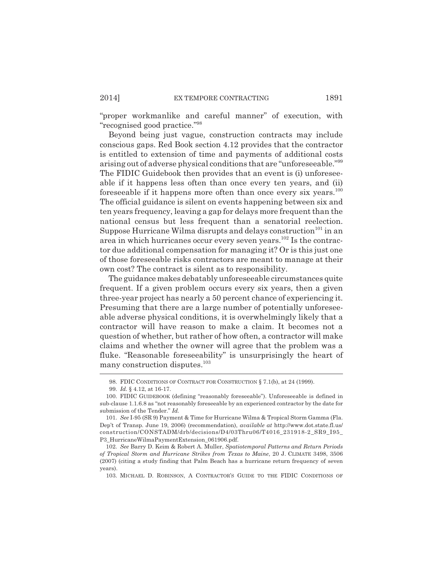"proper workmanlike and careful manner" of execution, with "recognised good practice."98

Beyond being just vague, construction contracts may include conscious gaps. Red Book section 4.12 provides that the contractor is entitled to extension of time and payments of additional costs arising out of adverse physical conditions that are "unforeseeable."99 The FIDIC Guidebook then provides that an event is (i) unforeseeable if it happens less often than once every ten years, and (ii) foreseeable if it happens more often than once every six years.<sup>100</sup> The official guidance is silent on events happening between six and ten years frequency, leaving a gap for delays more frequent than the national census but less frequent than a senatorial reelection. Suppose Hurricane Wilma disrupts and delays construction<sup>101</sup> in an area in which hurricanes occur every seven years.102 Is the contractor due additional compensation for managing it? Or is this just one of those foreseeable risks contractors are meant to manage at their own cost? The contract is silent as to responsibility.

The guidance makes debatably unforeseeable circumstances quite frequent. If a given problem occurs every six years, then a given three-year project has nearly a 50 percent chance of experiencing it. Presuming that there are a large number of potentially unforeseeable adverse physical conditions, it is overwhelmingly likely that a contractor will have reason to make a claim. It becomes not a question of whether, but rather of how often, a contractor will make claims and whether the owner will agree that the problem was a fluke. "Reasonable foreseeability" is unsurprisingly the heart of many construction disputes.<sup>103</sup>

<sup>98.</sup> FDIC CONDITIONS OF CONTRACT FOR CONSTRUCTION § 7.1(b), at 24 (1999).

<sup>99.</sup> *Id.* § 4.12, at 16-17.

<sup>100.</sup> FIDIC GUIDEBOOK (defining "reasonably foreseeable"). Unforeseeable is defined in sub-clause 1.1.6.8 as "not reasonably foreseeable by an experienced contractor by the date for submission of the Tender." *Id.*

<sup>101.</sup> *See* I-95 (SR 9) Payment & Time for Hurricane Wilma & Tropical Storm Gamma (Fla. Dep't of Transp. June 19, 2006) (recommendation), *available at* http://www.dot.state.fl.us/ construction/CONSTADM/drb/decisions/D4/03Thru06/T4016\_231918-2\_SR9\_I95\_ P3\_HurricaneWilmaPaymentExtension\_061906.pdf.

<sup>102.</sup> *See* Barry D. Keim & Robert A. Muller, *Spatiotemporal Patterns and Return Periods of Tropical Storm and Hurricane Strikes from Texas to Maine*, 20 J. CLIMATE 3498, 3506 (2007) (citing a study finding that Palm Beach has a hurricane return frequency of seven years).

<sup>103.</sup> MICHAEL D. ROBINSON, A CONTRACTOR'S GUIDE TO THE FIDIC CONDITIONS OF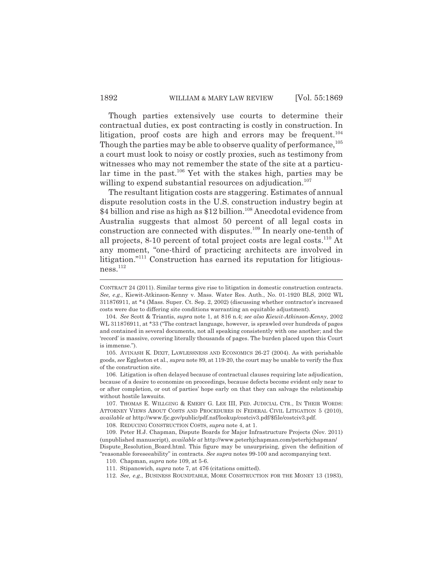Though parties extensively use courts to determine their contractual duties, ex post contracting is costly in construction. In litigation, proof costs are high and errors may be frequent.<sup>104</sup> Though the parties may be able to observe quality of performance.<sup>105</sup> a court must look to noisy or costly proxies, such as testimony from witnesses who may not remember the state of the site at a particular time in the past.<sup>106</sup> Yet with the stakes high, parties may be willing to expend substantial resources on adjudication. $107$ 

The resultant litigation costs are staggering. Estimates of annual dispute resolution costs in the U.S. construction industry begin at \$4 billion and rise as high as \$12 billion.<sup>108</sup> Anecdotal evidence from Australia suggests that almost 50 percent of all legal costs in construction are connected with disputes.<sup>109</sup> In nearly one-tenth of all projects, 8-10 percent of total project costs are legal costs.110 At any moment, "one-third of practicing architects are involved in litigation."111 Construction has earned its reputation for litigiousness.112

105. AVINASH K. DIXIT, LAWLESSNESS AND ECONOMICS 26-27 (2004). As with perishable goods, *see* Eggleston et al., *supra* note 89, at 119-20, the court may be unable to verify the flux of the construction site.

106. Litigation is often delayed because of contractual clauses requiring late adjudication, because of a desire to economize on proceedings, because defects become evident only near to or after completion, or out of parties' hope early on that they can salvage the relationship without hostile lawsuits.

107. THOMAS E. WILLGING & EMERY G. LEE III, FED. JUDICIAL CTR., IN THEIR WORDS: ATTORNEY VIEWS ABOUT COSTS AND PROCEDURES IN FEDERAL CIVIL LITIGATION 5 (2010), *available at* http://www.fjc.gov/public/pdf.nsf/lookup/costciv3.pdf/\$file/costciv3.pdf.

108. REDUCING CONSTRUCTION COSTS, *supra* note 4, at 1.

CONTRACT 24 (2011). Similar terms give rise to litigation in domestic construction contracts. *See, e.g.*, Kiewit-Atkinson-Kenny v. Mass. Water Res. Auth., No. 01-1920 BLS, 2002 WL 311876911, at \*4 (Mass. Super. Ct. Sep. 2, 2002) (discussing whether contractor's increased costs were due to differing site conditions warranting an equitable adjustment).

<sup>104.</sup> *See* Scott & Triantis, *supra* note 1, at 816 n.4; *see also Kiewit-Atkinson-Kenny*, 2002 WL 311876911, at \*33 ("The contract language, however, is sprawled over hundreds of pages and contained in several documents, not all speaking consistently with one another; and the 'record' is massive, covering literally thousands of pages. The burden placed upon this Court is immense.").

<sup>109.</sup> Peter H.J. Chapman, Dispute Boards for Major Infrastructure Projects (Nov. 2011) (unpublished manuscript), *available at* http://www.peterhjchapman.com/peterhjchapman/ Dispute\_Resolution\_Board.html. This figure may be unsurprising, given the definition of "reasonable foreseeability" in contracts. *See supra* notes 99-100 and accompanying text.

<sup>110.</sup> Chapman, *supra* note 109, at 5-6.

<sup>111.</sup> Stipanowich, *supra* note 7, at 476 (citations omitted).

<sup>112.</sup> *See, e.g.*, BUSINESS ROUNDTABLE, MORE CONSTRUCTION FOR THE MONEY 13 (1983),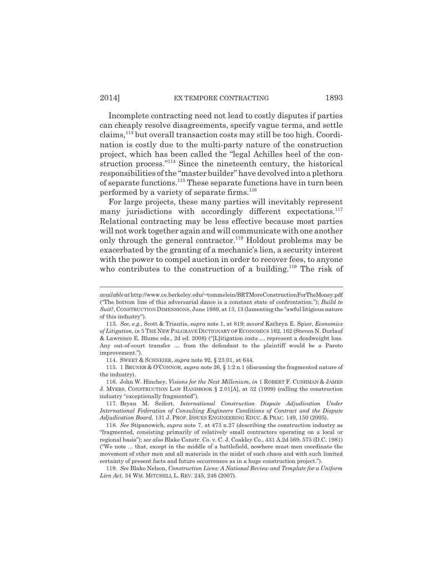Incomplete contracting need not lead to costly disputes if parties can cheaply resolve disagreements, specify vague terms, and settle claims,113 but overall transaction costs may still be too high. Coordination is costly due to the multi-party nature of the construction project, which has been called the "legal Achilles heel of the construction process."114 Since the nineteenth century, the historical responsibilities of the "master builder" have devolved into a plethora of separate functions.115 These separate functions have in turn been performed by a variety of separate firms.<sup>116</sup>

For large projects, these many parties will inevitably represent many jurisdictions with accordingly different expectations.<sup>117</sup> Relational contracting may be less effective because most parties will not work together again and will communicate with one another only through the general contractor.118 Holdout problems may be exacerbated by the granting of a mechanic's lien, a security interest with the power to compel auction in order to recover fees, to anyone who contributes to the construction of a building.<sup>119</sup> The risk of

115. 1 BRUNER & O'CONNOR, *supra* note 26, § 1:2 n.1 (discussing the fragmented nature of the industry).

*available at* http://www.ce.berkeley.edu/~tommelein/BRTMoreConstructionForTheMoney.pdf ("The bottom line of this adversarial dance is a constant state of confrontation."); *Build to Suit?*, CONSTRUCTION DIMENSIONS, June 1989, at 13, 13 (lamenting the "awful litigious nature of this industry").

<sup>113.</sup> *See, e.g.*, Scott & Triantis, *supra* note 1, at 819; *accord* Kathryn E. Spier, *Economics of Litigation*, *in* 5 THE NEW PALGRAVE DICTIONARY OF ECONOMICS 162, 162 (Steven N. Durlauf & Lawrence E. Blume eds., 2d ed. 2008) ("[L]itigation costs … represent a deadweight loss. Any out-of-court transfer … from the defendant to the plaintiff would be a Pareto improvement.").

<sup>114.</sup> SWEET & SCHNEIER, *supra* note 92, § 23.01, at 644.

<sup>116.</sup> John W. Hinchey, *Visions for the Next Millenium*, *in* 1 ROBERT F. CUSHMAN & JAMES J. MYERS, CONSTRUCTION LAW HANDBOOK § 2.01[A], at 32 (1999) (calling the construction industry "exceptionally fragmented").

<sup>117.</sup> Bryan M. Seifert, *International Construction Dispute Adjudication Under International Federation of Consulting Engineers Conditions of Contract and the Dispute Adjudication Board*, 131 J. PROF. ISSUES ENGINEERING EDUC. & PRAC. 149, 150 (2005).

<sup>118.</sup> *See* Stipanowich, *supra* note 7, at 473 n.27 (describing the construction industry as "fragmented, consisting primarily of relatively small contractors operating on a local or regional basis"); *see also* Blake Constr. Co. v. C. J. Coakley Co., 431 A.2d 569, 575 (D.C. 1981) ("We note ... that, except in the middle of a battlefield, nowhere must men coordinate the movement of other men and all materials in the midst of such chaos and with such limited certainty of present facts and future occurrences as in a huge construction project.").

<sup>119.</sup> *See* Blake Nelson, *Construction Liens: A National Review and Template for a Uniform Lien Act*, 34 WM. MITCHELL L. REV. 245, 246 (2007).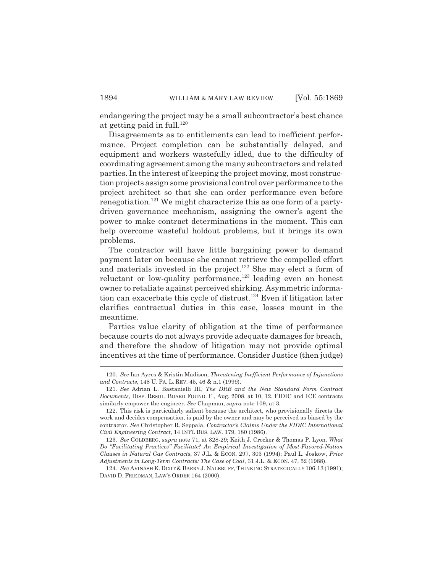endangering the project may be a small subcontractor's best chance at getting paid in full. $120$ 

Disagreements as to entitlements can lead to inefficient performance. Project completion can be substantially delayed, and equipment and workers wastefully idled, due to the difficulty of coordinating agreement among the many subcontractors and related parties. In the interest of keeping the project moving, most construction projects assign some provisional control over performance to the project architect so that she can order performance even before renegotiation.<sup>121</sup> We might characterize this as one form of a partydriven governance mechanism, assigning the owner's agent the power to make contract determinations in the moment. This can help overcome wasteful holdout problems, but it brings its own problems.

The contractor will have little bargaining power to demand payment later on because she cannot retrieve the compelled effort and materials invested in the project.<sup>122</sup> She may elect a form of reluctant or low-quality performance, $123$  leading even an honest owner to retaliate against perceived shirking. Asymmetric information can exacerbate this cycle of distrust.<sup>124</sup> Even if litigation later clarifies contractual duties in this case, losses mount in the meantime.

Parties value clarity of obligation at the time of performance because courts do not always provide adequate damages for breach, and therefore the shadow of litigation may not provide optimal incentives at the time of performance. Consider Justice (then judge)

<sup>120.</sup> *See* Ian Ayres & Kristin Madison, *Threatening Inefficient Performance of Injunctions and Contracts*, 148 U. PA. L. REV. 45, 46 & n.1 (1999).

<sup>121.</sup> *See* Adrian L. Bastanielli III, *The DRB and the New Standard Form Contract Documents*, DISP. RESOL. BOARD FOUND. F., Aug. 2008, at 10, 12. FIDIC and ICE contracts similarly empower the engineer. *See* Chapman, *supra* note 109, at 3.

<sup>122.</sup> This risk is particularly salient because the architect, who provisionally directs the work and decides compensation, is paid by the owner and may be perceived as biased by the contractor. *See* Christopher R. Seppala, *Contractor's Claims Under the FIDIC International Civil Engineering Contract*, 14 INT'L BUS. LAW. 179, 180 (1986).

<sup>123.</sup> *See* GOLDBERG, *supra* note 71, at 328-29; Keith J. Crocker & Thomas P. Lyon, *What Do "Facilitating Practices" Facilitate? An Empirical Investigation of Most-Favored-Nation Clauses in Natural Gas Contracts*, 37 J.L. & ECON. 297, 303 (1994); Paul L. Joskow, *Price Adjustments in Long-Term Contracts: The Case of Coal*, 31 J.L. & ECON. 47, 52 (1988).

<sup>124.</sup> *See* AVINASH K. DIXIT & BARRY J. NALEBUFF, THINKING STRATEGICALLY 106-13 (1991); DAVID D. FRIEDMAN, LAW'S ORDER 164 (2000).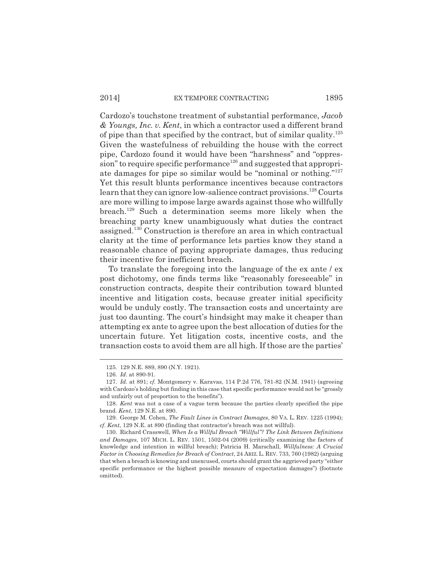#### 2014] EX TEMPORE CONTRACTING 1895

Cardozo's touchstone treatment of substantial performance, *Jacob & Youngs, Inc. v. Kent*, in which a contractor used a different brand of pipe than that specified by the contract, but of similar quality.125 Given the wastefulness of rebuilding the house with the correct pipe, Cardozo found it would have been "harshness" and "oppres $sion$ " to require specific performance<sup>126</sup> and suggested that appropriate damages for pipe so similar would be "nominal or nothing."<sup>127</sup> Yet this result blunts performance incentives because contractors learn that they can ignore low-salience contract provisions.<sup>128</sup> Courts are more willing to impose large awards against those who willfully breach.129 Such a determination seems more likely when the breaching party knew unambiguously what duties the contract assigned.130 Construction is therefore an area in which contractual clarity at the time of performance lets parties know they stand a reasonable chance of paying appropriate damages, thus reducing their incentive for inefficient breach.

To translate the foregoing into the language of the ex ante / ex post dichotomy, one finds terms like "reasonably foreseeable" in construction contracts, despite their contribution toward blunted incentive and litigation costs, because greater initial specificity would be unduly costly. The transaction costs and uncertainty are just too daunting. The court's hindsight may make it cheaper than attempting ex ante to agree upon the best allocation of duties for the uncertain future. Yet litigation costs, incentive costs, and the transaction costs to avoid them are all high. If those are the parties'

<sup>125. 129</sup> N.E. 889, 890 (N.Y. 1921).

<sup>126.</sup> *Id*. at 890-91.

<sup>127.</sup> *Id.* at 891; *cf.* Montgomery v. Karavas, 114 P.2d 776, 781-82 (N.M. 1941) (agreeing with Cardozo's holding but finding in this case that specific performance would not be "grossly and unfairly out of proportion to the benefits").

<sup>128.</sup> *Kent* was not a case of a vague term because the parties clearly specified the pipe brand. *Kent*, 129 N.E. at 890.

<sup>129.</sup> George M. Cohen, *The Fault Lines in Contract Damages*, 80 VA. L. REV. 1225 (1994); *cf*. *Kent*, 129 N.E. at 890 (finding that contractor's breach was not willful).

<sup>130.</sup> Richard Crasswell, *When Is a Willful Breach "Willful"? The Link Between Definitions and Damages*, 107 MICH. L. REV. 1501, 1502-04 (2009) (critically examining the factors of knowledge and intention in willful breach); Patricia H. Marschall, *Willfulness: A Crucial Factor in Choosing Remedies for Breach of Contract*, 24 ARIZ.L. REV. 733, 760 (1982) (arguing that when a breach is knowing and unexcused, courts should grant the aggrieved party "either specific performance or the highest possible measure of expectation damages") (footnote omitted).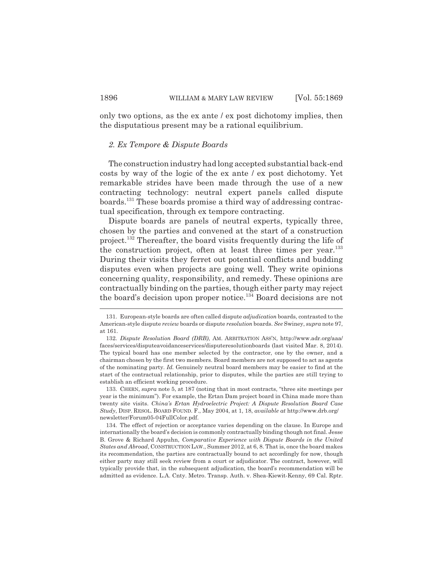only two options, as the ex ante / ex post dichotomy implies, then the disputatious present may be a rational equilibrium.

#### *2. Ex Tempore & Dispute Boards*

The construction industry had long accepted substantial back-end costs by way of the logic of the ex ante / ex post dichotomy. Yet remarkable strides have been made through the use of a new contracting technology: neutral expert panels called dispute boards.131 These boards promise a third way of addressing contractual specification, through ex tempore contracting.

Dispute boards are panels of neutral experts, typically three, chosen by the parties and convened at the start of a construction project.132 Thereafter, the board visits frequently during the life of the construction project, often at least three times per year.<sup>133</sup> During their visits they ferret out potential conflicts and budding disputes even when projects are going well. They write opinions concerning quality, responsibility, and remedy. These opinions are contractually binding on the parties, though either party may reject the board's decision upon proper notice.134 Board decisions are not

133. CHERN, *supra* note 5, at 187 (noting that in most contracts, "three site meetings per year is the minimum"). For example, the Ertan Dam project board in China made more than twenty site visits. *China's Ertan Hydroelectric Project: A Dispute Resolution Board Case Study*, DISP. RESOL. BOARD FOUND. F., May 2004, at 1, 18, *available at* http://www.drb.org/ newsletter/Forum05-04FullColor.pdf.

134. The effect of rejection or acceptance varies depending on the clause. In Europe and internationally the board's decision is commonly contractually binding though not final. Jesse B. Grove & Richard Appuhn, *Comparative Experience with Dispute Boards in the United States and Abroad*, CONSTRUCTION LAW., Summer 2012, at 6, 8. That is, once the board makes its recommendation, the parties are contractually bound to act accordingly for now, though either party may still seek review from a court or adjudicator. The contract, however, will typically provide that, in the subsequent adjudication, the board's recommendation will be admitted as evidence. L.A. Cnty. Metro. Transp. Auth. v. Shea-Kiewit-Kenny, 69 Cal. Rptr.

<sup>131.</sup> European-style boards are often called dispute *adjudication* boards, contrasted to the American-style dispute *review* boards or dispute *resolution* boards. *See* Swiney, *supra* note 97, at 161.

<sup>132.</sup> *Dispute Resolution Board (DRB)*, AM. ARBITRATION ASS'N, http://www.adr.org/aaa/ faces/services/disputeavoidanceservices/disputeresolutionboards (last visited Mar. 8, 2014). The typical board has one member selected by the contractor, one by the owner, and a chairman chosen by the first two members. Board members are not supposed to act as agents of the nominating party. *Id.* Genuinely neutral board members may be easier to find at the start of the contractual relationship, prior to disputes, while the parties are still trying to establish an efficient working procedure.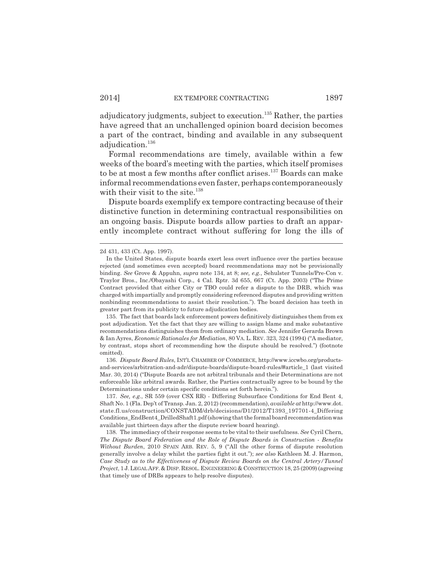adjudicatory judgments, subject to execution.<sup>135</sup> Rather, the parties have agreed that an unchallenged opinion board decision becomes a part of the contract, binding and available in any subsequent adjudication.<sup>136</sup>

Formal recommendations are timely, available within a few weeks of the board's meeting with the parties, which itself promises to be at most a few months after conflict arises.<sup>137</sup> Boards can make informal recommendations even faster, perhaps contemporaneously with their visit to the site.<sup>138</sup>

Dispute boards exemplify ex tempore contracting because of their distinctive function in determining contractual responsibilities on an ongoing basis. Dispute boards allow parties to draft an apparently incomplete contract without suffering for long the ills of

135. The fact that boards lack enforcement powers definitively distinguishes them from ex post adjudication. Yet the fact that they are willing to assign blame and make substantive recommendations distinguishes them from ordinary mediation. *See* Jennifer Gerarda Brown & Ian Ayres, *Economic Rationales for Mediation*, 80 VA. L. REV. 323, 324 (1994) ("A mediator, by contrast, stops short of recommending how the dispute should be resolved.") (footnote omitted).

136. *Dispute Board Rules*, INT'L CHAMBER OF COMMERCE, http://www.iccwbo.org/productsand-services/arbitration-and-adr/dispute-boards/dispute-board-rules/#article\_1 (last visited Mar. 30, 2014) ("Dispute Boards are not arbitral tribunals and their Determinations are not enforceable like arbitral awards. Rather, the Parties contractually agree to be bound by the Determinations under certain specific conditions set forth herein.").

137. *See, e.g.*, SR 559 (over CSX RR) - Differing Subsurface Conditions for End Bent 4, Shaft No. 1 (Fla. Dep't of Transp. Jan. 2, 2012) (recommendation), *available at* http://www.dot. state.fl.us/construction/CONSTADM/drb/decisions/D1/2012/T1393\_197701-4\_Differing Conditions\_EndBent4\_DrilledShaft1.pdf (showing that the formal board recommendation was available just thirteen days after the dispute review board hearing).

138. The immediacy of their response seems to be vital to their usefulness. *See* Cyril Chern, *The Dispute Board Federation and the Role of Dispute Boards in Construction - Benefits Without Burden*, 2010 SPAIN ARB. REV. 5, 9 ("All the other forms of dispute resolution generally involve a delay whilst the parties fight it out."); *see also* Kathleen M. J. Harmon, *Case Study as to the Effectiveness of Dispute Review Boards on the Central Artery/Tunnel Project*, 1 J.LEGAL AFF. & DISP. RESOL. ENGINEERING & CONSTRUCTION 18, 25 (2009)(agreeing that timely use of DRBs appears to help resolve disputes).

<sup>2</sup>d 431, 433 (Ct. App. 1997).

In the United States, dispute boards exert less overt influence over the parties because rejected (and sometimes even accepted) board recommendations may not be provisionally binding. *See* Grove & Appuhn, *supra* note 134, at 8; *see, e.g.*, Sehulster Tunnels/Pre-Con v. Traylor Bros., Inc./Obayashi Corp., 4 Cal. Rptr. 3d 655, 667 (Ct. App. 2003) ("The Prime Contract provided that either City or TBO could refer a dispute to the DRB, which was charged with impartially and promptly considering referenced disputes and providing written nonbinding recommendations to assist their resolution."). The board decision has teeth in greater part from its publicity to future adjudication bodies.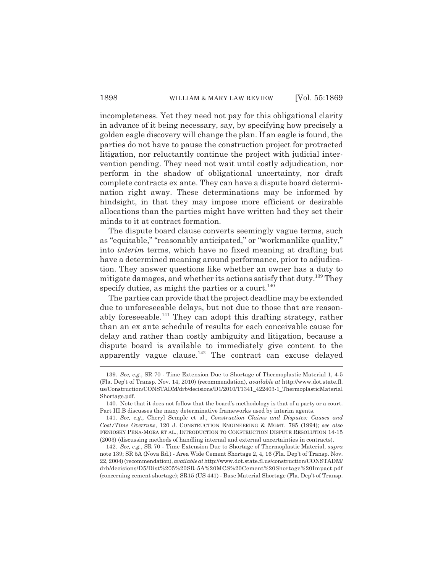incompleteness. Yet they need not pay for this obligational clarity in advance of it being necessary, say, by specifying how precisely a golden eagle discovery will change the plan. If an eagle is found, the parties do not have to pause the construction project for protracted litigation, nor reluctantly continue the project with judicial intervention pending. They need not wait until costly adjudication, nor perform in the shadow of obligational uncertainty, nor draft complete contracts ex ante. They can have a dispute board determination right away. These determinations may be informed by hindsight, in that they may impose more efficient or desirable allocations than the parties might have written had they set their minds to it at contract formation.

The dispute board clause converts seemingly vague terms, such as "equitable," "reasonably anticipated," or "workmanlike quality," into *interim* terms, which have no fixed meaning at drafting but have a determined meaning around performance, prior to adjudication. They answer questions like whether an owner has a duty to mitigate damages, and whether its actions satisfy that duty.<sup>139</sup> They specify duties, as might the parties or a court. $140$ 

The parties can provide that the project deadline may be extended due to unforeseeable delays, but not due to those that are reasonably foreseeable.<sup>141</sup> They can adopt this drafting strategy, rather than an ex ante schedule of results for each conceivable cause for delay and rather than costly ambiguity and litigation, because a dispute board is available to immediately give content to the apparently vague clause.<sup>142</sup> The contract can excuse delayed

<sup>139.</sup> *See, e.g.*, SR 70 - Time Extension Due to Shortage of Thermoplastic Material 1, 4-5 (Fla. Dep't of Transp. Nov. 14, 2010) (recommendation), *available at* http://www.dot.state.fl. us/Construction/CONSTADM/drb/decisions/D1/2010/T1341\_422403-1\_ThermoplasticMaterial Shortage.pdf.

<sup>140.</sup> Note that it does not follow that the board's methodology is that of a party or a court. Part III.B discusses the many determinative frameworks used by interim agents.

<sup>141.</sup> *See, e.g.*, Cheryl Semple et al., *Construction Claims and Disputes: Causes and Cost/Time Overruns*, 120 J. CONSTRUCTION ENGINEERING & MGMT. 785 (1994); *see also* FENIOSKY PEÑA-MORA ET AL., INTRODUCTION TO CONSTRUCTION DISPUTE RESOLUTION 14-15 (2003) (discussing methods of handling internal and external uncertainties in contracts).

<sup>142.</sup> *See, e.g.*, SR 70 - Time Extension Due to Shortage of Thermoplastic Material, *supra* note 139; SR 5A (Nova Rd.) - Area Wide Cement Shortage 2, 4, 16 (Fla. Dep't of Transp. Nov. 22, 2004) (recommendation), *available at* http://www.dot.state.fl.us/construction/CONSTADM/ drb/decisions/D5/Dist%205%20SR-5A%20MCS%20Cement%20Shortage%20Impact.pdf (concerning cement shortage); SR15 (US 441) - Base Material Shortage (Fla. Dep't of Transp.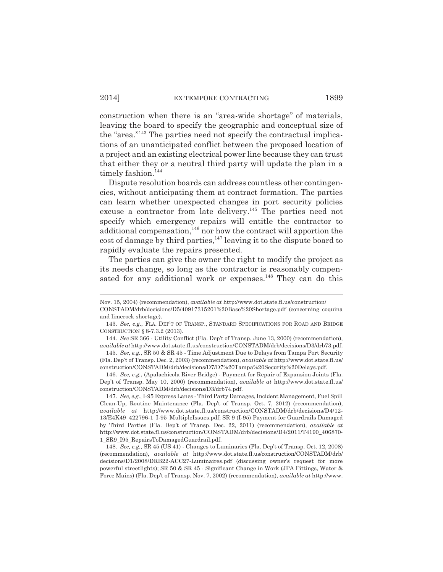construction when there is an "area-wide shortage" of materials, leaving the board to specify the geographic and conceptual size of the "area."143 The parties need not specify the contractual implications of an unanticipated conflict between the proposed location of a project and an existing electrical power line because they can trust that either they or a neutral third party will update the plan in a timely fashion.<sup>144</sup>

Dispute resolution boards can address countless other contingencies, without anticipating them at contract formation. The parties can learn whether unexpected changes in port security policies excuse a contractor from late delivery.<sup>145</sup> The parties need not specify which emergency repairs will entitle the contractor to  $\alpha$  additional compensation,<sup>146</sup> nor how the contract will apportion the cost of damage by third parties,  $147$  leaving it to the dispute board to rapidly evaluate the repairs presented.

The parties can give the owner the right to modify the project as its needs change, so long as the contractor is reasonably compensated for any additional work or expenses.<sup>148</sup> They can do this

146. *See, e.g.*, (Apalachicola River Bridge) - Payment for Repair of Expansion Joints (Fla. Dep't of Transp. May 10, 2000) (recommendation), *available at* http://www.dot.state.fl.us/ construction/CONSTADM/drb/decisions/D3/drb74.pdf.

147. *See, e.g.*, I-95 Express Lanes - Third Party Damages, Incident Management, Fuel Spill Clean-Up, Routine Maintenance (Fla. Dep't of Transp. Oct. 7, 2012) (recommendation), *available at* http://www.dot.state.fl.us/construction/CONSTADM/drb/decisions/D4/12- 13/E4K49\_422796-1\_I-95\_MultipleIssues.pdf; SR 9 (I-95) Payment for Guardrails Damaged by Third Parties (Fla. Dep't of Transp. Dec. 22, 2011) (recommendation), *available at* http://www.dot.state.fl.us/construction/CONSTADM/drb/decisions/D4/2011/T4190\_406870- 1\_SR9\_I95\_RepairsToDamagedGuardrail.pdf.

148. *See, e.g.*, SR 45 (US 41) - Changes to Luminaries (Fla. Dep't of Transp. Oct. 12, 2008) (recommendation), *available at* http://www.dot.state.fl.us/construction/CONSTADM/drb/ decisions/D1/2008/DRB22-ACC27-Luminaires.pdf (discussing owner's request for more powerful streetlights); SR 50 & SR 45 - Significant Change in Work (JPA Fittings, Water & Force Mains) (Fla. Dep't of Transp. Nov. 7, 2002) (recommendation), *available at* http://www.

Nov. 15, 2004) (recommendation), *available at* http://www.dot.state.fl.us/construction/

CONSTADM/drb/decisions/D5/40917315201%20Base%20Shortage.pdf (concerning coquina and limerock shortage).

<sup>143.</sup> *See, e.g.*, FLA. DEP'T OF TRANSP., STANDARD SPECIFICATIONS FOR ROAD AND BRIDGE CONSTRUCTION § 8-7.3.2 (2013).

<sup>144.</sup> *See* SR 366 - Utility Conflict (Fla. Dep't of Transp. June 13, 2000) (recommendation), *available at* http://www.dot.state.fl.us/construction/CONSTADM/drb/decisions/D3/drb73.pdf.

<sup>145.</sup> *See, e.g.*, SR 50 & SR 45 - Time Adjustment Due to Delays from Tampa Port Security (Fla. Dep't of Transp. Dec. 2, 2003) (recommendation), *available at* http://www.dot.state.fl.us/ construction/CONSTADM/drb/decisions/D7/D7%20Tampa%20Security%20Delays.pdf.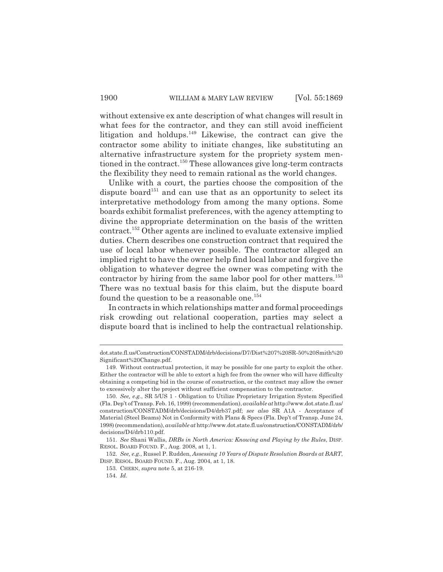without extensive ex ante description of what changes will result in what fees for the contractor, and they can still avoid inefficient litigation and holdups. $149$  Likewise, the contract can give the contractor some ability to initiate changes, like substituting an alternative infrastructure system for the propriety system mentioned in the contract.<sup>150</sup> These allowances give long-term contracts the flexibility they need to remain rational as the world changes.

Unlike with a court, the parties choose the composition of the dispute board<sup>151</sup> and can use that as an opportunity to select its interpretative methodology from among the many options. Some boards exhibit formalist preferences, with the agency attempting to divine the appropriate determination on the basis of the written contract.152 Other agents are inclined to evaluate extensive implied duties. Chern describes one construction contract that required the use of local labor whenever possible. The contractor alleged an implied right to have the owner help find local labor and forgive the obligation to whatever degree the owner was competing with the contractor by hiring from the same labor pool for other matters.<sup>153</sup> There was no textual basis for this claim, but the dispute board found the question to be a reasonable one. $154$ 

In contracts in which relationships matter and formal proceedings risk crowding out relational cooperation, parties may select a dispute board that is inclined to help the contractual relationship.

dot.state.fl.us/Construction/CONSTADM/drb/decisions/D7/Dist%207%20SR-50%20Smith%20 Significant%20Change.pdf.

<sup>149.</sup> Without contractual protection, it may be possible for one party to exploit the other. Either the contractor will be able to extort a high fee from the owner who will have difficulty obtaining a competing bid in the course of construction, or the contract may allow the owner to excessively alter the project without sufficient compensation to the contractor.

<sup>150.</sup> *See, e.g.*, SR 5/US 1 - Obligation to Utilize Proprietary Irrigation System Specified (Fla. Dep't of Transp. Feb. 16, 1999) (recommendation), *available at* http://www.dot.state.fl.us/ construction/CONSTADM/drb/decisions/D4/drb37.pdf; *see also* SR A1A - Acceptance of Material (Steel Beams) Not in Conformity with Plans & Specs (Fla. Dep't of Transp. June 24, 1998) (recommendation), *available at* http://www.dot.state.fl.us/construction/CONSTADM/drb/ decisions/D4/drb110.pdf.

<sup>151.</sup> *See* Shani Wallis, *DRBs in North America: Knowing and Playing by the Rules*, DISP. RESOL. BOARD FOUND. F., Aug. 2008, at 1, 1.

<sup>152.</sup> *See, e.g.*, Russel P. Rudden, *Assessing 10 Years of Dispute Resolution Boards at BART*, DISP. RESOL. BOARD FOUND. F., Aug. 2004, at 1, 18.

<sup>153.</sup> CHERN, *supra* note 5, at 216-19.

<sup>154.</sup> *Id.*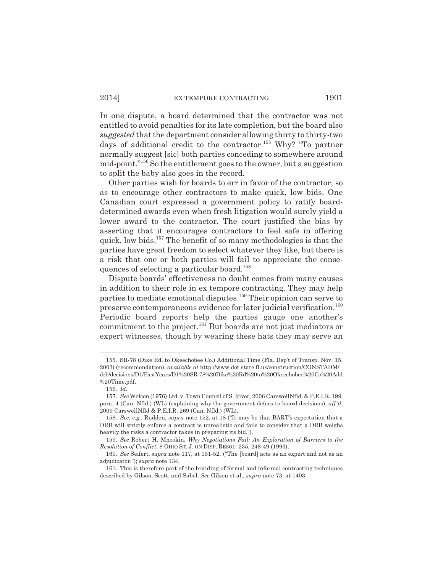In one dispute, a board determined that the contractor was not entitled to avoid penalties for its late completion, but the board also *suggested* that the department consider allowing thirty to thirty-two days of additional credit to the contractor.<sup>155</sup> Why? "To partner normally suggest [sic] both parties conceding to somewhere around mid-point."156 So the entitlement goes to the owner, but a suggestion to split the baby also goes in the record.

Other parties wish for boards to err in favor of the contractor, so as to encourage other contractors to make quick, low bids. One Canadian court expressed a government policy to ratify boarddetermined awards even when fresh litigation would surely yield a lower award to the contractor. The court justified the bias by asserting that it encourages contractors to feel safe in offering quick, low bids.157 The benefit of so many methodologies is that the parties have great freedom to select whatever they like, but there is a risk that one or both parties will fail to appreciate the consequences of selecting a particular board.<sup>158</sup>

Dispute boards' effectiveness no doubt comes from many causes in addition to their role in ex tempore contracting. They may help parties to mediate emotional disputes.<sup>159</sup> Their opinion can serve to preserve contemporaneous evidence for later judicial verification.<sup>160</sup> Periodic board reports help the parties gauge one another's commitment to the project.161 But boards are not just mediators or expert witnesses, though by wearing these hats they may serve an

<sup>155.</sup> SR-78 (Dike Rd. to Okeechobee Co.) Additional Time (Fla. Dep't of Transp. Nov. 15, 2003) (recommendation), *available at* http://www.dot.state.fl.us/construction/CONSTADM/ drb/decisions/D1/PastYears/D1%20SR-78%20Dike%20Rd%20to%20Okeechobee%20Co%20Add %20Time.pdf.

<sup>156.</sup> *Id.*

<sup>157.</sup> *See* Welcon (1976) Ltd. v. Town Council of S. River, 2006 CarswellNfld. & P.E.I.R. 199, para. 4 (Can. Nfld.) (WL) (explaining why the government defers to board decisions), *aff 'd*, 2009 CarswellNfld & P.E.I.R. 269 (Can. Nfld.) (WL).

<sup>158.</sup> *See*, *e.g.*, Rudden, *supra* note 152, at 18 ("It may be that BART's expectation that a DRB will strictly enforce a contract is unrealistic and fails to consider that a DRB weighs heavily the risks a contractor takes in preparing its bid.").

<sup>159.</sup> *See* Robert H. Mnookin, *Why Negotiations Fail: An Exploration of Barriers to the Resolution of Conflict*, 8 OHIO ST. J. ON DISP. RESOL. 235, 248-49 (1993).

<sup>160.</sup> *See* Seifert, *supra* note 117, at 151-52. ("The [board] acts as an expert and not as an adjudicator."); *supra* note 134.

<sup>161.</sup> This is therefore part of the braiding of formal and informal contracting techniques described by Gilson, Scott, and Sabel. *See* Gilson et al., *supra* note 73, at 1403.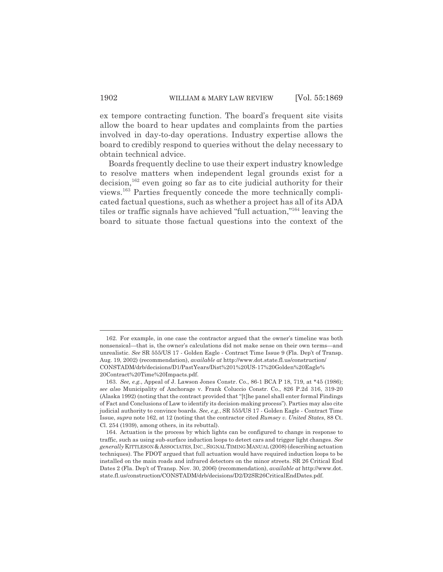ex tempore contracting function. The board's frequent site visits allow the board to hear updates and complaints from the parties involved in day-to-day operations. Industry expertise allows the board to credibly respond to queries without the delay necessary to obtain technical advice.

Boards frequently decline to use their expert industry knowledge to resolve matters when independent legal grounds exist for a  $\text{decision}^{162}$  even going so far as to cite judicial authority for their views.163 Parties frequently concede the more technically complicated factual questions, such as whether a project has all of its ADA tiles or traffic signals have achieved "full actuation,"164 leaving the board to situate those factual questions into the context of the

<sup>162.</sup> For example, in one case the contractor argued that the owner's timeline was both nonsensical—that is, the owner's calculations did not make sense on their own terms—and unrealistic. *See* SR 555/US 17 - Golden Eagle - Contract Time Issue 9 (Fla. Dep't of Transp. Aug. 19, 2002) (recommendation), *available at* http://www.dot.state.fl.us/construction/ CONSTADM/drb/decisions/D1/PastYears/Dist%201%20US-17%20Golden%20Eagle% 20Contract%20Time%20Impacts.pdf.

<sup>163.</sup> *See, e.g.*, Appeal of J. Lawson Jones Constr. Co., 86-1 BCA P 18, 719, at \*45 (1986); *see also* Municipality of Anchorage v. Frank Coluccio Constr. Co., 826 P.2d 316, 319-20 (Alaska 1992) (noting that the contract provided that "[t]he panel shall enter formal Findings of Fact and Conclusions of Law to identify its decision-making process"). Parties may also cite judicial authority to convince boards. *See, e.g.*, SR 555/US 17 - Golden Eagle - Contract Time Issue, *supra* note 162, at 12 (noting that the contractor cited *Rumsey v. United States*, 88 Ct. Cl. 254 (1939), among others, in its rebuttal).

<sup>164.</sup> Actuation is the process by which lights can be configured to change in response to traffic, such as using sub-surface induction loops to detect cars and trigger light changes. *See generally* KITTLESON &ASSOCIATES, INC.,SIGNAL TIMING MANUAL (2008) (describing actuation techniques). The FDOT argued that full actuation would have required induction loops to be installed on the main roads and infrared detectors on the minor streets. SR 26 Critical End Dates 2 (Fla. Dep't of Transp. Nov. 30, 2006) (recommendation), *available at* http://www.dot. state.fl.us/construction/CONSTADM/drb/decisions/D2/D2SR26CriticalEndDates.pdf.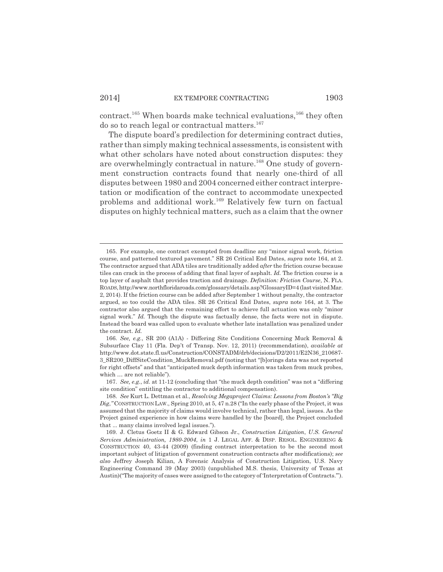contract.<sup>165</sup> When boards make technical evaluations,<sup>166</sup> they often do so to reach legal or contractual matters.<sup>167</sup>

The dispute board's predilection for determining contract duties, rather than simply making technical assessments, is consistent with what other scholars have noted about construction disputes: they are overwhelmingly contractual in nature.<sup>168</sup> One study of government construction contracts found that nearly one-third of all disputes between 1980 and 2004 concerned either contract interpretation or modification of the contract to accommodate unexpected problems and additional work.<sup>169</sup> Relatively few turn on factual disputes on highly technical matters, such as a claim that the owner

<sup>165.</sup> For example, one contract exempted from deadline any "minor signal work, friction course, and patterned textured pavement." SR 26 Critical End Dates, *supra* note 164, at 2. The contractor argued that ADA tiles are traditionally added *after* the friction course because tiles can crack in the process of adding that final layer of asphalt. *Id.* The friction course is a top layer of asphalt that provides traction and drainage. *Definition: Friction Course*, N. FLA. ROADS, http://www.northfloridaroads.com/glossary/details.asp?GlossaryID=4 (last visited Mar. 2, 2014). If the friction course can be added after September 1 without penalty, the contractor argued, so too could the ADA tiles. SR 26 Critical End Dates, *supra* note 164, at 3. The contractor also argued that the remaining effort to achieve full actuation was only "minor signal work." *Id.* Though the dispute was factually dense, the facts were not in dispute. Instead the board was called upon to evaluate whether late installation was penalized under the contract. *Id.*

<sup>166.</sup> *See, e.g.*, SR 200 (A1A) - Differing Site Conditions Concerning Muck Removal & Subsurface Clay 11 (Fla. Dep't of Transp. Nov. 12, 2011) (recommendation), *available at* http://www.dot.state.fl.us/Construction/CONSTADM/drb/decisions/D2/2011/E2N36\_210687- 3\_SR200\_DiffSiteCondition\_MuckRemoval.pdf (noting that "[b]orings data was not reported for right offsets" and that "anticipated muck depth information was taken from muck probes, which … are not reliable").

<sup>167.</sup> *See, e.g.*, *id.* at 11-12 (concluding that "the muck depth condition" was not a "differing site condition" entitling the contractor to additional compensation).

<sup>168.</sup> *See* Kurt L. Dettman et al., *Resolving Megaproject Claims: Lessons from Boston's "Big Dig*,*"* CONSTRUCTION LAW., Spring 2010, at 5, 47 n.28 ("In the early phase of the Project, it was assumed that the majority of claims would involve technical, rather than legal, issues. As the Project gained experience in how claims were handled by the [board], the Project concluded that ... many claims involved legal issues.").

<sup>169.</sup> J. Cletus Goetz II & G. Edward Gibson Jr., *Construction Litigation*, *U.S. General Services Administration, 1980-2004*, *in* 1 J. LEGAL AFF. & DISP. RESOL. ENGINEERING & CONSTRUCTION 40, 43-44 (2009) (finding contract interpretation to be the second most important subject of litigation of government construction contracts after modifications); *see also* Jeffrey Joseph Kilian, A Forensic Analysis of Construction Litigation, U.S. Navy Engineering Command 39 (May 2003) (unpublished M.S. thesis, University of Texas at Austin) ("The majority of cases were assigned to the category of 'Interpretation of Contracts.'").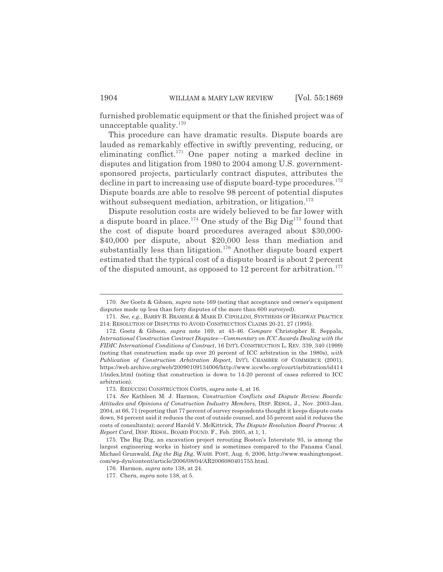furnished problematic equipment or that the finished project was of unacceptable quality.170

This procedure can have dramatic results. Dispute boards are lauded as remarkably effective in swiftly preventing, reducing, or eliminating conflict.<sup>171</sup> One paper noting a marked decline in disputes and litigation from 1980 to 2004 among U.S. governmentsponsored projects, particularly contract disputes, attributes the decline in part to increasing use of dispute board-type procedures.<sup>172</sup> Dispute boards are able to resolve 98 percent of potential disputes without subsequent mediation, arbitration, or litigation.<sup>173</sup>

Dispute resolution costs are widely believed to be far lower with a dispute board in place.<sup>174</sup> One study of the Big Dig<sup>175</sup> found that the cost of dispute board procedures averaged about \$30,000- \$40,000 per dispute, about \$20,000 less than mediation and substantially less than litigation.<sup>176</sup> Another dispute board expert estimated that the typical cost of a dispute board is about 2 percent of the disputed amount, as opposed to 12 percent for arbitration.<sup>177</sup>

<sup>170.</sup> *See* Goetz & Gibson, *supra* note 169 (noting that acceptance and owner's equipment disputes made up less than forty disputes of the more than 600 surveyed).

<sup>171.</sup> *See, e.g.*, BARRY B. BRAMBLE & MARK D. CIPOLLINI, SYNTHESIS OF HIGHWAY PRACTICE 214: RESOLUTION OF DISPUTES TO AVOID CONSTRUCTION CLAIMS 20-21, 27 (1995).

<sup>172.</sup> Goetz & Gibson, *supra* note 169, at 45-46. *Compare* Christopher R. Seppala, *International Construction Contract Disputes—Commentary on ICC Awards Dealing with the FIDIC International Conditions of Contract*, 16 INT'L CONSTRUCTION L. REV. 339, 340 (1999) (noting that construction made up over 20 percent of ICC arbitration in the 1980s), *with Publication of Construction Arbitration Report*, INT'L CHAMBER OF COMMERCE (2001), https://web.archive.org/web/20090109134006/http://www.iccwbo.org/court/arbitration/id414 1/index.html (noting that construction is down to 14-20 percent of cases referred to ICC arbitration).

<sup>173.</sup> REDUCING CONSTRUCTION COSTS, *supra* note 4, at 16.

<sup>174.</sup> *See* Kathleen M. J. Harmon, *Construction Conflicts and Dispute Review Boards: Attitudes and Opinions of Construction Industry Members*, DISP. RESOL. J., Nov. 2003-Jan. 2004, at 66, 71 (reporting that 77 percent of survey respondents thought it keeps dispute costs down, 84 percent said it reduces the cost of outside counsel, and 55 percent said it reduces the costs of consultants); *accord* Harold V. McKittrick, *The Dispute Resolution Board Process: A Report Card*, DISP. RESOL. BOARD FOUND. F., Feb. 2005, at 1, 1.

<sup>175.</sup> The Big Dig, an excavation project rerouting Boston's Interstate 93, is among the largest engineering works in history and is sometimes compared to the Panama Canal. Michael Grunwald, *Dig the Big Dig*, WASH. POST, Aug. 6, 2006, http://www.washingtonpost. com/wp-dyn/content/article/2006/08/04/AR2006080401755.html.

<sup>176.</sup> Harmon, *supra* note 138, at 24.

<sup>177.</sup> Chern, *supra* note 138, at 5.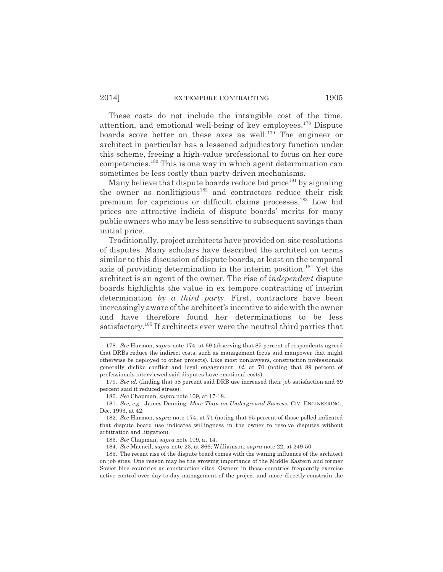#### 2014] EX TEMPORE CONTRACTING 1905

These costs do not include the intangible cost of the time, attention, and emotional well-being of key employees.178 Dispute boards score better on these axes as well.<sup>179</sup> The engineer or architect in particular has a lessened adjudicatory function under this scheme, freeing a high-value professional to focus on her core competencies.180 This is one way in which agent determination can sometimes be less costly than party-driven mechanisms.

Many believe that dispute boards reduce bid price<sup>181</sup> by signaling the owner as nonlitigious<sup>182</sup> and contractors reduce their risk premium for capricious or difficult claims processes.183 Low bid prices are attractive indicia of dispute boards' merits for many public owners who may be less sensitive to subsequent savings than initial price.

Traditionally, project architects have provided on-site resolutions of disputes. Many scholars have described the architect on terms similar to this discussion of dispute boards, at least on the temporal axis of providing determination in the interim position.<sup>184</sup> Yet the architect is an agent of the owner. The rise of *independent* dispute boards highlights the value in ex tempore contracting of interim determination *by a third party*. First, contractors have been increasingly aware of the architect's incentive to side with the owner and have therefore found her determinations to be less satisfactory.185 If architects ever were the neutral third parties that

<sup>178.</sup> *See* Harmon, *supra* note 174, at 69 (observing that 85 percent of respondents agreed that DRBs reduce the indirect costs, such as management focus and manpower that might otherwise be deployed to other projects). Like most nonlawyers, construction professionals generally dislike conflict and legal engagement. *Id.* at 70 (noting that 89 percent of professionals interviewed said disputes have emotional costs).

<sup>179.</sup> *See id.* (finding that 58 percent said DRB use increased their job satisfaction and 69 percent said it reduced stress).

<sup>180.</sup> *See* Chapman, *supra* note 109, at 17-18.

<sup>181.</sup> *See, e.g.*, James Denning, *More Than an Underground Success*, CIV. ENGINEERING., Dec. 1993, at 42.

<sup>182.</sup> *See* Harmon, *supra* note 174, at 71 (noting that 95 percent of those polled indicated that dispute board use indicates willingness in the owner to resolve disputes without arbitration and litigation).

<sup>183.</sup> *See* Chapman, *supra* note 109, at 14.

<sup>184.</sup> *See* Macneil, *supra* note 23, at 866; Williamson, *supra* note 22, at 249-50.

<sup>185.</sup> The recent rise of the dispute board comes with the waning influence of the architect on job sites. One reason may be the growing importance of the Middle Eastern and former Soviet bloc countries as construction sites. Owners in those countries frequently exercise active control over day-to-day management of the project and more directly constrain the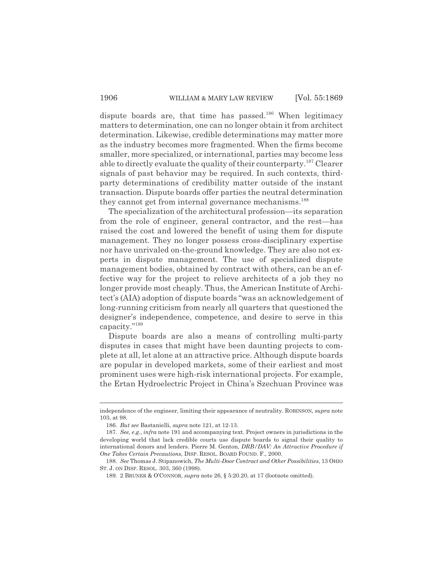dispute boards are, that time has passed.<sup>186</sup> When legitimacy matters to determination, one can no longer obtain it from architect determination. Likewise, credible determinations may matter more as the industry becomes more fragmented. When the firms become smaller, more specialized, or international, parties may become less able to directly evaluate the quality of their counterparty.187 Clearer signals of past behavior may be required. In such contexts, thirdparty determinations of credibility matter outside of the instant transaction. Dispute boards offer parties the neutral determination they cannot get from internal governance mechanisms.<sup>188</sup>

The specialization of the architectural profession—its separation from the role of engineer, general contractor, and the rest—has raised the cost and lowered the benefit of using them for dispute management. They no longer possess cross-disciplinary expertise nor have unrivaled on-the-ground knowledge. They are also not experts in dispute management. The use of specialized dispute management bodies, obtained by contract with others, can be an effective way for the project to relieve architects of a job they no longer provide most cheaply. Thus, the American Institute of Architect's (AIA) adoption of dispute boards "was an acknowledgement of long-running criticism from nearly all quarters that questioned the designer's independence, competence, and desire to serve in this capacity."189

Dispute boards are also a means of controlling multi-party disputes in cases that might have been daunting projects to complete at all, let alone at an attractive price. Although dispute boards are popular in developed markets, some of their earliest and most prominent uses were high-risk international projects. For example, the Ertan Hydroelectric Project in China's Szechuan Province was

independence of the engineer, limiting their appearance of neutrality. ROBINSON, *supra* note 103, at 98.

<sup>186.</sup> *But see* Bastanielli, *supra* note 121, at 12-13.

<sup>187.</sup> *See, e.g.*, *infra* note 191 and accompanying text. Project owners in jurisdictions in the developing world that lack credible courts use dispute boards to signal their quality to international donors and lenders. Pierre M. Genton, *DRB/DAV: An Attractive Procedure if One Takes Certain Precautions*, DISP. RESOL. BOARD FOUND. F., 2000.

<sup>188.</sup> *See* Thomas J. Stipanowich, *The Multi-Door Contract and Other Possibilities*, 13 OHIO ST. J. ON DISP. RESOL. 303, 360 (1998).

<sup>189. 2</sup> BRUNER & O'CONNOR, *supra* note 26, § 5:20.20, at 17 (footnote omitted).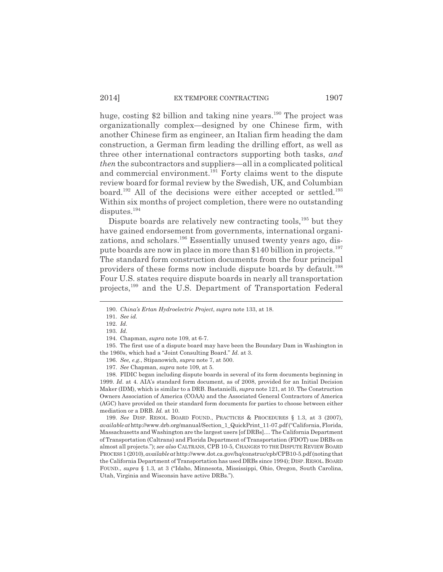huge, costing \$2 billion and taking nine years.<sup>190</sup> The project was organizationally complex—designed by one Chinese firm, with another Chinese firm as engineer, an Italian firm heading the dam construction, a German firm leading the drilling effort, as well as three other international contractors supporting both tasks, *and then* the subcontractors and suppliers—all in a complicated political and commercial environment.<sup>191</sup> Forty claims went to the dispute review board for formal review by the Swedish, UK, and Columbian board.<sup>192</sup> All of the decisions were either accepted or settled.<sup>193</sup> Within six months of project completion, there were no outstanding disputes.<sup>194</sup>

Dispute boards are relatively new contracting tools,<sup>195</sup> but they have gained endorsement from governments, international organizations, and scholars.<sup>196</sup> Essentially unused twenty years ago, dispute boards are now in place in more than \$140 billion in projects.<sup>197</sup> The standard form construction documents from the four principal providers of these forms now include dispute boards by default.<sup>198</sup> Four U.S. states require dispute boards in nearly all transportation projects,199 and the U.S. Department of Transportation Federal

196. *See, e.g.*, Stipanowich, *supra* note 7, at 500.

198. FIDIC began including dispute boards in several of its form documents beginning in 1999. *Id*. at 4. AIA's standard form document, as of 2008, provided for an Initial Decision Maker (IDM), which is similar to a DRB. Bastanielli, *supra* note 121, at 10. The Construction Owners Association of America (COAA) and the Associated General Contractors of America (AGC) have provided on their standard form documents for parties to choose between either mediation or a DRB. *Id.* at 10.

199. *See* DISP. RESOL. BOARD FOUND., PRACTICES & PROCEDURES § 1.3, at 3 (2007), *available at* http://www.drb.org/manual/Section\_1\_QuickPrint\_11-07.pdf ("California, Florida, Massachusetts and Washington are the largest users [of DRBs].... The California Department of Transportation (Caltrans) and Florida Department of Transportation (FDOT) use DRBs on almost all projects."); *see also* CALTRANS, CPB 10-5, CHANGES TO THE DISPUTE REVIEW BOARD PROCESS 1 (2010), *available at* http://www.dot.ca.gov/hq/construc/cpb/CPB10-5.pdf (noting that the California Department of Transportation has used DRBs since 1994); DISP. RESOL. BOARD FOUND., *supra* § 1.3, at 3 ("Idaho, Minnesota, Mississippi, Ohio, Oregon, South Carolina, Utah, Virginia and Wisconsin have active DRBs.").

<sup>190.</sup> *China's Ertan Hydroelectric Project*, *supra* note 133, at 18.

<sup>191.</sup> *See id.*

<sup>192.</sup> *Id.*

<sup>193.</sup> *Id.*

<sup>194.</sup> Chapman, *supra* note 109, at 6-7.

<sup>195.</sup> The first use of a dispute board may have been the Boundary Dam in Washington in the 1960s, which had a "Joint Consulting Board." *Id.* at 3.

<sup>197.</sup> *See* Chapman, *supra* note 109, at 5.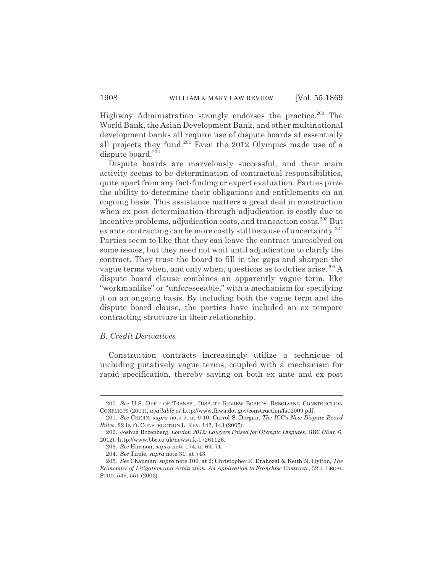Highway Administration strongly endorses the practice.<sup>200</sup> The World Bank, the Asian Development Bank, and other multinational development banks all require use of dispute boards at essentially all projects they fund.201 Even the 2012 Olympics made use of a dispute board.<sup>202</sup>

Dispute boards are marvelously successful, and their main activity seems to be determination of contractual responsibilities, quite apart from any fact-finding or expert evaluation. Parties prize the ability to determine their obligations and entitlements on an ongoing basis. This assistance matters a great deal in construction when ex post determination through adjudication is costly due to incentive problems, adjudication costs, and transaction costs.<sup>203</sup> But ex ante contracting can be more costly still because of uncertainty.204 Parties seem to like that they can leave the contract unresolved on some issues, but they need not wait until adjudication to clarify the contract. They trust the board to fill in the gaps and sharpen the vague terms when, and only when, questions as to duties arise.<sup>205</sup> A dispute board clause combines an apparently vague term, like "workmanlike" or "unforeseeable," with a mechanism for specifying it on an ongoing basis. By including both the vague term and the dispute board clause, the parties have included an ex tempore contracting structure in their relationship.

#### *B. Credit Derivatives*

Construction contracts increasingly utilize a technique of including putatively vague terms, coupled with a mechanism for rapid specification, thereby saving on both ex ante and ex post

<sup>200.</sup> *See* U.S. DEP'T OF TRANSP., DISPUTE REVIEW BOARDS: RESOLVING CONSTRUCTION CONFLICTS (2001), *available at* http://www.fhwa.dot.gov/construction/fs02009.pdf.

<sup>201.</sup> *See* CHERN, *supra* note 5, at 9-10; Carrol S. Dorgan, *The ICC's New Dispute Board Rules*, 22 INT'L CONSTRUCTION L. REV. 142, 143 (2005).

<sup>202.</sup> Joshua Rozenberg, *London 2012: Lawyers Poised for Olympic Disputes*, BBC (Mar. 6, 2012), http://www.bbc.co.uk/news/uk-17261126.

<sup>203.</sup> *See* Harmon, *supra* note 174, at 69, 71.

<sup>204.</sup> *See* Tirole, *supra* note 31, at 743.

<sup>205.</sup> *See* Chapman, *supra* note 109, at 2; Christopher R. Drahozal & Keith N. Hylton, *The Economics of Litigation and Arbitration: An Application to Franchise Contracts*, 32 J. LEGAL STUD. 549, 551 (2003).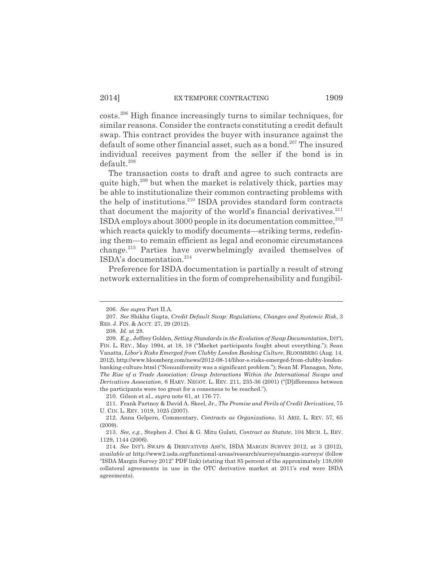costs.206 High finance increasingly turns to similar techniques, for similar reasons. Consider the contracts constituting a credit default swap. This contract provides the buyer with insurance against the default of some other financial asset, such as a bond.<sup>207</sup> The insured individual receives payment from the seller if the bond is in default.208

The transaction costs to draft and agree to such contracts are quite high, $^{209}$  but when the market is relatively thick, parties may be able to institutionalize their common contracting problems with the help of institutions. $^{210}$  ISDA provides standard form contracts that document the majority of the world's financial derivatives.<sup>211</sup> ISDA employs about 3000 people in its documentation committee, $^{212}$ which reacts quickly to modify documents—striking terms, redefining them—to remain efficient as legal and economic circumstances change.213 Parties have overwhelmingly availed themselves of ISDA's documentation.214

Preference for ISDA documentation is partially a result of strong network externalities in the form of comprehensibility and fungibil-

210. Gilson et al., *supra* note 61, at 176-77.

<sup>206.</sup> *See supra* Part II.A.

<sup>207.</sup> *See* Shikha Gupta, *Credit Default Swap: Regulations, Changes and Systemic Risk*, 3 RES. J. FIN. & ACCT. 27, 29 (2012).

<sup>208.</sup> *Id.* at 28.

<sup>209.</sup> *E.g.*, Jeffrey Golden, *Setting Standards in the Evolution of Swap Documentation*, INT'L FIN. L. REV., May 1994, at 18, 18 ("Market participants fought about everything."); Sean Vanatta, *Libor's Risks Emerged from Clubby London Banking Culture*, BLOOMBERG (Aug. 14, 2012), http://www.bloomberg.com/news/2012-08-14/libor-s-risks-emerged-from-clubby-londonbanking-culture.html ("Nonuniformity was a significant problem."); Sean M. Flanagan, Note, *The Rise of a Trade Association: Group Interactions Within the International Swaps and Derivatives Association*, 6 HARV. NEGOT. L. REV. 211, 235-36 (2001) ("[D]ifferences between the participants were too great for a consensus to be reached.").

<sup>211.</sup> Frank Partnoy & David A. Skeel, Jr., *The Promise and Perils of Credit Derivatives*, 75 U. CIN. L. REV. 1019, 1025 (2007).

<sup>212.</sup> Anna Gelpern, Commentary, *Contracts as Organizations*, 51 ARIZ. L. REV. 57, 65 (2009).

<sup>213.</sup> *See, e.g.*, Stephen J. Choi & G. Mitu Gulati, *Contract as Statute*, 104 MICH. L. REV. 1129, 1144 (2006).

<sup>214.</sup> *See* INT'L SWAPS & DERIVATIVES ASS'N, ISDA MARGIN SURVEY 2012, at 3 (2012), *available at* http://www2.isda.org/functional-areas/research/surveys/margin-surveys/ (follow "ISDA Margin Survey 2012" PDF link) (stating that 85 percent of the approximately 138,000 collateral agreements in use in the OTC derivative market at 2011's end were ISDA agreements).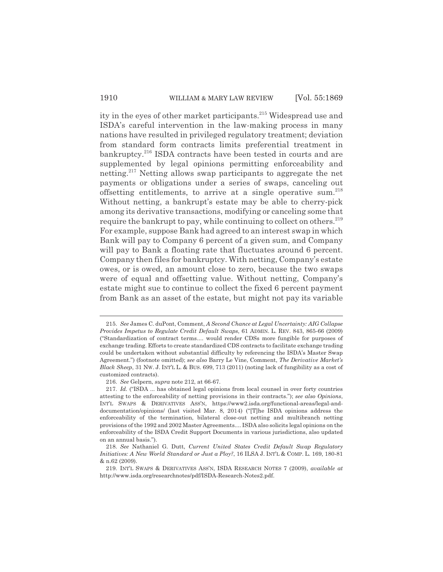ity in the eyes of other market participants.<sup>215</sup> Widespread use and ISDA's careful intervention in the law-making process in many nations have resulted in privileged regulatory treatment; deviation from standard form contracts limits preferential treatment in bankruptcy.<sup>216</sup> ISDA contracts have been tested in courts and are supplemented by legal opinions permitting enforceability and netting.217 Netting allows swap participants to aggregate the net payments or obligations under a series of swaps, canceling out offsetting entitlements, to arrive at a single operative sum.218 Without netting, a bankrupt's estate may be able to cherry-pick among its derivative transactions, modifying or canceling some that require the bankrupt to pay, while continuing to collect on others.<sup>219</sup> For example, suppose Bank had agreed to an interest swap in which Bank will pay to Company 6 percent of a given sum, and Company will pay to Bank a floating rate that fluctuates around 6 percent. Company then files for bankruptcy. With netting, Company's estate owes, or is owed, an amount close to zero, because the two swaps were of equal and offsetting value. Without netting, Company's estate might sue to continue to collect the fixed 6 percent payment from Bank as an asset of the estate, but might not pay its variable

216. *See* Gelpern, *supra* note 212, at 66-67.

<sup>215.</sup> *See* James C. duPont, Comment, *A Second Chance at Legal Uncertainty: AIG Collapse Provides Impetus to Regulate Credit Default Swaps*, 61 ADMIN. L. REV. 843, 865-66 (2009) ("Standardization of contract terms.... would render CDSs more fungible for purposes of exchange trading. Efforts to create standardized CDS contracts to facilitate exchange trading could be undertaken without substantial difficulty by referencing the ISDA's Master Swap Agreement.") (footnote omitted); *see also* Barry Le Vine, Comment, *The Derivative Market's Black Sheep*, 31 NW. J. INT'L L. & BUS. 699, 713 (2011) (noting lack of fungibility as a cost of customized contracts).

<sup>217.</sup> *Id.* ("ISDA ... has obtained legal opinions from local counsel in over forty countries attesting to the enforceability of netting provisions in their contracts."); *see also Opinions*, INT'L SWAPS & DERIVATIVES ASS'N, https://www2.isda.org/functional-areas/legal-anddocumentation/opinions/ (last visited Mar. 8, 2014) ("[T]he ISDA opinions address the enforceability of the termination, bilateral close-out netting and multibranch netting provisions of the 1992 and 2002 Master Agreements.... ISDA also solicits legal opinions on the enforceability of the ISDA Credit Support Documents in various jurisdictions, also updated on an annual basis.").

<sup>218.</sup> *See* Nathaniel G. Dutt, *Current United States Credit Default Swap Regulatory Initiatives: A New World Standard or Just a Ploy?*, 16 ILSA J. INT'L & COMP. L. 169, 180-81 & n.62 (2009).

<sup>219.</sup> INT'L SWAPS & DERIVATIVES ASS'N, ISDA RESEARCH NOTES 7 (2009), *available at* http://www.isda.org/researchnotes/pdf/ISDA-Research-Notes2.pdf.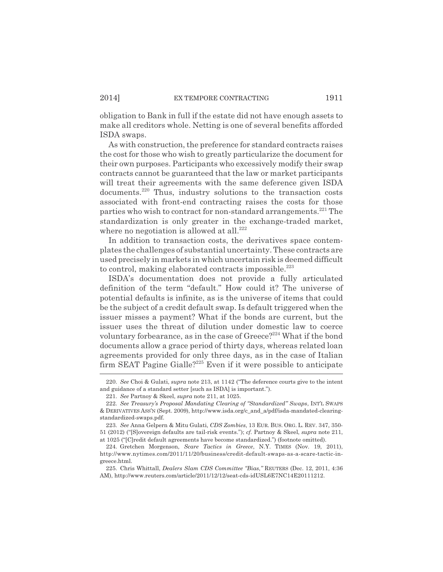obligation to Bank in full if the estate did not have enough assets to make all creditors whole. Netting is one of several benefits afforded ISDA swaps.

As with construction, the preference for standard contracts raises the cost for those who wish to greatly particularize the document for their own purposes. Participants who excessively modify their swap contracts cannot be guaranteed that the law or market participants will treat their agreements with the same deference given ISDA documents.220 Thus, industry solutions to the transaction costs associated with front-end contracting raises the costs for those parties who wish to contract for non-standard arrangements.<sup>221</sup> The standardization is only greater in the exchange-traded market, where no negotiation is allowed at all. $222$ 

In addition to transaction costs, the derivatives space contemplates the challenges of substantial uncertainty. These contracts are used precisely in markets in which uncertain risk is deemed difficult to control, making elaborated contracts impossible.<sup>223</sup>

ISDA's documentation does not provide a fully articulated definition of the term "default." How could it? The universe of potential defaults is infinite, as is the universe of items that could be the subject of a credit default swap. Is default triggered when the issuer misses a payment? What if the bonds are current, but the issuer uses the threat of dilution under domestic law to coerce voluntary forbearance, as in the case of Greece?<sup>224</sup> What if the bond documents allow a grace period of thirty days, whereas related loan agreements provided for only three days, as in the case of Italian firm SEAT Pagine Gialle?<sup>225</sup> Even if it were possible to anticipate

<sup>220.</sup> *See* Choi & Gulati, *supra* note 213, at 1142 ("The deference courts give to the intent and guidance of a standard setter [such as ISDA] is important.").

<sup>221.</sup> *See* Partnoy & Skeel, *supra* note 211, at 1025.

<sup>222.</sup> *See Treasury's Proposal Mandating Clearing of "Standardized" Swaps*, INT'L SWAPS & DERIVATIVES ASS'N (Sept. 2009), http://www.isda.org/c\_and\_a/pdf/isda-mandated-clearingstandardized-swaps.pdf.

<sup>223.</sup> *See* Anna Gelpern & Mitu Gulati, *CDS Zombies*, 13 EUR. BUS. ORG. L. REV. 347, 350- 51 (2012) ("[S]overeign defaults are tail-risk events."); *cf.* Partnoy & Skeel, *supra* note 211, at 1025 ("[C]redit default agreements have become standardized.") (footnote omitted).

<sup>224.</sup> Gretchen Morgenson, *Scare Tactics in Greece*, N.Y. TIMES (Nov. 19, 2011), http://www.nytimes.com/2011/11/20/business/credit-default-swaps-as-a-scare-tactic-ingreece.html.

<sup>225.</sup> Chris Whittall, *Dealers Slam CDS Committee "Bias*,*"* REUTERS (Dec. 12, 2011, 4:36 AM), http://www.reuters.com/article/2011/12/12/seat-cds-idUSL6E7NC14E20111212.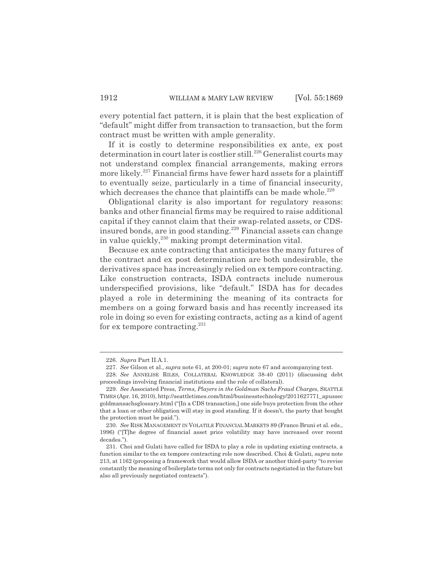every potential fact pattern, it is plain that the best explication of "default" might differ from transaction to transaction, but the form contract must be written with ample generality.

If it is costly to determine responsibilities ex ante, ex post determination in court later is costlier still.<sup>226</sup> Generalist courts may not understand complex financial arrangements, making errors more likely.<sup>227</sup> Financial firms have fewer hard assets for a plaintiff to eventually seize, particularly in a time of financial insecurity, which decreases the chance that plaintiffs can be made whole.<sup>228</sup>

Obligational clarity is also important for regulatory reasons: banks and other financial firms may be required to raise additional capital if they cannot claim that their swap-related assets, or CDSinsured bonds, are in good standing.<sup>229</sup> Financial assets can change in value quickly,<sup>230</sup> making prompt determination vital.

Because ex ante contracting that anticipates the many futures of the contract and ex post determination are both undesirable, the derivatives space has increasingly relied on ex tempore contracting. Like construction contracts, ISDA contracts include numerous underspecified provisions, like "default." ISDA has for decades played a role in determining the meaning of its contracts for members on a going forward basis and has recently increased its role in doing so even for existing contracts, acting as a kind of agent for ex tempore contracting.<sup>231</sup>

<sup>226.</sup> *Supra* Part II.A.1.

<sup>227.</sup> *See* Gilson et al., *supra* note 61, at 200-01; *supra* note 67 and accompanying text.

<sup>228.</sup> *See* ANNELISE RILES, COLLATERAL KNOWLEDGE 38-40 (2011) (discussing debt proceedings involving financial institutions and the role of collateral).

<sup>229.</sup> *See* Associated Press, *Terms, Players in the Goldman Sachs Fraud Charges*, SEATTLE TIMES (Apr. 16, 2010), http://seattletimes.com/html/businesstechnology/2011627771\_apussec goldmansachsglossary.html ("[In a CDS transaction,] one side buys protection from the other that a loan or other obligation will stay in good standing. If it doesn't, the party that bought the protection must be paid.").

<sup>230.</sup> *See* RISK MANAGEMENT IN VOLATILE FINANCIAL MARKETS 89 (Franco Bruni et al. eds., 1996) ("[T]he degree of financial asset price volatility may have increased over recent decades.").

<sup>231.</sup> Choi and Gulati have called for ISDA to play a role in updating existing contracts, a function similar to the ex tempore contracting role now described. Choi & Gulati, *supra* note 213, at 1162 (proposing a framework that would allow ISDA or another third-party "to revise constantly the meaning of boilerplate terms not only for contracts negotiated in the future but also all previously negotiated contracts").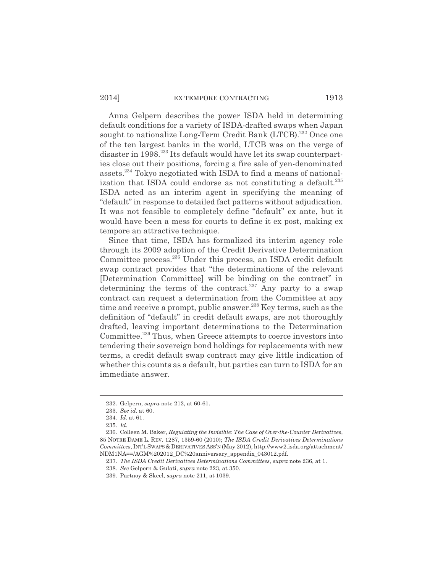#### 2014] EX TEMPORE CONTRACTING 1913

Anna Gelpern describes the power ISDA held in determining default conditions for a variety of ISDA-drafted swaps when Japan sought to nationalize Long-Term Credit Bank (LTCB).<sup>232</sup> Once one of the ten largest banks in the world, LTCB was on the verge of disaster in 1998.233 Its default would have let its swap counterparties close out their positions, forcing a fire sale of yen-denominated assets.234 Tokyo negotiated with ISDA to find a means of nationalization that ISDA could endorse as not constituting a default.<sup>235</sup> ISDA acted as an interim agent in specifying the meaning of "default" in response to detailed fact patterns without adjudication. It was not feasible to completely define "default" ex ante, but it would have been a mess for courts to define it ex post, making ex tempore an attractive technique.

Since that time, ISDA has formalized its interim agency role through its 2009 adoption of the Credit Derivative Determination Committee process.236 Under this process, an ISDA credit default swap contract provides that "the determinations of the relevant [Determination Committee] will be binding on the contract" in determining the terms of the contract.<sup>237</sup> Any party to a swap contract can request a determination from the Committee at any time and receive a prompt, public answer.<sup>238</sup> Key terms, such as the definition of "default" in credit default swaps, are not thoroughly drafted, leaving important determinations to the Determination Committee.<sup>239</sup> Thus, when Greece attempts to coerce investors into tendering their sovereign bond holdings for replacements with new terms, a credit default swap contract may give little indication of whether this counts as a default, but parties can turn to ISDA for an immediate answer.

<sup>232.</sup> Gelpern, *supra* note 212, at 60-61.

<sup>233.</sup> *See id.* at 60.

<sup>234.</sup> *Id.* at 61.

<sup>235.</sup> *Id.*

<sup>236.</sup> Colleen M. Baker, *Regulating the Invisible: The Case of Over-the-Counter Derivatives*, 85 NOTRE DAME L. REV. 1287, 1359-60 (2010); *The ISDA Credit Derivatives Determinations Committees*, INT'L SWAPS & DERIVATIVES ASS'N (May 2012), http://www2.isda.org/attachment/ NDM1NA==/AGM%202012\_DC%20anniversary\_appendix\_043012.pdf.

<sup>237.</sup> *The ISDA Credit Derivatives Determinations Committees*, *supra* note 236, at 1.

<sup>238.</sup> *See* Gelpern & Gulati, *supra* note 223, at 350.

<sup>239.</sup> Partnoy & Skeel, *supra* note 211, at 1039.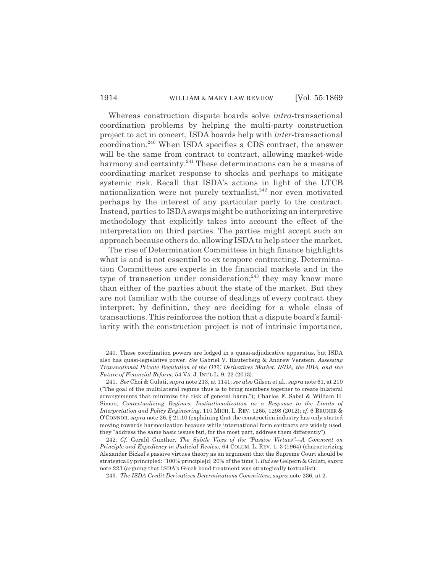#### 1914 WILLIAM & MARY LAW REVIEW [Vol. 55:1869]

Whereas construction dispute boards solve *intra*-transactional coordination problems by helping the multi-party construction project to act in concert, ISDA boards help with *inter-*transactional coordination.240 When ISDA specifies a CDS contract, the answer will be the same from contract to contract, allowing market-wide harmony and certainty.<sup>241</sup> These determinations can be a means of coordinating market response to shocks and perhaps to mitigate systemic risk. Recall that ISDA's actions in light of the LTCB nationalization were not purely textualist, $242$  nor even motivated perhaps by the interest of any particular party to the contract. Instead, parties to ISDA swaps might be authorizing an interpretive methodology that explicitly takes into account the effect of the interpretation on third parties. The parties might accept such an approach because others do, allowing ISDA to help steer the market.

The rise of Determination Committees in high finance highlights what is and is not essential to ex tempore contracting. Determination Committees are experts in the financial markets and in the type of transaction under consideration;<sup>243</sup> they may know more than either of the parties about the state of the market. But they are not familiar with the course of dealings of every contract they interpret; by definition, they are deciding for a whole class of transactions. This reinforces the notion that a dispute board's familiarity with the construction project is not of intrinsic importance,

<sup>240.</sup> These coordination powers are lodged in a quasi-adjudicative apparatus, but ISDA also has quasi-legislative power. *See* Gabriel V. Rauterberg & Andrew Verstein, *Assessing Transnational Private Regulation of the OTC Derivatives Market: ISDA, the BBA, and the Future of Financial Reform*, 54 VA. J. INT'L L. 9, 22 (2013).

<sup>241.</sup> *See* Choi & Gulati, *supra* note 213, at 1141; *see also* Gilson et al., *supra* note 61, at 210 ("The goal of the multilateral regime thus is to bring members together to create bilateral arrangements that minimize the risk of general harm."); Charles F. Sabel & William H. Simon, *Contextualizing Regimes: Institutionalization as a Response to the Limits of Interpretation and Policy Engineering*, 110 MICH. L. REV. 1265, 1298 (2012); *cf.* 6 BRUNER & O'CONNOR, *supra* note 26, § 21:10 (explaining that the construction industry has only started moving towards harmonization because while international form contracts are widely used, they "address the same basic issues but, for the most part, address them differently").

<sup>242.</sup> *Cf.* Gerald Gunther, *The Subtle Vices of the "Passive Virtues"—A Comment on Principle and Expediency in Judicial Review*, 64 COLUM. L. REV. 1, 3 (1964) (characterizing Alexander Bickel's passive virtues theory as an argument that the Supreme Court should be strategically principled: "100% principle[d] 20% of the time"). *But see* Gelpern & Gulati, *supra* note 223 (arguing that ISDA's Greek bond treatment was strategically textualist).

<sup>243.</sup> *The ISDA Credit Derivatives Determinations Committees*, *supra* note 236, at 2.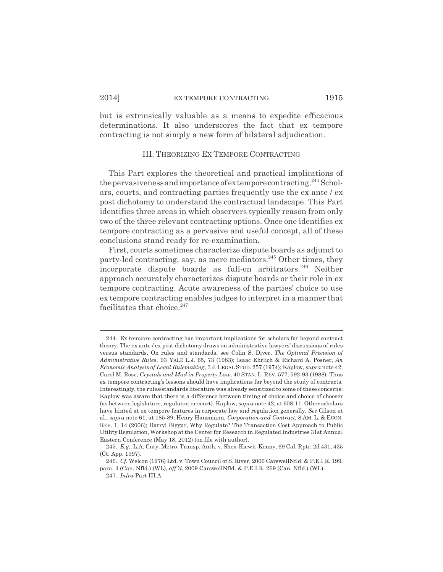#### 2014] EX TEMPORE CONTRACTING 1915

but is extrinsically valuable as a means to expedite efficacious determinations. It also underscores the fact that ex tempore contracting is not simply a new form of bilateral adjudication.

#### III. THEORIZING EX TEMPORE CONTRACTING

This Part explores the theoretical and practical implications of the pervasiveness and importance of extempore contracting.<sup>244</sup> Scholars, courts, and contracting parties frequently use the ex ante / ex post dichotomy to understand the contractual landscape. This Part identifies three areas in which observers typically reason from only two of the three relevant contracting options. Once one identifies ex tempore contracting as a pervasive and useful concept, all of these conclusions stand ready for re-examination.

First, courts sometimes characterize dispute boards as adjunct to party-led contracting, say, as mere mediators.<sup>245</sup> Other times, they incorporate dispute boards as full-on arbitrators.<sup>246</sup> Neither approach accurately characterizes dispute boards or their role in ex tempore contracting. Acute awareness of the parties' choice to use ex tempore contracting enables judges to interpret in a manner that facilitates that choice. $247$ 

<sup>244.</sup> Ex tempore contracting has important implications for scholars far beyond contract theory. The ex ante / ex post dichotomy draws on administrative lawyers' discussions of rules versus standards. On rules and standards, see Colin S. Diver, *The Optimal Precision of Administrative Rules*, 93 YALE L.J. 65, 73 (1983); Isaac Ehrlich & Richard A. Posner, *An Economic Analysis of Legal Rulemaking*, 3 J. LEGAL STUD. 257 (1974); Kaplow, *supra* note 42; Carol M. Rose, *Crystals and Mud in Property Law*, 40 STAN. L. REV. 577, 592-93 (1988). Thus ex tempore contracting's lessons should have implications far beyond the study of contracts. Interestingly, the rules/standards literature was already sensitized to some of these concerns: Kaplow was aware that there is a difference between timing of choice and choice of chooser (as between legislature, regulator, or court). Kaplow, *supra* note 42, at 608-11. Other scholars have hinted at ex tempore features in corporate law and regulation generally. *See* Gilson et al., *supra* note 61, at 185-89; Henry Hansmann, *Corporation and Contract*, 8 AM. L. & ECON. REV. 1, 14 (2006); Darryl Biggar, Why Regulate? The Transaction Cost Approach to Public Utility Regulation, Workshop at the Center for Research in Regulated Industries 31st Annual Eastern Conference (May 18, 2012) (on file with author).

<sup>245.</sup> *E.g.*, L.A. Cnty. Metro. Transp. Auth. v. Shea-Kiewit-Kenny, 69 Cal. Rptr. 2d 431, 435 (Ct. App. 1997).

<sup>246.</sup> *Cf.* Welcon (1976) Ltd. v. Town Council of S. River, 2006 CarswellNfld. & P.E.I.R. 199, para. 4 (Can. Nfld.) (WL), *aff 'd*, 2009 CarswellNfld. & P.E.I.R. 269 (Can. Nfld.) (WL).

<sup>247.</sup> *Infra* Part III.A.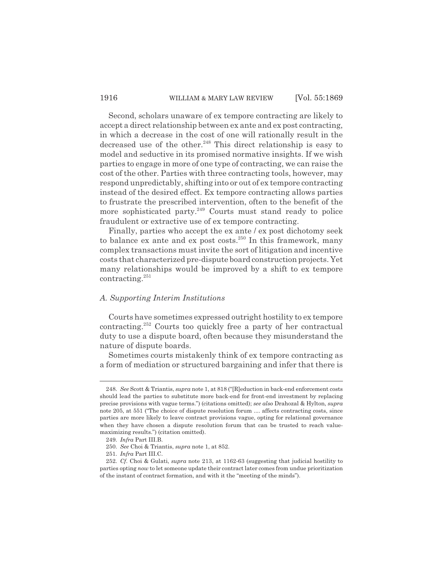Second, scholars unaware of ex tempore contracting are likely to accept a direct relationship between ex ante and ex post contracting, in which a decrease in the cost of one will rationally result in the decreased use of the other.<sup>248</sup> This direct relationship is easy to model and seductive in its promised normative insights. If we wish parties to engage in more of one type of contracting, we can raise the cost of the other. Parties with three contracting tools, however, may respond unpredictably, shifting into or out of ex tempore contracting instead of the desired effect. Ex tempore contracting allows parties to frustrate the prescribed intervention, often to the benefit of the more sophisticated party.<sup>249</sup> Courts must stand ready to police fraudulent or extractive use of ex tempore contracting.

Finally, parties who accept the ex ante / ex post dichotomy seek to balance ex ante and ex post costs.<sup>250</sup> In this framework, many complex transactions must invite the sort of litigation and incentive costs that characterized pre-dispute board construction projects. Yet many relationships would be improved by a shift to ex tempore contracting.251

#### *A. Supporting Interim Institutions*

Courts have sometimes expressed outright hostility to ex tempore contracting.252 Courts too quickly free a party of her contractual duty to use a dispute board, often because they misunderstand the nature of dispute boards.

Sometimes courts mistakenly think of ex tempore contracting as a form of mediation or structured bargaining and infer that there is

<sup>248.</sup> *See* Scott & Triantis, *supra* note 1, at 818 ("[R]eduction in back-end enforcement costs should lead the parties to substitute more back-end for front-end investment by replacing precise provisions with vague terms.") (citations omitted); *see also* Drahozal & Hylton, *supra* note 205, at 551 ("The choice of dispute resolution forum .... affects contracting costs, since parties are more likely to leave contract provisions vague, opting for relational governance when they have chosen a dispute resolution forum that can be trusted to reach valuemaximizing results.") (citation omitted).

<sup>249.</sup> *Infra* Part III.B.

<sup>250.</sup> *See* Choi & Triantis, *supra* note 1, at 852.

<sup>251.</sup> *Infra* Part III.C.

<sup>252.</sup> *Cf*. Choi & Gulati, *supra* note 213, at 1162-63 (suggesting that judicial hostility to parties opting *now* to let someone update their contract later comes from undue prioritization of the instant of contract formation, and with it the "meeting of the minds").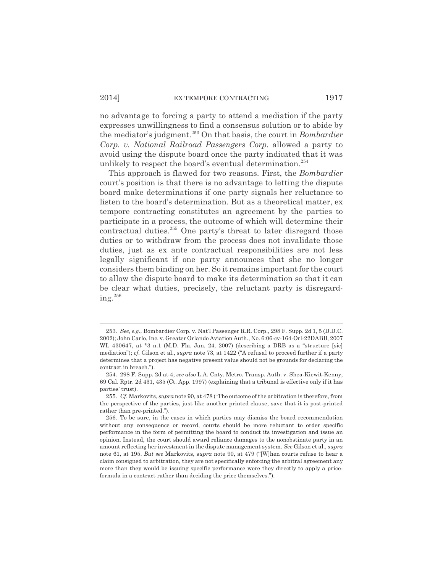no advantage to forcing a party to attend a mediation if the party expresses unwillingness to find a consensus solution or to abide by the mediator's judgment.253 On that basis, the court in *Bombardier Corp. v. National Railroad Passengers Corp.* allowed a party to avoid using the dispute board once the party indicated that it was unlikely to respect the board's eventual determination.<sup>254</sup>

This approach is flawed for two reasons. First, the *Bombardier* court's position is that there is no advantage to letting the dispute board make determinations if one party signals her reluctance to listen to the board's determination. But as a theoretical matter, ex tempore contracting constitutes an agreement by the parties to participate in a process, the outcome of which will determine their contractual duties.255 One party's threat to later disregard those duties or to withdraw from the process does not invalidate those duties, just as ex ante contractual responsibilities are not less legally significant if one party announces that she no longer considers them binding on her. So it remains important for the court to allow the dispute board to make its determination so that it can be clear what duties, precisely, the reluctant party is disregarding. $^{256}$ 

<sup>253.</sup> *See, e.g.*, Bombardier Corp. v. Nat'l Passenger R.R. Corp., 298 F. Supp. 2d 1, 5 (D.D.C. 2002); John Carlo, Inc. v. Greater Orlando Aviation Auth., No. 6:06-cv-164-Orl-22DABB, 2007 WL 430647, at \*3 n.1 (M.D. Fla. Jan. 24, 2007) (describing a DRB as a "structure [sic] mediation"); *cf.* Gilson et al., *supra* note 73, at 1422 ("A refusal to proceed further if a party determines that a project has negative present value should not be grounds for declaring the contract in breach.").

<sup>254. 298</sup> F. Supp. 2d at 4; *see also* L.A. Cnty. Metro. Transp. Auth. v. Shea-Kiewit-Kenny, 69 Cal. Rptr. 2d 431, 435 (Ct. App. 1997) (explaining that a tribunal is effective only if it has parties' trust).

<sup>255.</sup> *Cf*. Markovits, *supra* note 90, at 478 ("The outcome of the arbitration is therefore, from the perspective of the parties, just like another printed clause, save that it is post-printed rather than pre-printed.").

<sup>256.</sup> To be sure, in the cases in which parties may dismiss the board recommendation without any consequence or record, courts should be more reluctant to order specific performance in the form of permitting the board to conduct its investigation and issue an opinion. Instead, the court should award reliance damages to the nonobstinate party in an amount reflecting her investment in the dispute management system. *See* Gilson et al., *supra* note 61, at 195. *But see* Markovits, s*upra* note 90, at 479 ("[W]hen courts refuse to hear a claim consigned to arbitration, they are not specifically enforcing the arbitral agreement any more than they would be issuing specific performance were they directly to apply a priceformula in a contract rather than deciding the price themselves.").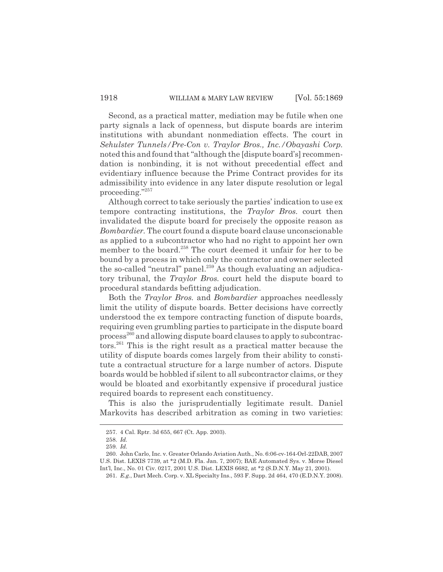Second, as a practical matter, mediation may be futile when one party signals a lack of openness, but dispute boards are interim institutions with abundant nonmediation effects. The court in *Sehulster Tunnels/Pre-Con v. Traylor Bros., Inc./Obayashi Corp.* noted this and found that "although the [dispute board's] recommendation is nonbinding, it is not without precedential effect and evidentiary influence because the Prime Contract provides for its admissibility into evidence in any later dispute resolution or legal proceeding."257

Although correct to take seriously the parties' indication to use ex tempore contracting institutions, the *Traylor Bros.* court then invalidated the dispute board for precisely the opposite reason as *Bombardier.* The court found a dispute board clause unconscionable as applied to a subcontractor who had no right to appoint her own member to the board.<sup>258</sup> The court deemed it unfair for her to be bound by a process in which only the contractor and owner selected the so-called "neutral" panel.<sup>259</sup> As though evaluating an adjudicatory tribunal, the *Traylor Bros.* court held the dispute board to procedural standards befitting adjudication.

Both the *Traylor Bros.* and *Bombardier* approaches needlessly limit the utility of dispute boards. Better decisions have correctly understood the ex tempore contracting function of dispute boards, requiring even grumbling parties to participate in the dispute board process<sup>260</sup> and allowing dispute board clauses to apply to subcontractors.261 This is the right result as a practical matter because the utility of dispute boards comes largely from their ability to constitute a contractual structure for a large number of actors. Dispute boards would be hobbled if silent to all subcontractor claims, or they would be bloated and exorbitantly expensive if procedural justice required boards to represent each constituency.

This is also the jurisprudentially legitimate result. Daniel Markovits has described arbitration as coming in two varieties:

<sup>257. 4</sup> Cal. Rptr. 3d 655, 667 (Ct. App. 2003).

<sup>258.</sup> *Id.*

<sup>259.</sup> *Id.*

<sup>260.</sup> John Carlo, Inc. v. Greater Orlando Aviation Auth., No. 6:06-cv-164-Orl-22DAB, 2007 U.S. Dist. LEXIS 7739, at \*2 (M.D. Fla. Jan. 7, 2007); BAE Automated Sys. v. Morse Diesel Int'l, Inc., No. 01 Civ. 0217, 2001 U.S. Dist. LEXIS 6682, at \*2 (S.D.N.Y. May 21, 2001).

<sup>261.</sup> *E.g.*, Dart Mech. Corp. v. XL Specialty Ins., 593 F. Supp. 2d 464, 470 (E.D.N.Y. 2008).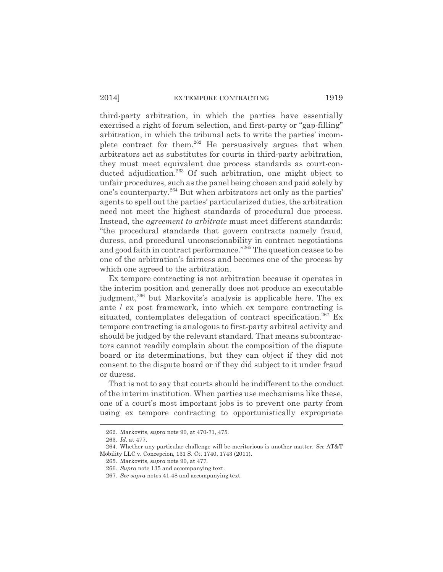#### 2014] EX TEMPORE CONTRACTING 1919

third-party arbitration, in which the parties have essentially exercised a right of forum selection, and first-party or "gap-filling" arbitration, in which the tribunal acts to write the parties' incomplete contract for them.<sup>262</sup> He persuasively argues that when arbitrators act as substitutes for courts in third-party arbitration, they must meet equivalent due process standards as court-conducted adjudication.<sup>263</sup> Of such arbitration, one might object to unfair procedures, such as the panel being chosen and paid solely by one's counterparty.264 But when arbitrators act only as the parties' agents to spell out the parties' particularized duties, the arbitration need not meet the highest standards of procedural due process. Instead, the *agreement to arbitrate* must meet different standards: "the procedural standards that govern contracts namely fraud, duress, and procedural unconscionability in contract negotiations and good faith in contract performance."265 The question ceases to be one of the arbitration's fairness and becomes one of the process by which one agreed to the arbitration.

Ex tempore contracting is not arbitration because it operates in the interim position and generally does not produce an executable judgment,<sup>266</sup> but Markovits's analysis is applicable here. The ex ante / ex post framework, into which ex tempore contracting is situated, contemplates delegation of contract specification.<sup>267</sup> Ex tempore contracting is analogous to first-party arbitral activity and should be judged by the relevant standard. That means subcontractors cannot readily complain about the composition of the dispute board or its determinations, but they can object if they did not consent to the dispute board or if they did subject to it under fraud or duress.

That is not to say that courts should be indifferent to the conduct of the interim institution. When parties use mechanisms like these, one of a court's most important jobs is to prevent one party from using ex tempore contracting to opportunistically expropriate

<sup>262.</sup> Markovits, s*upra* note 90, at 470-71, 475.

<sup>263.</sup> *Id*. at 477.

<sup>264.</sup> Whether any particular challenge will be meritorious is another matter. *See* AT&T Mobility LLC v. Concepcion, 131 S. Ct. 1740, 1743 (2011).

<sup>265.</sup> Markovits, s*upra* note 90, at 477.

<sup>266.</sup> *Supra* note 135 and accompanying text.

<sup>267.</sup> *See supra* notes 41-48 and accompanying text.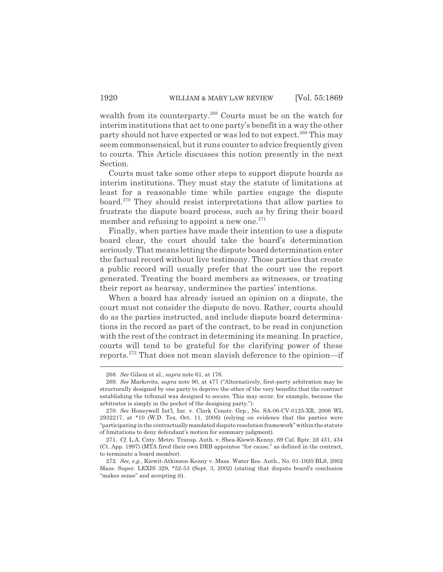wealth from its counterparty.<sup>268</sup> Courts must be on the watch for interim institutions that act to one party's benefit in a way the other party should not have expected or was led to not expect.<sup>269</sup> This may seem commonsensical, but it runs counter to advice frequently given to courts. This Article discusses this notion presently in the next Section.

Courts must take some other steps to support dispute boards as interim institutions. They must stay the statute of limitations at least for a reasonable time while parties engage the dispute board.270 They should resist interpretations that allow parties to frustrate the dispute board process, such as by firing their board member and refusing to appoint a new one. $271$ 

Finally, when parties have made their intention to use a dispute board clear, the court should take the board's determination seriously. That means letting the dispute board determination enter the factual record without live testimony. Those parties that create a public record will usually prefer that the court use the report generated. Treating the board members as witnesses, or treating their report as hearsay, undermines the parties' intentions.

When a board has already issued an opinion on a dispute, the court must not consider the dispute de novo. Rather, courts should do as the parties instructed, and include dispute board determinations in the record as part of the contract, to be read in conjunction with the rest of the contract in determining its meaning. In practice, courts will tend to be grateful for the clarifying power of these reports.272 That does not mean slavish deference to the opinion—if

<sup>268.</sup> *See* Gilson et al., *supra* note 61, at 176.

<sup>269.</sup> *See* Markovits, s*upra* note 90, at 477 ("Alternatively, first-party arbitration may be structurally designed by one party to deprive the other of the very benefits that the contract establishing the tribunal was designed to secure. This may occur, for example, because the arbitrator is simply in the pocket of the designing party.").

<sup>270.</sup> *See* Honeywell Int'l, Inc. v. Clark Constr. Grp., No. SA-06-CV-0125-XR, 2006 WL 2932217, at \*10 (W.D. Tex. Oct. 11, 2006) (relying on evidence that the parties were "participating in the contractually mandated dispute resolution framework" within the statute of limitations to deny defendant's motion for summary judgment).

<sup>271.</sup> *Cf.* L.A. Cnty. Metro. Transp. Auth. v. Shea-Kiewit-Kenny, 69 Cal. Rptr. 2d 431, 434 (Ct. App. 1997) (MTA fired their own DRB appointee "for cause," as defined in the contract, to terminate a board member).

<sup>272.</sup> *See, e.g.*, Kiewit-Atkinson-Kenny v. Mass. Water Res. Auth., No. 01-1920 BLS, 2002 Mass. Super. LEXIS 329, \*52-53 (Sept. 3, 2002) (stating that dispute board's conclusion "makes sense" and accepting it).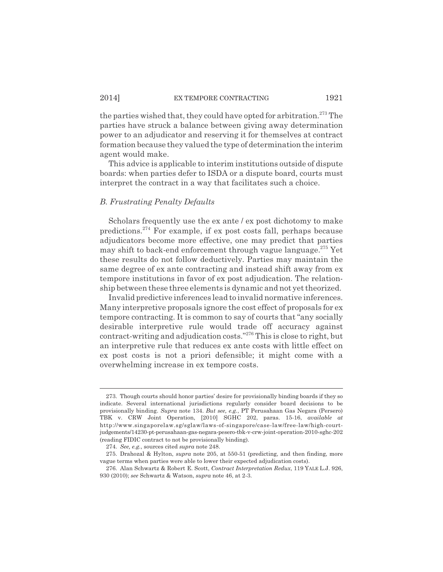#### 2014] EX TEMPORE CONTRACTING 1921

the parties wished that, they could have opted for arbitration.<sup>273</sup> The parties have struck a balance between giving away determination power to an adjudicator and reserving it for themselves at contract formation because they valued the type of determination the interim agent would make.

This advice is applicable to interim institutions outside of dispute boards: when parties defer to ISDA or a dispute board, courts must interpret the contract in a way that facilitates such a choice.

#### *B. Frustrating Penalty Defaults*

Scholars frequently use the ex ante / ex post dichotomy to make predictions.274 For example, if ex post costs fall, perhaps because adjudicators become more effective, one may predict that parties may shift to back-end enforcement through vague language.275 Yet these results do not follow deductively. Parties may maintain the same degree of ex ante contracting and instead shift away from ex tempore institutions in favor of ex post adjudication. The relationship between these three elements is dynamic and not yet theorized.

Invalid predictive inferences lead to invalid normative inferences. Many interpretive proposals ignore the cost effect of proposals for ex tempore contracting. It is common to say of courts that "any socially desirable interpretive rule would trade off accuracy against contract-writing and adjudication costs."276 This is close to right, but an interpretive rule that reduces ex ante costs with little effect on ex post costs is not a priori defensible; it might come with a overwhelming increase in ex tempore costs.

<sup>273.</sup> Though courts should honor parties' desire for provisionally binding boards if they so indicate. Several international jurisdictions regularly consider board decisions to be provisionally binding. *Supra* note 134. *But see, e.g.*, PT Perusahaan Gas Negara (Persero) TBK v. CRW Joint Operation, [2010] SGHC 202, paras. 15-16, *available at* http://www.singaporelaw.sg/sglaw/laws-of-singapore/case-law/free-law/high-courtjudgements/14230-pt-perusahaan-gas-negara-pesero-tbk-v-crw-joint-operation-2010-sghc-202 (reading FIDIC contract to not be provisionally binding).

<sup>274.</sup> *See, e.g.*, sources cited *supra* note 248.

<sup>275.</sup> Drahozal & Hylton, *supra* note 205, at 550-51 (predicting, and then finding, more vague terms when parties were able to lower their expected adjudication costs).

<sup>276.</sup> Alan Schwartz & Robert E. Scott, *Contract Interpretation Redux*, 119 YALE L.J. 926, 930 (2010); *see* Schwartz & Watson, *supra* note 46, at 2-3.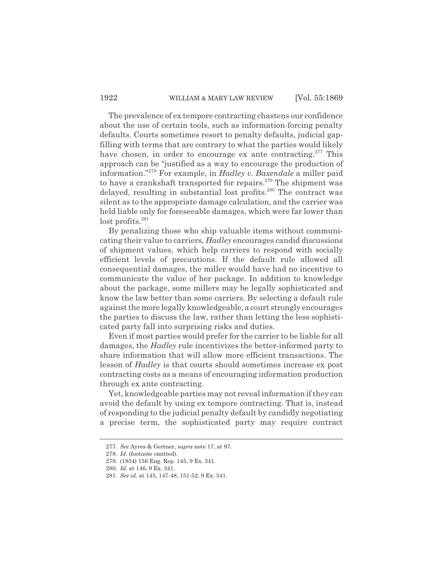#### 1922 WILLIAM & MARY LAW REVIEW [Vol. 55:1869]

The prevalence of ex tempore contracting chastens our confidence about the use of certain tools, such as information-forcing penalty defaults. Courts sometimes resort to penalty defaults, judicial gapfilling with terms that are contrary to what the parties would likely have chosen, in order to encourage ex ante contracting.<sup>277</sup> This approach can be "justified as a way to encourage the production of information."278 For example, in *Hadley v. Baxendale* a miller paid to have a crankshaft transported for repairs.279 The shipment was delayed, resulting in substantial lost profits.<sup>280</sup> The contract was silent as to the appropriate damage calculation, and the carrier was held liable only for foreseeable damages, which were far lower than  $lost$  profits.<sup>281</sup>

By penalizing those who ship valuable items without communicating their value to carriers, *Hadley* encourages candid discussions of shipment values, which help carriers to respond with socially efficient levels of precautions. If the default rule allowed all consequential damages, the miller would have had no incentive to communicate the value of her package. In addition to knowledge about the package, some millers may be legally sophisticated and know the law better than some carriers. By selecting a default rule against the more legally knowledgeable, a court strongly encourages the parties to discuss the law, rather than letting the less sophisticated party fall into surprising risks and duties.

Even if most parties would prefer for the carrier to be liable for all damages, the *Hadley* rule incentivizes the better-informed party to share information that will allow more efficient transactions. The lesson of *Hadley* is that courts should sometimes increase ex post contracting costs as a means of encouraging information production through ex ante contracting.

Yet, knowledgeable parties may not reveal information if they can avoid the default by using ex tempore contracting. That is, instead of responding to the judicial penalty default by candidly negotiating a precise term, the sophisticated party may require contract

<sup>277.</sup> *See* Ayres & Gertner, *supra* note 17, at 97.

<sup>278.</sup> *Id.* (footnote omitted).

<sup>279. (1854) 156</sup> Eng. Rep. 145, 9 Ex. 341.

<sup>280.</sup> *Id.* at 146, 9 Ex. 341.

<sup>281.</sup> *See id.* at 145, 147-48, 151-52, 9 Ex. 341.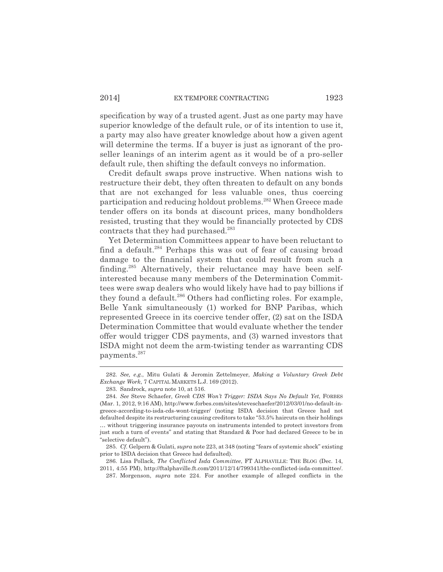specification by way of a trusted agent. Just as one party may have superior knowledge of the default rule, or of its intention to use it, a party may also have greater knowledge about how a given agent will determine the terms. If a buyer is just as ignorant of the proseller leanings of an interim agent as it would be of a pro-seller default rule, then shifting the default conveys no information.

Credit default swaps prove instructive. When nations wish to restructure their debt, they often threaten to default on any bonds that are not exchanged for less valuable ones, thus coercing participation and reducing holdout problems.282 When Greece made tender offers on its bonds at discount prices, many bondholders resisted, trusting that they would be financially protected by CDS contracts that they had purchased.<sup>283</sup>

Yet Determination Committees appear to have been reluctant to find a default.<sup>284</sup> Perhaps this was out of fear of causing broad damage to the financial system that could result from such a finding.<sup>285</sup> Alternatively, their reluctance may have been selfinterested because many members of the Determination Committees were swap dealers who would likely have had to pay billions if they found a default.<sup>286</sup> Others had conflicting roles. For example, Belle Yank simultaneously (1) worked for BNP Paribas, which represented Greece in its coercive tender offer, (2) sat on the ISDA Determination Committee that would evaluate whether the tender offer would trigger CDS payments, and (3) warned investors that ISDA might not deem the arm-twisting tender as warranting CDS payments.287

<sup>282.</sup> *See, e.g.*, Mitu Gulati & Jeromin Zettelmeyer, *Making a Voluntary Greek Debt Exchange Work*, 7 CAPITAL MARKETS L.J. 169 (2012).

<sup>283.</sup> Sandrock, *supra* note 10, at 516.

<sup>284.</sup> *See* Steve Schaefer, *Greek CDS Won't Trigger: ISDA Says No Default Yet*, FORBES (Mar. 1, 2012, 9:16 AM), http://www.forbes.com/sites/steveschaefer/2012/03/01/no-default-ingreece-according-to-isda-cds-wont-trigger/ (noting ISDA decision that Greece had not defaulted despite its restructuring causing creditors to take "53.5% haircuts on their holdings … without triggering insurance payouts on instruments intended to protect investors from just such a turn of events" and stating that Standard & Poor had declared Greece to be in "selective default").

<sup>285.</sup> *Cf.* Gelpern & Gulati, *supra* note 223, at 348 (noting "fears of systemic shock" existing prior to ISDA decision that Greece had defaulted).

<sup>286.</sup> Lisa Pollack, *The Conflicted Isda Committee*, FT ALPHAVILLE: THE BLOG (Dec. 14, 2011, 4:55 PM), http://ftalphaville.ft.com/2011/12/14/799341/the-conflicted-isda-committee/.

<sup>287.</sup> Morgenson, *supra* note 224. For another example of alleged conflicts in the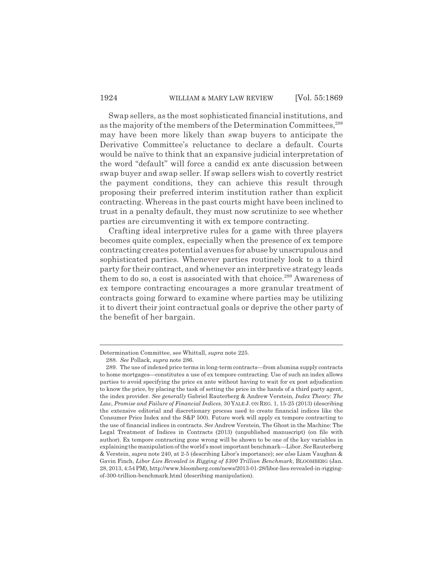#### 1924 WILLIAM & MARY LAW REVIEW [Vol. 55:1869]

Swap sellers, as the most sophisticated financial institutions, and as the majority of the members of the Determination Committees,<sup>288</sup> may have been more likely than swap buyers to anticipate the Derivative Committee's reluctance to declare a default. Courts would be naïve to think that an expansive judicial interpretation of the word "default" will force a candid ex ante discussion between swap buyer and swap seller. If swap sellers wish to covertly restrict the payment conditions, they can achieve this result through proposing their preferred interim institution rather than explicit contracting. Whereas in the past courts might have been inclined to trust in a penalty default, they must now scrutinize to see whether parties are circumventing it with ex tempore contracting.

Crafting ideal interpretive rules for a game with three players becomes quite complex, especially when the presence of ex tempore contracting creates potential avenues for abuse by unscrupulous and sophisticated parties. Whenever parties routinely look to a third party for their contract, and whenever an interpretive strategy leads them to do so, a cost is associated with that choice.<sup>289</sup> Awareness of ex tempore contracting encourages a more granular treatment of contracts going forward to examine where parties may be utilizing it to divert their joint contractual goals or deprive the other party of the benefit of her bargain.

Determination Committee, see Whittall, *supra* note 225.

<sup>288.</sup> *See* Pollack, *supra* note 286.

<sup>289.</sup> The use of indexed price terms in long-term contracts—from alumina supply contracts to home mortgages—constitutes a use of ex tempore contracting. Use of such an index allows parties to avoid specifying the price ex ante without having to wait for ex post adjudication to know the price, by placing the task of setting the price in the hands of a third party agent, the index provider. *See generally* Gabriel Rauterberg & Andrew Verstein, *Index Theory: The Law, Promise and Failure of Financial Indices*, 30 YALE J. ON REG. 1, 15-25 (2013) (describing the extensive editorial and discretionary process used to create financial indices like the Consumer Price Index and the S&P 500). Future work will apply ex tempore contracting to the use of financial indices in contracts. *See* Andrew Verstein, The Ghost in the Machine: The Legal Treatment of Indices in Contracts (2013) (unpublished manuscript) (on file with author). Ex tempore contracting gone wrong will be shown to be one of the key variables in explaining the manipulation of the world's most important benchmark—Libor. *See* Rauterberg & Verstein, *supra* note 240, at 2-5 (describing Libor's importance); *see also* Liam Vaughan & Gavin Finch, *Libor Lies Revealed in Rigging of \$300 Trillion Benchmark*, BLOOMBERG (Jan. 28, 2013, 4:54 PM), http://www.bloomberg.com/news/2013-01-28/libor-lies-revealed-in-riggingof-300-trillion-benchmark.html (describing manipulation).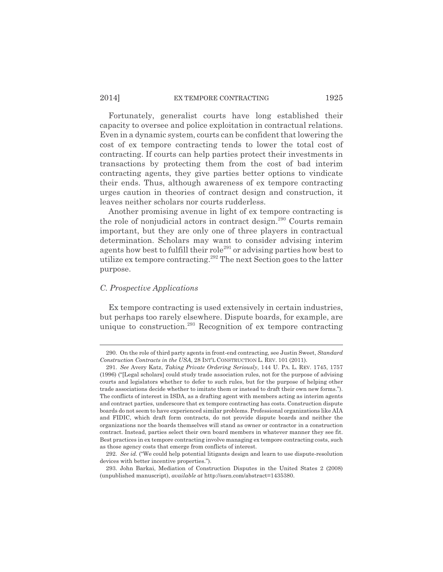#### 2014] EX TEMPORE CONTRACTING 1925

Fortunately, generalist courts have long established their capacity to oversee and police exploitation in contractual relations. Even in a dynamic system, courts can be confident that lowering the cost of ex tempore contracting tends to lower the total cost of contracting. If courts can help parties protect their investments in transactions by protecting them from the cost of bad interim contracting agents, they give parties better options to vindicate their ends. Thus, although awareness of ex tempore contracting urges caution in theories of contract design and construction, it leaves neither scholars nor courts rudderless.

Another promising avenue in light of ex tempore contracting is the role of nonjudicial actors in contract design. $290$  Courts remain important, but they are only one of three players in contractual determination. Scholars may want to consider advising interim agents how best to fulfill their role<sup>291</sup> or advising parties how best to utilize ex tempore contracting.<sup>292</sup> The next Section goes to the latter purpose.

#### *C. Prospective Applications*

Ex tempore contracting is used extensively in certain industries, but perhaps too rarely elsewhere. Dispute boards, for example, are unique to construction.<sup>293</sup> Recognition of ex tempore contracting

<sup>290.</sup> On the role of third party agents in front-end contracting, see Justin Sweet, *Standard Construction Contracts in the USA*, 28 INT'L CONSTRUCTION L. REV. 101 (2011).

<sup>291.</sup> *See* Avery Katz, *Taking Private Ordering Seriously*, 144 U. PA. L. REV. 1745, 1757 (1996) ("[Legal scholars] could study trade association rules, not for the purpose of advising courts and legislators whether to defer to such rules, but for the purpose of helping other trade associations decide whether to imitate them or instead to draft their own new forms."). The conflicts of interest in ISDA, as a drafting agent with members acting as interim agents and contract parties, underscore that ex tempore contracting has costs. Construction dispute boards do not seem to have experienced similar problems. Professional organizations like AIA and FIDIC, which draft form contracts, do not provide dispute boards and neither the organizations nor the boards themselves will stand as owner or contractor in a construction contract. Instead, parties select their own board members in whatever manner they see fit. Best practices in ex tempore contracting involve managing ex tempore contracting costs, such as those agency costs that emerge from conflicts of interest.

<sup>292.</sup> *See id.* ("We could help potential litigants design and learn to use dispute-resolution devices with better incentive properties.").

<sup>293.</sup> John Barkai, Mediation of Construction Disputes in the United States 2 (2008) (unpublished manuscript), *available at* http://ssrn.com/abstract=1435380.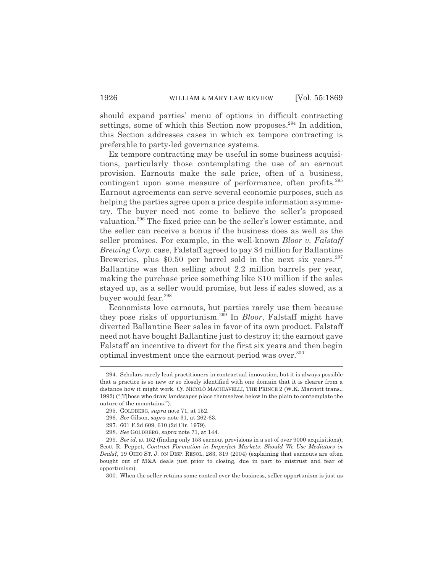should expand parties' menu of options in difficult contracting settings, some of which this Section now proposes.<sup>294</sup> In addition, this Section addresses cases in which ex tempore contracting is preferable to party-led governance systems.

Ex tempore contracting may be useful in some business acquisitions, particularly those contemplating the use of an earnout provision. Earnouts make the sale price, often of a business, contingent upon some measure of performance, often profits.295 Earnout agreements can serve several economic purposes, such as helping the parties agree upon a price despite information asymmetry. The buyer need not come to believe the seller's proposed valuation.296 The fixed price can be the seller's lower estimate, and the seller can receive a bonus if the business does as well as the seller promises. For example, in the well-known *Bloor v. Falstaff Brewing Corp.* case, Falstaff agreed to pay \$4 million for Ballantine Breweries, plus \$0.50 per barrel sold in the next six years. $297$ Ballantine was then selling about 2.2 million barrels per year, making the purchase price something like \$10 million if the sales stayed up, as a seller would promise, but less if sales slowed, as a buyer would fear.<sup>298</sup>

Economists love earnouts, but parties rarely use them because they pose risks of opportunism.299 In *Bloor*, Falstaff might have diverted Ballantine Beer sales in favor of its own product. Falstaff need not have bought Ballantine just to destroy it; the earnout gave Falstaff an incentive to divert for the first six years and then begin optimal investment once the earnout period was over.<sup>300</sup>

<sup>294.</sup> Scholars rarely lead practitioners in contractual innovation, but it is always possible that a practice is so new or so closely identified with one domain that it is clearer from a distance how it might work. *Cf*. NICOLÒ MACHIAVELLI, THE PRINCE 2 (W.K. Marriott trans., 1992) ("[T]hose who draw landscapes place themselves below in the plain to contemplate the nature of the mountains.").

<sup>295.</sup> GOLDBERG, *supra* note 71, at 152.

<sup>296.</sup> *See* Gilson, *supra* note 31, at 262-63.

<sup>297. 601</sup> F.2d 609, 610 (2d Cir. 1979).

<sup>298.</sup> *See* GOLDBERG, *supra* note 71, at 144.

<sup>299.</sup> *See id*. at 152 (finding only 153 earnout provisions in a set of over 9000 acquisitions); Scott R. Peppet, *Contract Formation in Imperfect Markets: Should We Use Mediators in Deals?*, 19 OHIO ST. J. ON DISP. RESOL. 283, 319 (2004) (explaining that earnouts are often bought out of M&A deals just prior to closing, due in part to mistrust and fear of opportunism).

<sup>300.</sup> When the seller retains some control over the business, seller opportunism is just as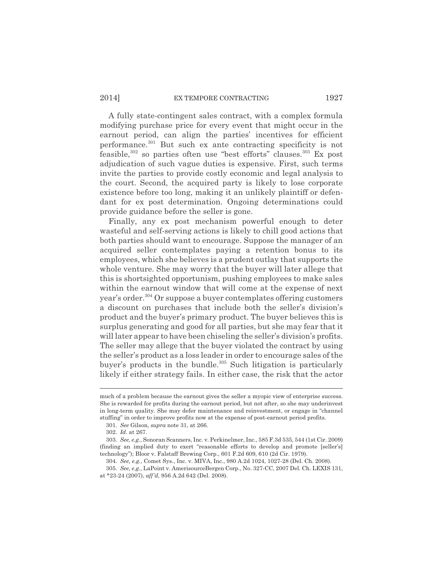#### 2014] EX TEMPORE CONTRACTING 1927

A fully state-contingent sales contract, with a complex formula modifying purchase price for every event that might occur in the earnout period, can align the parties' incentives for efficient performance.301 But such ex ante contracting specificity is not feasible, $302$  so parties often use "best efforts" clauses. $303$  Ex post adjudication of such vague duties is expensive. First, such terms invite the parties to provide costly economic and legal analysis to the court. Second, the acquired party is likely to lose corporate existence before too long, making it an unlikely plaintiff or defendant for ex post determination. Ongoing determinations could provide guidance before the seller is gone.

Finally, any ex post mechanism powerful enough to deter wasteful and self-serving actions is likely to chill good actions that both parties should want to encourage. Suppose the manager of an acquired seller contemplates paying a retention bonus to its employees, which she believes is a prudent outlay that supports the whole venture. She may worry that the buyer will later allege that this is shortsighted opportunism, pushing employees to make sales within the earnout window that will come at the expense of next year's order.<sup>304</sup> Or suppose a buyer contemplates offering customers a discount on purchases that include both the seller's division's product and the buyer's primary product. The buyer believes this is surplus generating and good for all parties, but she may fear that it will later appear to have been chiseling the seller's division's profits. The seller may allege that the buyer violated the contract by using the seller's product as a loss leader in order to encourage sales of the buyer's products in the bundle. $305$  Such litigation is particularly likely if either strategy fails. In either case, the risk that the actor

much of a problem because the earnout gives the seller a myopic view of enterprise success. She is rewarded for profits during the earnout period, but not after, so she may underinvest in long-term quality. She may defer maintenance and reinvestment, or engage in "channel stuffing" in order to improve profits now at the expense of post-earnout period profits.

<sup>301.</sup> *See* Gilson, *supra* note 31, at 266.

<sup>302.</sup> *Id*. at 267.

<sup>303.</sup> *See, e.g.*, Sonoran Scanners, Inc. v. Perkinelmer, Inc., 585 F.3d 535, 544 (1st Cir. 2009) (finding an implied duty to exert "reasonable efforts to develop and promote [seller's] technology"); Bloor v. Falstaff Brewing Corp., 601 F.2d 609, 610 (2d Cir. 1979).

<sup>304.</sup> *See, e.g.*, Comet Sys., Inc. v. MIVA, Inc., 980 A.2d 1024, 1027-28 (Del. Ch. 2008).

<sup>305.</sup> *See, e.g.*, LaPoint v. AmerisourceBergen Corp., No. 327-CC, 2007 Del. Ch. LEXIS 131, at \*23-24 (2007), *aff'd*, 956 A.2d 642 (Del. 2008).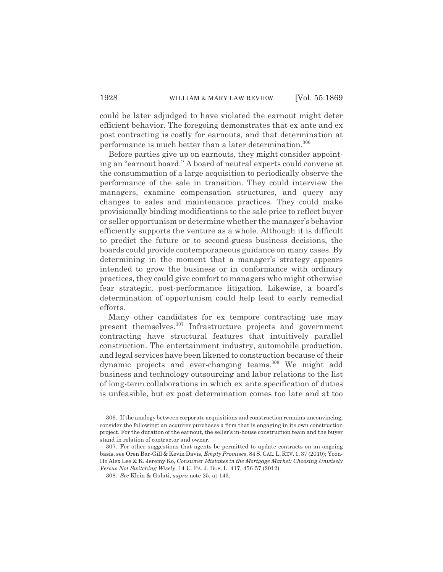could be later adjudged to have violated the earnout might deter efficient behavior. The foregoing demonstrates that ex ante and ex post contracting is costly for earnouts, and that determination at performance is much better than a later determination.<sup>306</sup>

Before parties give up on earnouts, they might consider appointing an "earnout board." A board of neutral experts could convene at the consummation of a large acquisition to periodically observe the performance of the sale in transition. They could interview the managers, examine compensation structures, and query any changes to sales and maintenance practices. They could make provisionally binding modifications to the sale price to reflect buyer or seller opportunism or determine whether the manager's behavior efficiently supports the venture as a whole. Although it is difficult to predict the future or to second-guess business decisions, the boards could provide contemporaneous guidance on many cases. By determining in the moment that a manager's strategy appears intended to grow the business or in conformance with ordinary practices, they could give comfort to managers who might otherwise fear strategic, post-performance litigation. Likewise, a board's determination of opportunism could help lead to early remedial efforts.

Many other candidates for ex tempore contracting use may present themselves.307 Infrastructure projects and government contracting have structural features that intuitively parallel construction. The entertainment industry, automobile production, and legal services have been likened to construction because of their dynamic projects and ever-changing teams.<sup>308</sup> We might add business and technology outsourcing and labor relations to the list of long-term collaborations in which ex ante specification of duties is unfeasible, but ex post determination comes too late and at too

<sup>306.</sup> If the analogy between corporate acquisitions and construction remains unconvincing, consider the following: an acquirer purchases a firm that is engaging in its own construction project. For the duration of the earnout, the seller's in-house construction team and the buyer stand in relation of contractor and owner.

<sup>307.</sup> For other suggestions that agents be permitted to update contracts on an ongoing basis, see Oren Bar-Gill & Kevin Davis, *Empty Promises*, 84 S. CAL.L. REV. 1, 37 (2010); Yoon-Ho Alex Lee & K. Jeremy Ko, *Consumer Mistakes in the Mortgage Market: Choosing Unwisely Versus Not Switching Wisely*, 14 U. PA. J. BUS. L. 417, 456-57 (2012).

<sup>308.</sup> *See* Klein & Gulati, *supra* note 25, at 143.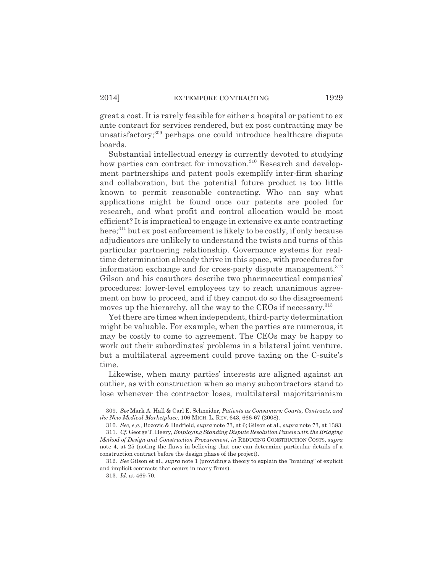great a cost. It is rarely feasible for either a hospital or patient to ex ante contract for services rendered, but ex post contracting may be unsatisfactory;<sup>309</sup> perhaps one could introduce healthcare dispute boards.

Substantial intellectual energy is currently devoted to studying how parties can contract for innovation.<sup>310</sup> Research and development partnerships and patent pools exemplify inter-firm sharing and collaboration, but the potential future product is too little known to permit reasonable contracting. Who can say what applications might be found once our patents are pooled for research, and what profit and control allocation would be most efficient? It is impractical to engage in extensive ex ante contracting here;<sup>311</sup> but ex post enforcement is likely to be costly, if only because adjudicators are unlikely to understand the twists and turns of this particular partnering relationship. Governance systems for realtime determination already thrive in this space, with procedures for information exchange and for cross-party dispute management.<sup>312</sup> Gilson and his coauthors describe two pharmaceutical companies' procedures: lower-level employees try to reach unanimous agreement on how to proceed, and if they cannot do so the disagreement moves up the hierarchy, all the way to the CEOs if necessary.<sup>313</sup>

Yet there are times when independent, third-party determination might be valuable. For example, when the parties are numerous, it may be costly to come to agreement. The CEOs may be happy to work out their subordinates' problems in a bilateral joint venture, but a multilateral agreement could prove taxing on the C-suite's time.

Likewise, when many parties' interests are aligned against an outlier, as with construction when so many subcontractors stand to lose whenever the contractor loses, multilateral majoritarianism

<sup>309.</sup> *See* Mark A. Hall & Carl E. Schneider, *Patients as Consumers: Courts, Contracts, and the New Medical Marketplace*, 106 MICH. L. REV. 643, 666-67 (2008).

<sup>310.</sup> *See, e.g.*, Bozovic & Hadfield, *supra* note 73, at 6; Gilson et al., *supra* note 73, at 1383. 311. *Cf.* George T. Heery, *Employing Standing Dispute Resolution Panels with the Bridging Method of Design and Construction Procurement*, *in* REDUCING CONSTRUCTION COSTS, *supra* note 4, at 25 (noting the flaws in believing that one can determine particular details of a construction contract before the design phase of the project).

<sup>312.</sup> *See* Gilson et al., *supra* note 1 (providing a theory to explain the "braiding" of explicit and implicit contracts that occurs in many firms).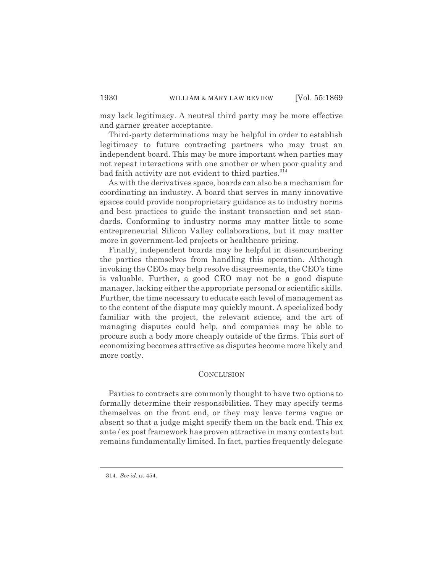may lack legitimacy. A neutral third party may be more effective and garner greater acceptance.

Third-party determinations may be helpful in order to establish legitimacy to future contracting partners who may trust an independent board. This may be more important when parties may not repeat interactions with one another or when poor quality and bad faith activity are not evident to third parties.<sup>314</sup>

As with the derivatives space, boards can also be a mechanism for coordinating an industry. A board that serves in many innovative spaces could provide nonproprietary guidance as to industry norms and best practices to guide the instant transaction and set standards. Conforming to industry norms may matter little to some entrepreneurial Silicon Valley collaborations, but it may matter more in government-led projects or healthcare pricing.

Finally, independent boards may be helpful in disencumbering the parties themselves from handling this operation. Although invoking the CEOs may help resolve disagreements, the CEO's time is valuable. Further, a good CEO may not be a good dispute manager, lacking either the appropriate personal or scientific skills. Further, the time necessary to educate each level of management as to the content of the dispute may quickly mount. A specialized body familiar with the project, the relevant science, and the art of managing disputes could help, and companies may be able to procure such a body more cheaply outside of the firms. This sort of economizing becomes attractive as disputes become more likely and more costly.

#### **CONCLUSION**

Parties to contracts are commonly thought to have two options to formally determine their responsibilities. They may specify terms themselves on the front end, or they may leave terms vague or absent so that a judge might specify them on the back end. This ex ante / ex post framework has proven attractive in many contexts but remains fundamentally limited. In fact, parties frequently delegate

<sup>314.</sup> *See id.* at 454.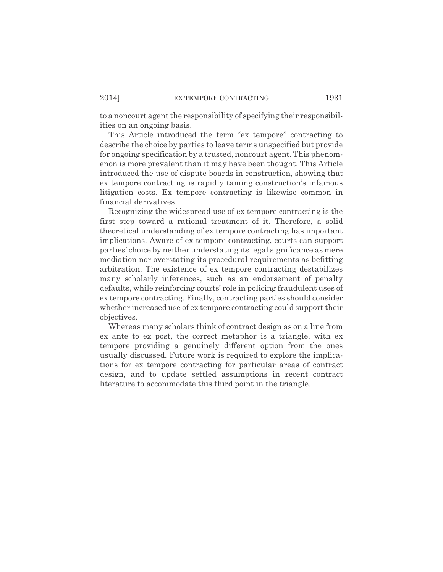to a noncourt agent the responsibility of specifying their responsibilities on an ongoing basis.

This Article introduced the term "ex tempore" contracting to describe the choice by parties to leave terms unspecified but provide for ongoing specification by a trusted, noncourt agent. This phenomenon is more prevalent than it may have been thought. This Article introduced the use of dispute boards in construction, showing that ex tempore contracting is rapidly taming construction's infamous litigation costs. Ex tempore contracting is likewise common in financial derivatives.

Recognizing the widespread use of ex tempore contracting is the first step toward a rational treatment of it. Therefore, a solid theoretical understanding of ex tempore contracting has important implications. Aware of ex tempore contracting, courts can support parties' choice by neither understating its legal significance as mere mediation nor overstating its procedural requirements as befitting arbitration. The existence of ex tempore contracting destabilizes many scholarly inferences, such as an endorsement of penalty defaults, while reinforcing courts' role in policing fraudulent uses of ex tempore contracting. Finally, contracting parties should consider whether increased use of ex tempore contracting could support their objectives.

Whereas many scholars think of contract design as on a line from ex ante to ex post, the correct metaphor is a triangle, with ex tempore providing a genuinely different option from the ones usually discussed. Future work is required to explore the implications for ex tempore contracting for particular areas of contract design, and to update settled assumptions in recent contract literature to accommodate this third point in the triangle.